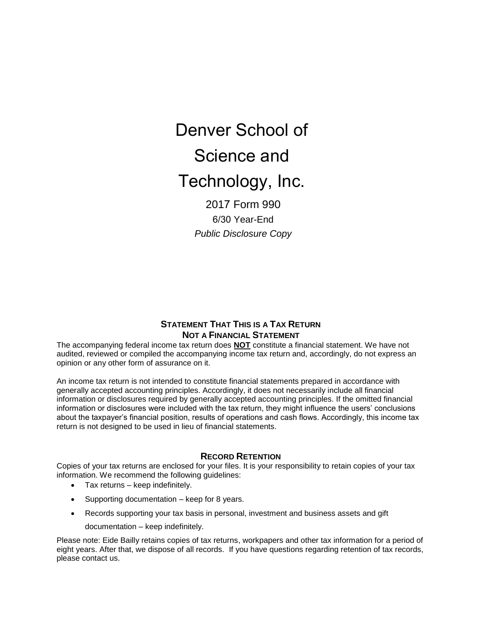# Denver School of Science and Technology, Inc.

2017 Form 990 6/30 Year-End *Public Disclosure Copy* 

## **STATEMENT THAT THIS IS A TAX RETURN NOT A FINANCIAL STATEMENT**

The accompanying federal income tax return does **NOT** constitute a financial statement. We have not audited, reviewed or compiled the accompanying income tax return and, accordingly, do not express an opinion or any other form of assurance on it.

An income tax return is not intended to constitute financial statements prepared in accordance with generally accepted accounting principles. Accordingly, it does not necessarily include all financial information or disclosures required by generally accepted accounting principles. If the omitted financial information or disclosures were included with the tax return, they might influence the users' conclusions about the taxpayer's financial position, results of operations and cash flows. Accordingly, this income tax return is not designed to be used in lieu of financial statements.

## **RECORD RETENTION**

Copies of your tax returns are enclosed for your files. It is your responsibility to retain copies of your tax information. We recommend the following guidelines:

- Tax returns keep indefinitely.
- Supporting documentation keep for 8 years.
- Records supporting your tax basis in personal, investment and business assets and gift
	- documentation keep indefinitely.

Please note: Eide Bailly retains copies of tax returns, workpapers and other tax information for a period of eight years. After that, we dispose of all records. If you have questions regarding retention of tax records, please contact us.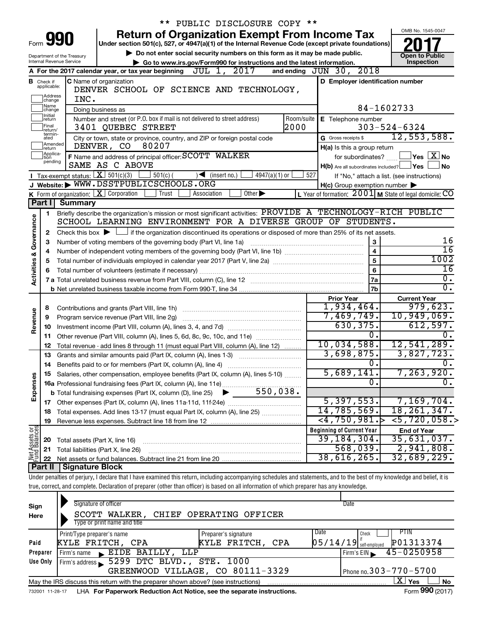|                         |                               |                            | ** PUBLIC DISCLOSURE COPY **                                                                                                                                               |                                                           |                                            |
|-------------------------|-------------------------------|----------------------------|----------------------------------------------------------------------------------------------------------------------------------------------------------------------------|-----------------------------------------------------------|--------------------------------------------|
|                         |                               |                            | <b>Return of Organization Exempt From Income Tax</b>                                                                                                                       |                                                           | OMB No. 1545-0047                          |
|                         | 99                            |                            | Under section 501(c), 527, or 4947(a)(1) of the Internal Revenue Code (except private foundations)                                                                         |                                                           |                                            |
|                         |                               | Department of the Treasury | Do not enter social security numbers on this form as it may be made public.                                                                                                |                                                           | <b>Open to Public</b>                      |
|                         |                               | Internal Revenue Service   | Go to www.irs.gov/Form990 for instructions and the latest information.                                                                                                     |                                                           | Inspection                                 |
|                         |                               |                            | JUL 1, 2017<br>A For the 2017 calendar year, or tax year beginning                                                                                                         | and ending JUN 30, 2018                                   |                                            |
|                         | <b>B</b> Check if applicable: |                            | C Name of organization                                                                                                                                                     | D Employer identification number                          |                                            |
|                         |                               |                            | DENVER SCHOOL OF SCIENCE AND TECHNOLOGY,                                                                                                                                   |                                                           |                                            |
|                         | Address<br>change             | INC.                       |                                                                                                                                                                            |                                                           |                                            |
|                         | Name<br>change                |                            | Doing business as                                                                                                                                                          |                                                           | 84-1602733                                 |
|                         | Initial<br>return             |                            | Number and street (or P.O. box if mail is not delivered to street address)<br>Room/suite                                                                                   | E Telephone number                                        |                                            |
|                         | Final<br>return/              |                            | 2000<br>3401 QUEBEC STREET                                                                                                                                                 |                                                           | $303 - 524 - 6324$                         |
|                         | termin-<br>ated               |                            | City or town, state or province, country, and ZIP or foreign postal code                                                                                                   | G Gross receipts \$                                       | 12,553,588.                                |
|                         | Amended<br>return             |                            | 80207<br>DENVER, CO                                                                                                                                                        | H(a) Is this a group return                               |                                            |
|                         | Applica-<br>tion              |                            | F Name and address of principal officer: SCOTT WALKER                                                                                                                      | for subordinates?                                         | $\sqrt{}$ Yes $\sqrt{ \ \ }$ No            |
|                         | pending                       |                            | SAME AS C ABOVE                                                                                                                                                            | $H(b)$ Are all subordinates included? $\Box$ Yes          | <b>No</b>                                  |
|                         |                               |                            | Tax-exempt status: $X \ 501(c)(3)$<br>$501(c)$ (<br>$\sqrt{\frac{1}{1}}$ (insert no.)<br>$4947(a)(1)$ or                                                                   | 527                                                       | If "No," attach a list. (see instructions) |
|                         |                               |                            | J Website: WWW.DSSTPUBLICSCHOOLS.ORG                                                                                                                                       | $H(c)$ Group exemption number $\blacktriangleright$       |                                            |
|                         |                               |                            | <b>K</b> Form of organization: $\boxed{\mathbf{X}}$ Corporation<br>Trust<br>Association<br>Other $\blacktriangleright$                                                     | L Year of formation: $2001$ M State of legal domicile: CO |                                            |
|                         | Part I                        | Summary                    |                                                                                                                                                                            |                                                           |                                            |
|                         | 1                             |                            | Briefly describe the organization's mission or most significant activities: PROVIDE A TECHNOLOGY-RICH PUBLIC                                                               |                                                           |                                            |
|                         |                               |                            | SCHOOL LEARNING ENVIRONMENT FOR A DIVERSE GROUP OF STUDENTS.                                                                                                               |                                                           |                                            |
|                         | 2                             |                            | Check this box $\blacktriangleright$ $\Box$ if the organization discontinued its operations or disposed of more than 25% of its net assets.                                |                                                           |                                            |
|                         | 3                             |                            | Number of voting members of the governing body (Part VI, line 1a)                                                                                                          | 3                                                         | 16                                         |
|                         | 4                             |                            |                                                                                                                                                                            | $\overline{4}$                                            | 16                                         |
|                         | 5                             |                            | Total number of individuals employed in calendar year 2017 (Part V, line 2a) manufacture controller to intervent                                                           | $\overline{5}$                                            | 1002                                       |
|                         | 6                             |                            |                                                                                                                                                                            | 6                                                         | 16                                         |
| Activities & Governance |                               |                            |                                                                                                                                                                            | 7a                                                        | $\overline{0}$ .                           |
|                         |                               |                            |                                                                                                                                                                            | 7b                                                        | $0$ .                                      |
|                         |                               |                            |                                                                                                                                                                            | <b>Prior Year</b>                                         | <b>Current Year</b>                        |
|                         | 8                             |                            |                                                                                                                                                                            | 1,934,464.                                                | 979,623.                                   |
|                         | 9                             |                            | Program service revenue (Part VIII, line 2g)                                                                                                                               | 7,469,749.                                                | 10,949,069.                                |
| Revenue                 | 10                            |                            |                                                                                                                                                                            | 630, 375.                                                 | 612,597.                                   |
|                         | 11                            |                            | Other revenue (Part VIII, column (A), lines 5, 6d, 8c, 9c, 10c, and 11e)                                                                                                   | 0.                                                        |                                            |
|                         | 12                            |                            | Total revenue - add lines 8 through 11 (must equal Part VIII, column (A), line 12)                                                                                         | 10,034,588.                                               | 12,541,289.                                |
|                         | 13                            |                            | Grants and similar amounts paid (Part IX, column (A), lines 1-3)                                                                                                           | 3,698,875.                                                | 3,827,723.                                 |
|                         | 14                            |                            | Benefits paid to or for members (Part IX, column (A), line 4)                                                                                                              | о.                                                        |                                            |
|                         |                               |                            | 15 Salaries, other compensation, employee benefits (Part IX, column (A), lines 5-10)                                                                                       | 5,689,141.                                                | 7,263,920.                                 |
| Expenses                |                               |                            |                                                                                                                                                                            | О.                                                        | ο.                                         |
|                         |                               |                            |                                                                                                                                                                            |                                                           |                                            |
|                         |                               |                            | 17 Other expenses (Part IX, column (A), lines 11a-11d, 11f-24e)                                                                                                            | 5,397,553.                                                | 7,169,704.                                 |
|                         | 18                            |                            | Total expenses. Add lines 13-17 (must equal Part IX, column (A), line 25)                                                                                                  | 14,785,569.                                               | 18, 261, 347.                              |
|                         | 19                            |                            |                                                                                                                                                                            | $-4,750,981.$                                             | $\overline{5,720,058.}$                    |
| Net Assets or           |                               |                            |                                                                                                                                                                            | <b>Beginning of Current Year</b>                          | <b>End of Year</b>                         |
|                         | 20                            |                            | Total assets (Part X, line 16)                                                                                                                                             | 39, 184, 304.                                             | 35,631,037.                                |
|                         | 21                            |                            | Total liabilities (Part X, line 26)                                                                                                                                        | 568,039.                                                  | 2,941,808.                                 |
|                         | 22                            |                            |                                                                                                                                                                            | 38,616,265.                                               | 32,689,229.                                |
|                         | Part II                       | <b>Signature Block</b>     |                                                                                                                                                                            |                                                           |                                            |
|                         |                               |                            | Under penalties of perjury, I declare that I have examined this return, including accompanying schedules and statements, and to the best of my knowledge and belief, it is |                                                           |                                            |
|                         |                               |                            | true, correct, and complete. Declaration of preparer (other than officer) is based on all information of which preparer has any knowledge.                                 |                                                           |                                            |
|                         |                               |                            | Signature of officer                                                                                                                                                       | Date                                                      |                                            |
| Sign                    |                               |                            |                                                                                                                                                                            |                                                           |                                            |
| Here                    |                               |                            | SCOTT WALKER, CHIEF OPERATING OFFICER<br>Type or print name and title                                                                                                      |                                                           |                                            |
|                         |                               |                            |                                                                                                                                                                            | Date                                                      | PTIN                                       |
| Paid                    |                               | Print/Type preparer's name | Preparer's signature<br>KYLE FRITCH, CPA<br>KYLE FRITCH, CPA                                                                                                               | Check<br>$05/14/19$ self-employed                         | P01313374                                  |

|          | Print/Type preparer's name                                                                                   | Preparer's signature             | Date<br><b>PTIN</b><br>Check                       |  |  |  |  |  |  |  |
|----------|--------------------------------------------------------------------------------------------------------------|----------------------------------|----------------------------------------------------|--|--|--|--|--|--|--|
| Paid     | KYLE FRITCH, CPA                                                                                             | KYLE FRITCH,<br>CPA              | P01313374<br>$\left[05/14/19\right]$ self-employed |  |  |  |  |  |  |  |
| Preparer | $\blacktriangleright$ EIDE BAILLY, LLP<br>Firm's name                                                        |                                  | 45-0250958<br>Firm's EIN                           |  |  |  |  |  |  |  |
| Use Only | Firm's address $\sim$ 5299 DTC BLVD., STE. 1000                                                              |                                  |                                                    |  |  |  |  |  |  |  |
|          |                                                                                                              | GREENWOOD VILLAGE, CO 80111-3329 | Phone no. $303 - 770 - 5700$                       |  |  |  |  |  |  |  |
|          | <b>Yes</b><br>May the IRS discuss this return with the preparer shown above? (see instructions)<br>No        |                                  |                                                    |  |  |  |  |  |  |  |
|          | Form 990 (2017)<br>LHA For Paperwork Reduction Act Notice, see the separate instructions.<br>732001 11-28-17 |                                  |                                                    |  |  |  |  |  |  |  |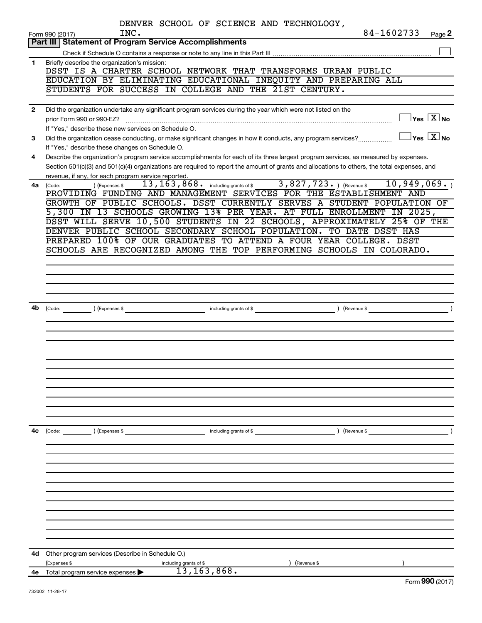|                | DENVER SCHOOL OF SCIENCE AND TECHNOLOGY,                                                                                                                         |
|----------------|------------------------------------------------------------------------------------------------------------------------------------------------------------------|
|                | 84-1602733<br>INC.<br>Page 2<br>Form 990 (2017)                                                                                                                  |
|                | Part III   Statement of Program Service Accomplishments                                                                                                          |
| 1              | Briefly describe the organization's mission:                                                                                                                     |
|                | DSST IS A CHARTER SCHOOL NETWORK THAT TRANSFORMS URBAN PUBLIC                                                                                                    |
|                | EDUCATION BY ELIMINATING EDUCATIONAL INEQUITY AND PREPARING ALL                                                                                                  |
|                | STUDENTS FOR SUCCESS IN COLLEGE AND THE 21ST CENTURY.                                                                                                            |
|                |                                                                                                                                                                  |
| $\overline{2}$ | Did the organization undertake any significant program services during the year which were not listed on the                                                     |
|                | $\left\vert \mathsf{Yes}\right\vert \overline{\mathsf{X}}\left\vert \mathsf{No}\right\vert$<br>prior Form 990 or 990-EZ?                                         |
|                | If "Yes," describe these new services on Schedule O.                                                                                                             |
| 3              | $\sqrt{}$ Yes $\sqrt{ \ \overline{\text{X}}}$ No<br>Did the organization cease conducting, or make significant changes in how it conducts, any program services? |
|                | If "Yes," describe these changes on Schedule O.                                                                                                                  |
| 4              | Describe the organization's program service accomplishments for each of its three largest program services, as measured by expenses.                             |
|                | Section 501(c)(3) and 501(c)(4) organizations are required to report the amount of grants and allocations to others, the total expenses, and                     |
|                | revenue, if any, for each program service reported.                                                                                                              |
| 4a             | 13, 163, 868. including grants of \$3, 827, 723. ) (Revenue \$<br>10,949,069.<br>) (Expenses \$<br>(Code:                                                        |
|                | PROVIDING FUNDING AND MANAGEMENT SERVICES FOR THE ESTABLISHMENT AND                                                                                              |
|                | GROWTH OF PUBLIC SCHOOLS. DSST CURRENTLY SERVES A STUDENT POPULATION OF                                                                                          |
|                | 5,300 IN 13 SCHOOLS GROWING 13% PER YEAR. AT FULL ENROLLMENT IN 2025,                                                                                            |
|                | DSST WILL SERVE 10,500 STUDENTS IN 22 SCHOOLS, APPROXIMATELY 25% OF THE                                                                                          |
|                | DENVER PUBLIC SCHOOL SECONDARY SCHOOL POPULATION. TO DATE DSST HAS<br>PREPARED 100% OF OUR GRADUATES TO ATTEND A FOUR YEAR COLLEGE. DSST                         |
|                | SCHOOLS ARE RECOGNIZED AMONG THE TOP PERFORMING SCHOOLS IN COLORADO.                                                                                             |
|                |                                                                                                                                                                  |
|                |                                                                                                                                                                  |
|                |                                                                                                                                                                  |
|                |                                                                                                                                                                  |
|                |                                                                                                                                                                  |
| 4b             | $\overbrace{0}$ (Code: $\overbrace{0}$ ) (Expenses \$                                                                                                            |
|                |                                                                                                                                                                  |
|                |                                                                                                                                                                  |
|                |                                                                                                                                                                  |
|                |                                                                                                                                                                  |
|                |                                                                                                                                                                  |
|                |                                                                                                                                                                  |
|                |                                                                                                                                                                  |
|                |                                                                                                                                                                  |
|                |                                                                                                                                                                  |
|                |                                                                                                                                                                  |
|                |                                                                                                                                                                  |
|                |                                                                                                                                                                  |
| 4c             | $\left(\text{Code:} \right)$ $\left(\text{Expenses $}\right)$<br>) (Revenue \$<br>including grants of \$                                                         |
|                |                                                                                                                                                                  |
|                |                                                                                                                                                                  |
|                |                                                                                                                                                                  |
|                |                                                                                                                                                                  |
|                |                                                                                                                                                                  |
|                |                                                                                                                                                                  |
|                |                                                                                                                                                                  |
|                |                                                                                                                                                                  |
|                |                                                                                                                                                                  |
|                |                                                                                                                                                                  |
|                |                                                                                                                                                                  |
| 4d             | Other program services (Describe in Schedule O.)                                                                                                                 |
|                | (Expenses \$<br>Revenue \$<br>including grants of \$                                                                                                             |
|                | 13, 163, 868.<br>4e Total program service expenses                                                                                                               |
|                | nnn.                                                                                                                                                             |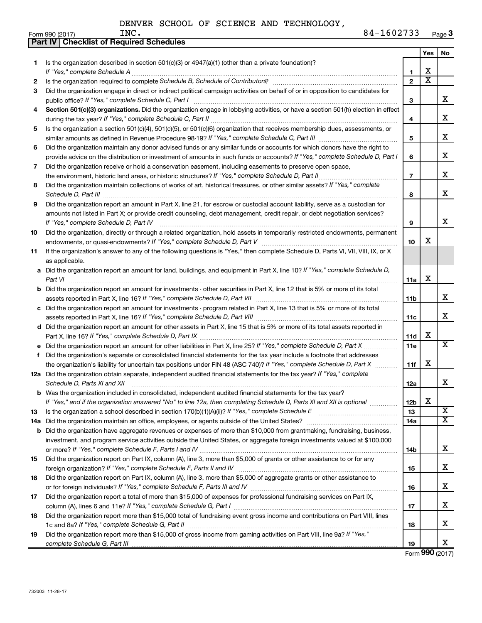|     | Part IV   Checklist of Required Schedules                                                                                                                                                                                                                                                                                                                            |                |                       |                         |
|-----|----------------------------------------------------------------------------------------------------------------------------------------------------------------------------------------------------------------------------------------------------------------------------------------------------------------------------------------------------------------------|----------------|-----------------------|-------------------------|
|     |                                                                                                                                                                                                                                                                                                                                                                      |                | Yes                   | No                      |
| 1   | Is the organization described in section 501(c)(3) or $4947(a)(1)$ (other than a private foundation)?                                                                                                                                                                                                                                                                |                |                       |                         |
|     |                                                                                                                                                                                                                                                                                                                                                                      | 1              | X                     |                         |
| 2   |                                                                                                                                                                                                                                                                                                                                                                      | $\overline{2}$ | $\overline{\text{x}}$ |                         |
| 3   | Did the organization engage in direct or indirect political campaign activities on behalf of or in opposition to candidates for                                                                                                                                                                                                                                      |                |                       |                         |
|     |                                                                                                                                                                                                                                                                                                                                                                      | 3              |                       | x                       |
| 4   | Section 501(c)(3) organizations. Did the organization engage in lobbying activities, or have a section 501(h) election in effect                                                                                                                                                                                                                                     |                |                       |                         |
|     |                                                                                                                                                                                                                                                                                                                                                                      | 4              |                       | x                       |
| 5   | Is the organization a section 501(c)(4), 501(c)(5), or 501(c)(6) organization that receives membership dues, assessments, or                                                                                                                                                                                                                                         |                |                       |                         |
|     |                                                                                                                                                                                                                                                                                                                                                                      | 5              |                       | х                       |
| 6   | Did the organization maintain any donor advised funds or any similar funds or accounts for which donors have the right to                                                                                                                                                                                                                                            |                |                       |                         |
|     | provide advice on the distribution or investment of amounts in such funds or accounts? If "Yes," complete Schedule D, Part I                                                                                                                                                                                                                                         | 6              |                       | х                       |
| 7   | Did the organization receive or hold a conservation easement, including easements to preserve open space,                                                                                                                                                                                                                                                            |                |                       |                         |
|     | the environment, historic land areas, or historic structures? If "Yes," complete Schedule D, Part II                                                                                                                                                                                                                                                                 | $\overline{7}$ |                       | х                       |
| 8   | Did the organization maintain collections of works of art, historical treasures, or other similar assets? If "Yes," complete                                                                                                                                                                                                                                         |                |                       |                         |
|     |                                                                                                                                                                                                                                                                                                                                                                      | 8              |                       | х                       |
| 9   | Schedule D, Part III <b>Marting Constructs</b> 2014 11 2014 12:00 12:00 12:00 12:00 12:00 12:00 12:00 12:00 12:00 12:00 12:00 12:00 12:00 12:00 12:00 12:00 12:00 12:00 12:00 12:00 12:00 12:00 12:00 12:00 12:00 12:00 12:00 12:00<br>Did the organization report an amount in Part X, line 21, for escrow or custodial account liability, serve as a custodian for |                |                       |                         |
|     | amounts not listed in Part X; or provide credit counseling, debt management, credit repair, or debt negotiation services?                                                                                                                                                                                                                                            |                |                       |                         |
|     | If "Yes," complete Schedule D, Part IV                                                                                                                                                                                                                                                                                                                               | 9              |                       | х                       |
|     | Did the organization, directly or through a related organization, hold assets in temporarily restricted endowments, permanent                                                                                                                                                                                                                                        |                |                       |                         |
| 10  |                                                                                                                                                                                                                                                                                                                                                                      | 10             | х                     |                         |
|     | If the organization's answer to any of the following questions is "Yes," then complete Schedule D, Parts VI, VII, VIII, IX, or X                                                                                                                                                                                                                                     |                |                       |                         |
| 11  |                                                                                                                                                                                                                                                                                                                                                                      |                |                       |                         |
|     | as applicable.                                                                                                                                                                                                                                                                                                                                                       |                |                       |                         |
|     | a Did the organization report an amount for land, buildings, and equipment in Part X, line 10? If "Yes," complete Schedule D,                                                                                                                                                                                                                                        |                | X                     |                         |
|     | Part VI                                                                                                                                                                                                                                                                                                                                                              | 11a            |                       |                         |
|     | <b>b</b> Did the organization report an amount for investments - other securities in Part X, line 12 that is 5% or more of its total                                                                                                                                                                                                                                 |                |                       | х                       |
|     |                                                                                                                                                                                                                                                                                                                                                                      | 11b            |                       |                         |
|     | c Did the organization report an amount for investments - program related in Part X, line 13 that is 5% or more of its total                                                                                                                                                                                                                                         |                |                       | х                       |
|     |                                                                                                                                                                                                                                                                                                                                                                      | 11c            |                       |                         |
|     | d Did the organization report an amount for other assets in Part X, line 15 that is 5% or more of its total assets reported in                                                                                                                                                                                                                                       |                | X                     |                         |
|     |                                                                                                                                                                                                                                                                                                                                                                      | 11d            |                       | $\overline{\mathbf{X}}$ |
|     | e Did the organization report an amount for other liabilities in Part X, line 25? If "Yes," complete Schedule D, Part X                                                                                                                                                                                                                                              | 11e            |                       |                         |
| f   | Did the organization's separate or consolidated financial statements for the tax year include a footnote that addresses                                                                                                                                                                                                                                              |                |                       |                         |
|     | the organization's liability for uncertain tax positions under FIN 48 (ASC 740)? If "Yes," complete Schedule D, Part X                                                                                                                                                                                                                                               | 11f            | X                     |                         |
|     | 12a Did the organization obtain separate, independent audited financial statements for the tax year? If "Yes," complete                                                                                                                                                                                                                                              |                |                       |                         |
|     | Schedule D, Parts XI and XII                                                                                                                                                                                                                                                                                                                                         | 12a            |                       | x                       |
| b   | Was the organization included in consolidated, independent audited financial statements for the tax year?                                                                                                                                                                                                                                                            |                |                       |                         |
|     | If "Yes," and if the organization answered "No" to line 12a, then completing Schedule D, Parts XI and XII is optional                                                                                                                                                                                                                                                | 12b            | X                     |                         |
| 13  |                                                                                                                                                                                                                                                                                                                                                                      | 13             |                       | Χ<br>X                  |
| 14a |                                                                                                                                                                                                                                                                                                                                                                      | 14a            |                       |                         |
| b   | Did the organization have aggregate revenues or expenses of more than \$10,000 from grantmaking, fundraising, business,                                                                                                                                                                                                                                              |                |                       |                         |
|     | investment, and program service activities outside the United States, or aggregate foreign investments valued at \$100,000                                                                                                                                                                                                                                           |                |                       |                         |
|     |                                                                                                                                                                                                                                                                                                                                                                      | 14b            |                       | x                       |
| 15  | Did the organization report on Part IX, column (A), line 3, more than \$5,000 of grants or other assistance to or for any                                                                                                                                                                                                                                            |                |                       |                         |
|     |                                                                                                                                                                                                                                                                                                                                                                      | 15             |                       | х                       |
| 16  | Did the organization report on Part IX, column (A), line 3, more than \$5,000 of aggregate grants or other assistance to                                                                                                                                                                                                                                             |                |                       |                         |
|     |                                                                                                                                                                                                                                                                                                                                                                      | 16             |                       | х                       |
| 17  | Did the organization report a total of more than \$15,000 of expenses for professional fundraising services on Part IX,                                                                                                                                                                                                                                              |                |                       |                         |
|     |                                                                                                                                                                                                                                                                                                                                                                      | 17             |                       | х                       |
| 18  | Did the organization report more than \$15,000 total of fundraising event gross income and contributions on Part VIII, lines                                                                                                                                                                                                                                         |                |                       |                         |
|     |                                                                                                                                                                                                                                                                                                                                                                      | 18             |                       | х                       |
| 19  | Did the organization report more than \$15,000 of gross income from gaming activities on Part VIII, line 9a? If "Yes,"                                                                                                                                                                                                                                               |                |                       |                         |
|     |                                                                                                                                                                                                                                                                                                                                                                      | 19             |                       | x                       |

Form (2017) **990**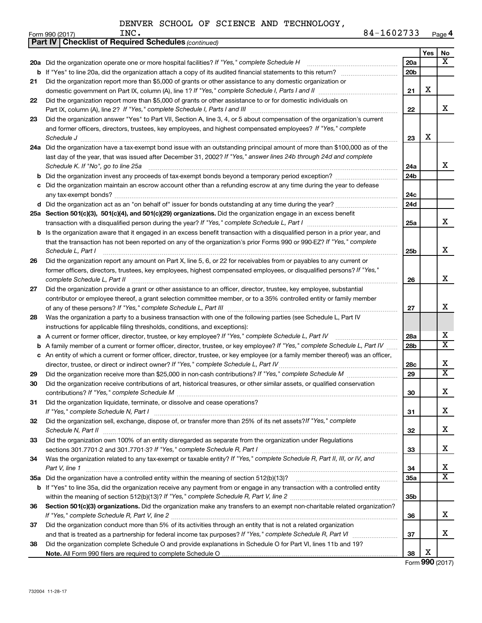|    | <b>Part IV   Checklist of Required Schedules (continued)</b>                                                                        |                 |     |                         |
|----|-------------------------------------------------------------------------------------------------------------------------------------|-----------------|-----|-------------------------|
|    |                                                                                                                                     |                 | Yes | No                      |
|    | 20a Did the organization operate one or more hospital facilities? If "Yes," complete Schedule H                                     | 20a             |     | x                       |
|    |                                                                                                                                     | 20 <sub>b</sub> |     |                         |
| 21 | Did the organization report more than \$5,000 of grants or other assistance to any domestic organization or                         |                 |     |                         |
|    |                                                                                                                                     | 21              | X   |                         |
| 22 | Did the organization report more than \$5,000 of grants or other assistance to or for domestic individuals on                       |                 |     |                         |
|    |                                                                                                                                     | 22              |     | x                       |
| 23 | Did the organization answer "Yes" to Part VII, Section A, line 3, 4, or 5 about compensation of the organization's current          |                 |     |                         |
|    | and former officers, directors, trustees, key employees, and highest compensated employees? If "Yes," complete                      |                 |     |                         |
|    | Schedule J <b>Execute Schedule J Execute Schedule J</b>                                                                             | 23              | X   |                         |
|    | 24a Did the organization have a tax-exempt bond issue with an outstanding principal amount of more than \$100,000 as of the         |                 |     |                         |
|    | last day of the year, that was issued after December 31, 2002? If "Yes," answer lines 24b through 24d and complete                  |                 |     |                         |
|    | Schedule K. If "No", go to line 25a                                                                                                 | 24a             |     | x                       |
| b  |                                                                                                                                     | 24 <sub>b</sub> |     |                         |
|    | Did the organization maintain an escrow account other than a refunding escrow at any time during the year to defease                |                 |     |                         |
|    |                                                                                                                                     | 24c             |     |                         |
|    |                                                                                                                                     | 24d             |     |                         |
|    | 25a Section 501(c)(3), 501(c)(4), and 501(c)(29) organizations. Did the organization engage in an excess benefit                    |                 |     |                         |
|    |                                                                                                                                     | 25a             |     | x                       |
|    | <b>b</b> Is the organization aware that it engaged in an excess benefit transaction with a disqualified person in a prior year, and |                 |     |                         |
|    | that the transaction has not been reported on any of the organization's prior Forms 990 or 990-EZ? If "Yes," complete               |                 |     |                         |
|    | Schedule L, Part I                                                                                                                  | 25b             |     | х                       |
| 26 | Did the organization report any amount on Part X, line 5, 6, or 22 for receivables from or payables to any current or               |                 |     |                         |
|    | former officers, directors, trustees, key employees, highest compensated employees, or disqualified persons? If "Yes,"              |                 |     |                         |
|    | complete Schedule L, Part II                                                                                                        | 26              |     | х                       |
| 27 | Did the organization provide a grant or other assistance to an officer, director, trustee, key employee, substantial                |                 |     |                         |
|    | contributor or employee thereof, a grant selection committee member, or to a 35% controlled entity or family member                 |                 |     |                         |
|    |                                                                                                                                     | 27              |     | х                       |
| 28 | Was the organization a party to a business transaction with one of the following parties (see Schedule L, Part IV                   |                 |     |                         |
|    | instructions for applicable filing thresholds, conditions, and exceptions):                                                         |                 |     |                         |
| а  | A current or former officer, director, trustee, or key employee? If "Yes," complete Schedule L, Part IV                             | 28a             |     | x                       |
| b  | A family member of a current or former officer, director, trustee, or key employee? If "Yes," complete Schedule L, Part IV          | 28b             |     | $\overline{\textbf{X}}$ |
|    | c An entity of which a current or former officer, director, trustee, or key employee (or a family member thereof) was an officer,   |                 |     |                         |
|    | director, trustee, or direct or indirect owner? If "Yes," complete Schedule L, Part IV                                              | 28c             |     | х                       |
| 29 |                                                                                                                                     | 29              |     | $\overline{\textbf{X}}$ |
| 30 | Did the organization receive contributions of art, historical treasures, or other similar assets, or qualified conservation         |                 |     |                         |
|    |                                                                                                                                     | 30              |     | Χ                       |
| 31 | Did the organization liquidate, terminate, or dissolve and cease operations?                                                        |                 |     |                         |
|    |                                                                                                                                     | 31              |     | x                       |
| 32 | Did the organization sell, exchange, dispose of, or transfer more than 25% of its net assets? If "Yes," complete                    |                 |     | x                       |
|    |                                                                                                                                     | 32              |     |                         |
| 33 | Did the organization own 100% of an entity disregarded as separate from the organization under Regulations                          |                 |     | x                       |
|    |                                                                                                                                     | 33              |     |                         |
| 34 | Was the organization related to any tax-exempt or taxable entity? If "Yes," complete Schedule R, Part II, III, or IV, and           |                 |     | х                       |
|    | Part V, line 1                                                                                                                      | 34              |     | X                       |
|    |                                                                                                                                     | 35a             |     |                         |
|    | b If "Yes" to line 35a, did the organization receive any payment from or engage in any transaction with a controlled entity         |                 |     |                         |
|    |                                                                                                                                     | 35b             |     |                         |
| 36 | Section 501(c)(3) organizations. Did the organization make any transfers to an exempt non-charitable related organization?          |                 |     | x                       |
|    |                                                                                                                                     | 36              |     |                         |
| 37 | Did the organization conduct more than 5% of its activities through an entity that is not a related organization                    |                 |     | x                       |
|    |                                                                                                                                     | 37              |     |                         |
| 38 | Did the organization complete Schedule O and provide explanations in Schedule O for Part VI, lines 11b and 19?                      | 38              | х   |                         |
|    |                                                                                                                                     |                 |     |                         |

Form (2017) **990**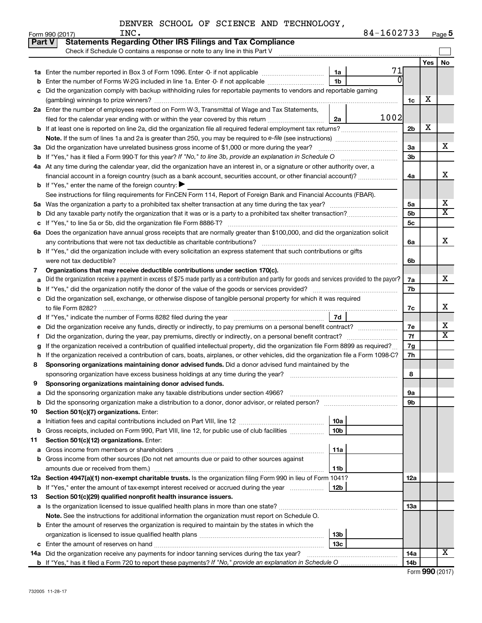| Part V  |                                                                                                                                                 | <b>Statements Regarding Other IRS Filings and Tax Compliance</b>                                                                   |                 |    |                |     |                              |  |  |
|---------|-------------------------------------------------------------------------------------------------------------------------------------------------|------------------------------------------------------------------------------------------------------------------------------------|-----------------|----|----------------|-----|------------------------------|--|--|
|         |                                                                                                                                                 | Check if Schedule O contains a response or note to any line in this Part V                                                         |                 |    |                |     |                              |  |  |
|         |                                                                                                                                                 |                                                                                                                                    |                 |    |                | Yes | <b>No</b>                    |  |  |
|         |                                                                                                                                                 |                                                                                                                                    | 1a              | 71 |                |     |                              |  |  |
|         |                                                                                                                                                 | Enter the number of Forms W-2G included in line 1a. Enter -0- if not applicable                                                    | 1b              |    |                |     |                              |  |  |
| с       |                                                                                                                                                 | Did the organization comply with backup withholding rules for reportable payments to vendors and reportable gaming                 |                 |    |                |     |                              |  |  |
|         |                                                                                                                                                 |                                                                                                                                    |                 |    |                |     |                              |  |  |
|         | 2a Enter the number of employees reported on Form W-3, Transmittal of Wage and Tax Statements,                                                  |                                                                                                                                    |                 |    |                |     |                              |  |  |
|         | 1002<br>filed for the calendar year ending with or within the year covered by this return<br>2a                                                 |                                                                                                                                    |                 |    |                |     |                              |  |  |
|         |                                                                                                                                                 | <b>b</b> If at least one is reported on line 2a, did the organization file all required federal employment tax returns?            |                 |    | 2 <sub>b</sub> | х   |                              |  |  |
|         |                                                                                                                                                 |                                                                                                                                    |                 |    |                |     |                              |  |  |
|         |                                                                                                                                                 | 3a Did the organization have unrelated business gross income of \$1,000 or more during the year?                                   |                 |    | За             |     | x                            |  |  |
|         |                                                                                                                                                 | <b>b</b> If "Yes," has it filed a Form 990-T for this year? If "No," to line 3b, provide an explanation in Schedule O              |                 |    | 3b             |     |                              |  |  |
|         |                                                                                                                                                 | 4a At any time during the calendar year, did the organization have an interest in, or a signature or other authority over, a       |                 |    |                |     |                              |  |  |
|         |                                                                                                                                                 | financial account in a foreign country (such as a bank account, securities account, or other financial account)?                   |                 |    | 4a             |     | х                            |  |  |
|         |                                                                                                                                                 | <b>b</b> If "Yes," enter the name of the foreign country:                                                                          |                 |    |                |     |                              |  |  |
|         |                                                                                                                                                 | See instructions for filing requirements for FinCEN Form 114, Report of Foreign Bank and Financial Accounts (FBAR).                |                 |    |                |     |                              |  |  |
|         |                                                                                                                                                 |                                                                                                                                    |                 |    | 5a             |     | x                            |  |  |
|         |                                                                                                                                                 |                                                                                                                                    |                 |    | 5 <sub>b</sub> |     | $\overline{\mathtt{x}}$      |  |  |
|         |                                                                                                                                                 |                                                                                                                                    |                 |    | 5c             |     |                              |  |  |
|         |                                                                                                                                                 | 6a Does the organization have annual gross receipts that are normally greater than \$100,000, and did the organization solicit     |                 |    |                |     |                              |  |  |
|         |                                                                                                                                                 | any contributions that were not tax deductible as charitable contributions?                                                        |                 |    | 6a             |     | x                            |  |  |
|         |                                                                                                                                                 | <b>b</b> If "Yes," did the organization include with every solicitation an express statement that such contributions or gifts      |                 |    |                |     |                              |  |  |
|         |                                                                                                                                                 | were not tax deductible?                                                                                                           |                 |    | 6b             |     |                              |  |  |
| 7       |                                                                                                                                                 | Organizations that may receive deductible contributions under section 170(c).                                                      |                 |    | 7a             |     | x                            |  |  |
|         | Did the organization receive a payment in excess of \$75 made partly as a contribution and partly for goods and services provided to the payor? |                                                                                                                                    |                 |    |                |     |                              |  |  |
|         |                                                                                                                                                 |                                                                                                                                    |                 |    |                |     |                              |  |  |
| С       |                                                                                                                                                 | Did the organization sell, exchange, or otherwise dispose of tangible personal property for which it was required                  |                 |    |                |     |                              |  |  |
|         |                                                                                                                                                 | to file Form 8282?                                                                                                                 |                 |    | 7c             |     | х                            |  |  |
|         |                                                                                                                                                 |                                                                                                                                    | 7d              |    |                |     |                              |  |  |
|         |                                                                                                                                                 | Did the organization receive any funds, directly or indirectly, to pay premiums on a personal benefit contract?                    |                 |    | 7е             |     | х<br>$\overline{\mathbf{X}}$ |  |  |
| Ť.      |                                                                                                                                                 | Did the organization, during the year, pay premiums, directly or indirectly, on a personal benefit contract?                       |                 |    | 7f             |     |                              |  |  |
| g       |                                                                                                                                                 | If the organization received a contribution of qualified intellectual property, did the organization file Form 8899 as required?   |                 |    | 7g             |     |                              |  |  |
|         |                                                                                                                                                 | If the organization received a contribution of cars, boats, airplanes, or other vehicles, did the organization file a Form 1098-C? |                 |    | 7h             |     |                              |  |  |
| 8       |                                                                                                                                                 | Sponsoring organizations maintaining donor advised funds. Did a donor advised fund maintained by the                               |                 |    |                |     |                              |  |  |
|         |                                                                                                                                                 | sponsoring organization have excess business holdings at any time during the year?                                                 |                 |    | 8              |     |                              |  |  |
| 9       |                                                                                                                                                 | Sponsoring organizations maintaining donor advised funds.                                                                          |                 |    |                |     |                              |  |  |
|         |                                                                                                                                                 | a Did the sponsoring organization make any taxable distributions under section 4966?                                               |                 |    | 9а             |     |                              |  |  |
| b       |                                                                                                                                                 | Did the sponsoring organization make a distribution to a donor, donor advisor, or related person?                                  |                 |    | 9b             |     |                              |  |  |
| 10<br>a |                                                                                                                                                 | Section 501(c)(7) organizations. Enter:                                                                                            | 10a             |    |                |     |                              |  |  |
| b       |                                                                                                                                                 | Gross receipts, included on Form 990, Part VIII, line 12, for public use of club facilities                                        | 10 <sub>b</sub> |    |                |     |                              |  |  |
| 11      |                                                                                                                                                 | Section 501(c)(12) organizations. Enter:                                                                                           |                 |    |                |     |                              |  |  |
|         |                                                                                                                                                 |                                                                                                                                    | 11a             |    |                |     |                              |  |  |
|         |                                                                                                                                                 | b Gross income from other sources (Do not net amounts due or paid to other sources against                                         |                 |    |                |     |                              |  |  |
|         |                                                                                                                                                 | amounts due or received from them.)                                                                                                | 11b             |    |                |     |                              |  |  |
|         |                                                                                                                                                 | 12a Section 4947(a)(1) non-exempt charitable trusts. Is the organization filing Form 990 in lieu of Form 1041?                     |                 |    | 12a            |     |                              |  |  |
|         |                                                                                                                                                 | <b>b</b> If "Yes," enter the amount of tax-exempt interest received or accrued during the year                                     | 12b             |    |                |     |                              |  |  |
| 13      |                                                                                                                                                 | Section 501(c)(29) qualified nonprofit health insurance issuers.                                                                   |                 |    |                |     |                              |  |  |
|         | a Is the organization licensed to issue qualified health plans in more than one state?                                                          |                                                                                                                                    |                 |    |                |     |                              |  |  |
|         | Note. See the instructions for additional information the organization must report on Schedule O.                                               |                                                                                                                                    |                 |    |                |     |                              |  |  |
|         |                                                                                                                                                 | <b>b</b> Enter the amount of reserves the organization is required to maintain by the states in which the                          |                 |    |                |     |                              |  |  |
|         |                                                                                                                                                 |                                                                                                                                    | 13 <sub>b</sub> |    |                |     |                              |  |  |
|         |                                                                                                                                                 | <b>c</b> Enter the amount of reserves on hand                                                                                      | 13с             |    |                |     |                              |  |  |
|         |                                                                                                                                                 | 14a Did the organization receive any payments for indoor tanning services during the tax year?                                     |                 |    | 14a            |     | X                            |  |  |
|         |                                                                                                                                                 |                                                                                                                                    |                 |    | 14b            |     |                              |  |  |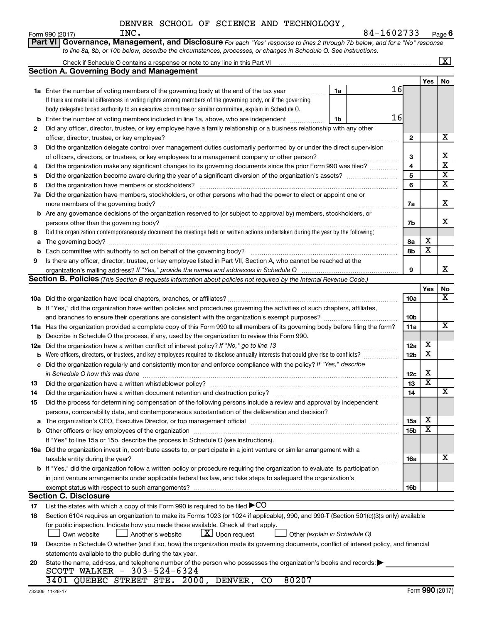| DENVER SCHOOL OF SCIENCE AND TECHNOLOGY, |  |  |  |  |  |
|------------------------------------------|--|--|--|--|--|
|------------------------------------------|--|--|--|--|--|

Form 990 (2017) Page **6** INC. 84-1602733

|    | Part VI<br>Governance, Management, and Disclosure For each "Yes" response to lines 2 through 7b below, and for a "No" response                                                                                                 |    |                        |                              |                               |  |  |  |  |  |
|----|--------------------------------------------------------------------------------------------------------------------------------------------------------------------------------------------------------------------------------|----|------------------------|------------------------------|-------------------------------|--|--|--|--|--|
|    | to line 8a, 8b, or 10b below, describe the circumstances, processes, or changes in Schedule O. See instructions.                                                                                                               |    |                        |                              |                               |  |  |  |  |  |
|    | Check if Schedule O contains a response or note to any line in this Part VI [100] [100] [100] [100] [100] [100] [100] [100] [100] [100] [100] [100] [100] [100] [100] [100] [100] [100] [100] [100] [100] [100] [100] [100] [1 |    |                        |                              | $\boxed{\textbf{X}}$          |  |  |  |  |  |
|    | <b>Section A. Governing Body and Management</b>                                                                                                                                                                                |    |                        |                              |                               |  |  |  |  |  |
|    |                                                                                                                                                                                                                                |    |                        | Yes                          | No                            |  |  |  |  |  |
|    | 16<br>1a<br>1a Enter the number of voting members of the governing body at the end of the tax year                                                                                                                             |    |                        |                              |                               |  |  |  |  |  |
|    | If there are material differences in voting rights among members of the governing body, or if the governing                                                                                                                    |    |                        |                              |                               |  |  |  |  |  |
|    | body delegated broad authority to an executive committee or similar committee, explain in Schedule O.                                                                                                                          |    |                        |                              |                               |  |  |  |  |  |
|    | <b>b</b> Enter the number of voting members included in line 1a, above, who are independent <i>manument</i><br>1b                                                                                                              | 16 |                        |                              |                               |  |  |  |  |  |
| 2  | Did any officer, director, trustee, or key employee have a family relationship or a business relationship with any other                                                                                                       |    |                        |                              |                               |  |  |  |  |  |
|    |                                                                                                                                                                                                                                |    |                        |                              |                               |  |  |  |  |  |
|    | Did the organization delegate control over management duties customarily performed by or under the direct supervision<br>3                                                                                                     |    |                        |                              |                               |  |  |  |  |  |
|    |                                                                                                                                                                                                                                |    | 3                      |                              | x                             |  |  |  |  |  |
| 4  | Did the organization make any significant changes to its governing documents since the prior Form 990 was filed?                                                                                                               |    | $\overline{4}$         |                              | $\overline{\textbf{x}}$       |  |  |  |  |  |
| 5  |                                                                                                                                                                                                                                |    | 5                      |                              | $\overline{\mathbf{x}}$       |  |  |  |  |  |
| 6  |                                                                                                                                                                                                                                |    | 6                      |                              | $\overline{\mathtt{x}}$       |  |  |  |  |  |
|    | 7a Did the organization have members, stockholders, or other persons who had the power to elect or appoint one or                                                                                                              |    |                        |                              |                               |  |  |  |  |  |
|    |                                                                                                                                                                                                                                |    | 7a                     |                              | x                             |  |  |  |  |  |
|    | b Are any governance decisions of the organization reserved to (or subject to approval by) members, stockholders, or                                                                                                           |    |                        |                              |                               |  |  |  |  |  |
|    | persons other than the governing body?                                                                                                                                                                                         |    | 7b                     |                              | x                             |  |  |  |  |  |
| 8  | Did the organization contemporaneously document the meetings held or written actions undertaken during the year by the following:                                                                                              |    |                        |                              |                               |  |  |  |  |  |
|    |                                                                                                                                                                                                                                |    | 8а                     | х                            |                               |  |  |  |  |  |
|    |                                                                                                                                                                                                                                |    | 8b                     | $\overline{\mathbf{X}}$      |                               |  |  |  |  |  |
| 9  | Is there any officer, director, trustee, or key employee listed in Part VII, Section A, who cannot be reached at the                                                                                                           |    |                        |                              |                               |  |  |  |  |  |
|    | organization's mailing address? If "Yes," provide the names and addresses in Schedule O                                                                                                                                        |    | 9                      |                              | x                             |  |  |  |  |  |
|    | Section B. Policies (This Section B requests information about policies not required by the Internal Revenue Code.)                                                                                                            |    |                        |                              |                               |  |  |  |  |  |
|    |                                                                                                                                                                                                                                |    |                        | Yes                          | No<br>$\overline{\mathbf{X}}$ |  |  |  |  |  |
|    |                                                                                                                                                                                                                                |    | 10a                    |                              |                               |  |  |  |  |  |
|    | <b>b</b> If "Yes," did the organization have written policies and procedures governing the activities of such chapters, affiliates,                                                                                            |    |                        |                              |                               |  |  |  |  |  |
|    |                                                                                                                                                                                                                                |    |                        |                              |                               |  |  |  |  |  |
|    | 11a Has the organization provided a complete copy of this Form 990 to all members of its governing body before filing the form?                                                                                                |    |                        |                              |                               |  |  |  |  |  |
|    | <b>b</b> Describe in Schedule O the process, if any, used by the organization to review this Form 990.                                                                                                                         |    |                        |                              |                               |  |  |  |  |  |
|    | 12a Did the organization have a written conflict of interest policy? If "No," go to line 13                                                                                                                                    |    | 12a<br>12 <sub>b</sub> | х<br>$\overline{\textbf{X}}$ |                               |  |  |  |  |  |
|    | <b>b</b> Were officers, directors, or trustees, and key employees required to disclose annually interests that could give rise to conflicts?                                                                                   |    |                        |                              |                               |  |  |  |  |  |
|    | c Did the organization regularly and consistently monitor and enforce compliance with the policy? If "Yes," describe                                                                                                           |    |                        | х                            |                               |  |  |  |  |  |
|    | in Schedule O how this was done manufactured and a state of the state of the state of the state of the state o                                                                                                                 |    | 12c<br>13              | $\overline{\texttt{x}}$      |                               |  |  |  |  |  |
|    | Did the organization have a written document retention and destruction policy?                                                                                                                                                 |    |                        |                              | x                             |  |  |  |  |  |
| 14 |                                                                                                                                                                                                                                |    | 14                     |                              |                               |  |  |  |  |  |
| 15 | Did the process for determining compensation of the following persons include a review and approval by independent<br>persons, comparability data, and contemporaneous substantiation of the deliberation and decision?        |    |                        |                              |                               |  |  |  |  |  |
|    |                                                                                                                                                                                                                                |    | 15a                    | х                            |                               |  |  |  |  |  |
|    |                                                                                                                                                                                                                                |    | 15b                    | $\overline{\mathbf{X}}$      |                               |  |  |  |  |  |
|    | If "Yes" to line 15a or 15b, describe the process in Schedule O (see instructions).                                                                                                                                            |    |                        |                              |                               |  |  |  |  |  |
|    | 16a Did the organization invest in, contribute assets to, or participate in a joint venture or similar arrangement with a                                                                                                      |    |                        |                              |                               |  |  |  |  |  |
|    | taxable entity during the year?                                                                                                                                                                                                |    | 16a                    |                              | х                             |  |  |  |  |  |
|    | <b>b</b> If "Yes," did the organization follow a written policy or procedure requiring the organization to evaluate its participation                                                                                          |    |                        |                              |                               |  |  |  |  |  |
|    | in joint venture arrangements under applicable federal tax law, and take steps to safeguard the organization's                                                                                                                 |    |                        |                              |                               |  |  |  |  |  |
|    | exempt status with respect to such arrangements?                                                                                                                                                                               |    | 16b                    |                              |                               |  |  |  |  |  |
|    | <b>Section C. Disclosure</b>                                                                                                                                                                                                   |    |                        |                              |                               |  |  |  |  |  |
| 17 | List the states with which a copy of this Form 990 is required to be filed $\blacktriangleright$ CO                                                                                                                            |    |                        |                              |                               |  |  |  |  |  |
| 18 | Section 6104 requires an organization to make its Forms 1023 (or 1024 if applicable), 990, and 990-T (Section 501(c)(3)s only) available                                                                                       |    |                        |                              |                               |  |  |  |  |  |
|    | for public inspection. Indicate how you made these available. Check all that apply.                                                                                                                                            |    |                        |                              |                               |  |  |  |  |  |
|    | $\lfloor x \rfloor$ Upon request<br>Own website<br>Another's website<br>Other (explain in Schedule O)                                                                                                                          |    |                        |                              |                               |  |  |  |  |  |
| 19 | Describe in Schedule O whether (and if so, how) the organization made its governing documents, conflict of interest policy, and financial                                                                                      |    |                        |                              |                               |  |  |  |  |  |
|    | statements available to the public during the tax year.                                                                                                                                                                        |    |                        |                              |                               |  |  |  |  |  |
| 20 | State the name, address, and telephone number of the person who possesses the organization's books and records:                                                                                                                |    |                        |                              |                               |  |  |  |  |  |
|    | SCOTT WALKER - 303-524-6324                                                                                                                                                                                                    |    |                        |                              |                               |  |  |  |  |  |
|    | 80207<br>3401 QUEBEC STREET STE. 2000, DENVER,<br>CO                                                                                                                                                                           |    |                        |                              |                               |  |  |  |  |  |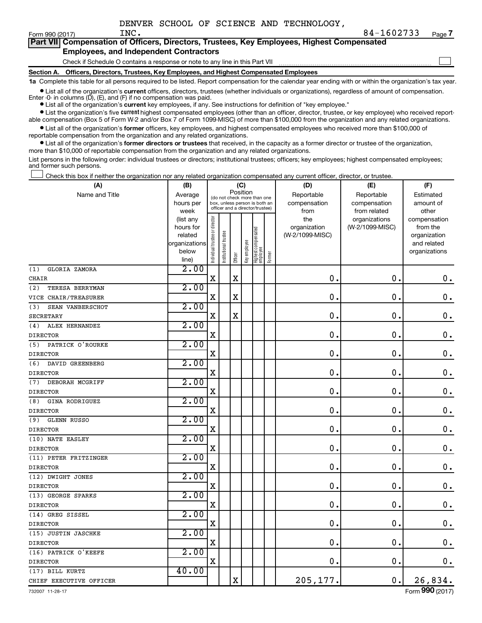$\Box$ 

| Part VII Compensation of Officers, Directors, Trustees, Key Employees, Highest Compensated |
|--------------------------------------------------------------------------------------------|
| <b>Employees, and Independent Contractors</b>                                              |
|                                                                                            |

Check if Schedule O contains a response or note to any line in this Part VII

Form 990  $(2017)$  INC.

**Section A. Officers, Directors, Trustees, Key Employees, and Highest Compensated Employees**

**1a**  Complete this table for all persons required to be listed. Report compensation for the calendar year ending with or within the organization's tax year.

**•** List all of the organization's current officers, directors, trustees (whether individuals or organizations), regardless of amount of compensation. Enter -0- in columns  $(D)$ ,  $(E)$ , and  $(F)$  if no compensation was paid.

**•** List all of the organization's **current** key employees, if any. See instructions for definition of "key employee."

**•** List the organization's five current highest compensated employees (other than an officer, director, trustee, or key employee) who received reportable compensation (Box 5 of Form W-2 and/or Box 7 of Form 1099-MISC) of more than \$100,000 from the organization and any related organizations.

**•** List all of the organization's former officers, key employees, and highest compensated employees who received more than \$100,000 of reportable compensation from the organization and any related organizations.

**•** List all of the organization's former directors or trustees that received, in the capacity as a former director or trustee of the organization, more than \$10,000 of reportable compensation from the organization and any related organizations.

List persons in the following order: individual trustees or directors; institutional trustees; officers; key employees; highest compensated employees; and former such persons.

Check this box if neither the organization nor any related organization compensated any current officer, director, or trustee. †

| (A)                          | (B)                    |                                |                                                                  |             | (C)          |                                 |        | (D)                 | (E)                              | (F)                      |
|------------------------------|------------------------|--------------------------------|------------------------------------------------------------------|-------------|--------------|---------------------------------|--------|---------------------|----------------------------------|--------------------------|
| Name and Title               | Average                |                                | (do not check more than one                                      | Position    |              |                                 |        | Reportable          | Reportable                       | Estimated                |
|                              | hours per              |                                | box, unless person is both an<br>officer and a director/trustee) |             |              |                                 |        | compensation        | compensation                     | amount of                |
|                              | week                   |                                |                                                                  |             |              |                                 |        | from                | from related                     | other                    |
|                              | (list any<br>hours for |                                |                                                                  |             |              |                                 |        | the<br>organization | organizations<br>(W-2/1099-MISC) | compensation<br>from the |
|                              | related                |                                |                                                                  |             |              |                                 |        | (W-2/1099-MISC)     |                                  | organization             |
|                              | organizations          |                                |                                                                  |             |              |                                 |        |                     |                                  | and related              |
|                              | below                  |                                |                                                                  |             |              |                                 |        |                     |                                  | organizations            |
|                              | line)                  | Individual trustee or director | Institutional trustee                                            | Officer     | Key employee | Highest compensated<br>employee | Former |                     |                                  |                          |
| GLORIA ZAMORA<br>(1)         | 2.00                   |                                |                                                                  |             |              |                                 |        |                     |                                  |                          |
| <b>CHAIR</b>                 |                        | $\mathbf X$                    |                                                                  | $\mathbf X$ |              |                                 |        | 0.                  | $\mathbf 0$ .                    | $\mathbf 0$ .            |
| (2)<br>TERESA BERRYMAN       | 2.00                   |                                |                                                                  |             |              |                                 |        |                     |                                  |                          |
| VICE CHAIR/TREASURER         |                        | $\mathbf X$                    |                                                                  | $\mathbf X$ |              |                                 |        | 0                   | 0.                               | $\mathbf 0$ .            |
| (3)<br>SEAN VANBERSCHOT      | 2.00                   |                                |                                                                  |             |              |                                 |        |                     |                                  |                          |
| <b>SECRETARY</b>             |                        | X                              |                                                                  | $\mathbf X$ |              |                                 |        | $\mathbf 0$         | 0.                               | $\mathbf 0$ .            |
| ALEX HERNANDEZ<br>(4)        | 2.00                   |                                |                                                                  |             |              |                                 |        |                     |                                  |                          |
| <b>DIRECTOR</b>              |                        | $\mathbf X$                    |                                                                  |             |              |                                 |        | $\mathbf 0$         | $\mathbf 0$ .                    | $\mathbf 0$ .            |
| PATRICK O'ROURKE<br>(5)      | 2.00                   |                                |                                                                  |             |              |                                 |        |                     |                                  |                          |
| <b>DIRECTOR</b>              |                        | $\mathbf X$                    |                                                                  |             |              |                                 |        | $\mathbf 0$         | $\mathbf 0$ .                    | $\mathbf 0$ .            |
| (6)<br>DAVID GREENBERG       | 2.00                   |                                |                                                                  |             |              |                                 |        |                     |                                  |                          |
| <b>DIRECTOR</b>              |                        | $\rm X$                        |                                                                  |             |              |                                 |        | $\mathbf 0$         | $\mathbf 0$ .                    | $\boldsymbol{0}$ .       |
| DEBORAH MCGRIFF<br>(7)       | 2.00                   |                                |                                                                  |             |              |                                 |        |                     |                                  |                          |
| <b>DIRECTOR</b>              |                        | X                              |                                                                  |             |              |                                 |        | $\mathbf 0$         | 0.                               | $\mathbf 0$ .            |
| (8)<br><b>GINA RODRIGUEZ</b> | 2.00                   |                                |                                                                  |             |              |                                 |        |                     |                                  |                          |
| <b>DIRECTOR</b>              |                        | $\mathbf X$                    |                                                                  |             |              |                                 |        | $\mathbf 0$         | 0.                               | $\mathbf 0$ .            |
| (9)<br><b>GLENN RUSSO</b>    | 2.00                   |                                |                                                                  |             |              |                                 |        |                     |                                  |                          |
| <b>DIRECTOR</b>              |                        | $\mathbf X$                    |                                                                  |             |              |                                 |        | $\mathbf 0$         | $\mathbf 0$ .                    | $\mathbf 0$ .            |
| (10) NATE EASLEY             | 2.00                   |                                |                                                                  |             |              |                                 |        |                     |                                  |                          |
| <b>DIRECTOR</b>              |                        | $\mathbf X$                    |                                                                  |             |              |                                 |        | $\mathbf 0$         | 0.                               | $0$ .                    |
| (11) PETER FRITZINGER        | 2.00                   |                                |                                                                  |             |              |                                 |        |                     |                                  |                          |
| <b>DIRECTOR</b>              |                        | $\mathbf X$                    |                                                                  |             |              |                                 |        | 0                   | 0.                               | $0$ .                    |
| (12) DWIGHT JONES            | 2.00                   |                                |                                                                  |             |              |                                 |        |                     |                                  |                          |
| <b>DIRECTOR</b>              |                        | $\mathbf X$                    |                                                                  |             |              |                                 |        | $\mathbf 0$         | $\mathbf 0$                      | $\mathbf 0$ .            |
| (13) GEORGE SPARKS           | 2.00                   |                                |                                                                  |             |              |                                 |        |                     |                                  |                          |
| <b>DIRECTOR</b>              |                        | $\mathbf X$                    |                                                                  |             |              |                                 |        | $\mathbf 0$         | 0.                               | $0$ .                    |
| (14) GREG SISSEL             | 2.00                   |                                |                                                                  |             |              |                                 |        |                     |                                  |                          |
| <b>DIRECTOR</b>              |                        | $\mathbf X$                    |                                                                  |             |              |                                 |        | $\mathbf 0$         | $\mathbf 0$ .                    | 0.                       |
| (15) JUSTIN JASCHKE          | 2.00                   |                                |                                                                  |             |              |                                 |        |                     |                                  |                          |
| <b>DIRECTOR</b>              |                        | $\rm X$                        |                                                                  |             |              |                                 |        | 0                   | $\mathbf 0$ .                    | $\mathbf 0$ .            |
| (16) PATRICK O'KEEFE         | 2.00                   |                                |                                                                  |             |              |                                 |        |                     |                                  |                          |
| <b>DIRECTOR</b>              |                        | $\rm X$                        |                                                                  |             |              |                                 |        | 0                   | $\mathbf 0$                      | $\mathbf 0$ .            |
| (17) BILL KURTZ              | 40.00                  |                                |                                                                  |             |              |                                 |        |                     |                                  |                          |
| CHIEF EXECUTIVE OFFICER      |                        |                                |                                                                  | $\mathbf X$ |              |                                 |        | 205,177.            | $\mathbf 0$ .                    | 26,834.                  |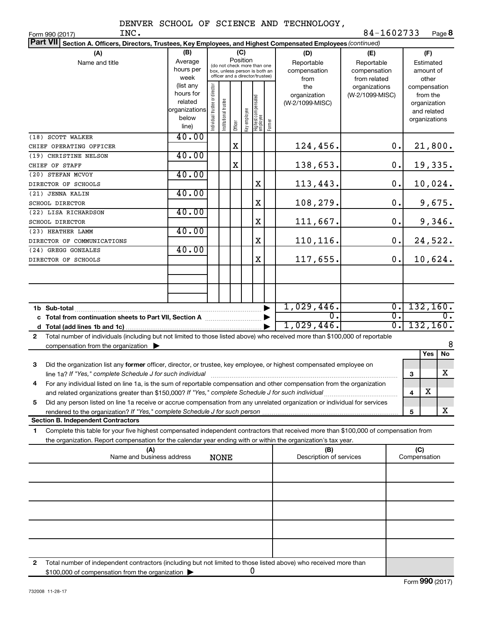Form 990 (2017) Page **8** INC. 84-1602733

|                       | Part VII Section A. Officers, Directors, Trustees, Key Employees, and Highest Compensated Employees (continued)                                                                    |                                                         |                                                                                                                    |                       |         |              |                                 |                                                                                                |                                        |                                  |                                                        |                     |                                                          |           |
|-----------------------|------------------------------------------------------------------------------------------------------------------------------------------------------------------------------------|---------------------------------------------------------|--------------------------------------------------------------------------------------------------------------------|-----------------------|---------|--------------|---------------------------------|------------------------------------------------------------------------------------------------|----------------------------------------|----------------------------------|--------------------------------------------------------|---------------------|----------------------------------------------------------|-----------|
| (A)<br>Name and title |                                                                                                                                                                                    | (B)<br>Average<br>hours per<br>week<br>(list any        | (C)<br>Position<br>(do not check more than one<br>box, unless person is both an<br>officer and a director/trustee) |                       |         |              |                                 | (D)<br>(E)<br>Reportable<br>Reportable<br>compensation<br>compensation<br>from<br>from related |                                        |                                  | (F)<br>Estimated<br>amount of<br>other<br>compensation |                     |                                                          |           |
|                       |                                                                                                                                                                                    | hours for<br>related<br>organizations<br>below<br>line) | Individual trustee or director                                                                                     | Institutional trustee | Officer | Key employee | Highest compensated<br>employee | Former                                                                                         | the<br>organization<br>(W-2/1099-MISC) | organizations<br>(W-2/1099-MISC) |                                                        |                     | from the<br>organization<br>and related<br>organizations |           |
|                       | (18) SCOTT WALKER<br>CHIEF OPERATING OFFICER                                                                                                                                       | 40.00                                                   |                                                                                                                    |                       | X       |              |                                 |                                                                                                | 124,456.                               |                                  | 0.                                                     |                     |                                                          | 21,800.   |
|                       | (19) CHRISTINE NELSON                                                                                                                                                              | 40.00                                                   |                                                                                                                    |                       |         |              |                                 |                                                                                                |                                        |                                  |                                                        |                     |                                                          |           |
|                       | CHIEF OF STAFF                                                                                                                                                                     |                                                         |                                                                                                                    |                       | X       |              |                                 |                                                                                                | 138,653.                               |                                  | 0.                                                     |                     |                                                          | 19,335.   |
|                       | (20) STEFAN MCVOY                                                                                                                                                                  | 40.00                                                   |                                                                                                                    |                       |         |              |                                 |                                                                                                |                                        |                                  |                                                        |                     |                                                          |           |
|                       | DIRECTOR OF SCHOOLS                                                                                                                                                                |                                                         |                                                                                                                    |                       |         |              | $\mathbf X$                     |                                                                                                | 113,443.                               |                                  | 0.                                                     |                     |                                                          | 10,024.   |
|                       | (21) JENNA KALIN                                                                                                                                                                   | 40.00                                                   |                                                                                                                    |                       |         |              |                                 |                                                                                                |                                        |                                  |                                                        |                     |                                                          |           |
|                       | SCHOOL DIRECTOR                                                                                                                                                                    |                                                         |                                                                                                                    |                       |         |              | $\mathbf X$                     |                                                                                                | 108,279.                               |                                  | $\mathbf 0$ .                                          |                     |                                                          | 9,675.    |
|                       | (22) LISA RICHARDSON                                                                                                                                                               | 40.00                                                   |                                                                                                                    |                       |         |              |                                 |                                                                                                |                                        |                                  |                                                        |                     |                                                          |           |
|                       | SCHOOL DIRECTOR                                                                                                                                                                    |                                                         |                                                                                                                    |                       |         |              | $\mathbf X$                     |                                                                                                | 111,667.                               |                                  | $\mathbf 0$ .                                          |                     |                                                          | 9,346.    |
|                       | (23) HEATHER LAMM                                                                                                                                                                  | 40.00                                                   |                                                                                                                    |                       |         |              |                                 |                                                                                                |                                        |                                  |                                                        |                     |                                                          |           |
|                       | DIRECTOR OF COMMUNICATIONS                                                                                                                                                         |                                                         |                                                                                                                    |                       |         |              | $\mathbf X$                     |                                                                                                | 110,116.                               |                                  | 0.                                                     |                     |                                                          | 24,522.   |
|                       | (24) GREGG GONZALES<br>DIRECTOR OF SCHOOLS                                                                                                                                         | 40.00                                                   |                                                                                                                    |                       |         |              | $\mathbf X$                     |                                                                                                | 117,655.                               |                                  | 0.                                                     |                     |                                                          | 10,624.   |
|                       |                                                                                                                                                                                    |                                                         |                                                                                                                    |                       |         |              |                                 |                                                                                                |                                        |                                  |                                                        |                     |                                                          |           |
|                       |                                                                                                                                                                                    |                                                         |                                                                                                                    |                       |         |              |                                 |                                                                                                |                                        |                                  |                                                        |                     |                                                          |           |
|                       |                                                                                                                                                                                    |                                                         |                                                                                                                    |                       |         |              |                                 |                                                                                                |                                        |                                  |                                                        |                     |                                                          |           |
|                       |                                                                                                                                                                                    |                                                         |                                                                                                                    |                       |         |              |                                 |                                                                                                | 1,029,446.                             |                                  | $\overline{0}$ .                                       |                     |                                                          | 132, 160. |
|                       |                                                                                                                                                                                    |                                                         |                                                                                                                    |                       |         |              |                                 |                                                                                                | $\Omega$ .                             |                                  | $\overline{\mathfrak{o}}$ .                            | $\overline{0}$ .    |                                                          |           |
|                       |                                                                                                                                                                                    |                                                         |                                                                                                                    |                       |         |              |                                 |                                                                                                | 1,029,446.                             |                                  | σ.                                                     | 132, 160.           |                                                          |           |
| $\mathbf{2}$          | Total number of individuals (including but not limited to those listed above) who received more than \$100,000 of reportable                                                       |                                                         |                                                                                                                    |                       |         |              |                                 |                                                                                                |                                        |                                  |                                                        |                     |                                                          |           |
|                       | compensation from the organization $\blacktriangleright$                                                                                                                           |                                                         |                                                                                                                    |                       |         |              |                                 |                                                                                                |                                        |                                  |                                                        |                     |                                                          | 8         |
|                       |                                                                                                                                                                                    |                                                         |                                                                                                                    |                       |         |              |                                 |                                                                                                |                                        |                                  |                                                        |                     | Yes                                                      | No        |
| 3                     | Did the organization list any former officer, director, or trustee, key employee, or highest compensated employee on<br>line 1a? If "Yes," complete Schedule J for such individual |                                                         |                                                                                                                    |                       |         |              |                                 |                                                                                                |                                        |                                  |                                                        | 3                   |                                                          | x         |
| 4                     | For any individual listed on line 1a, is the sum of reportable compensation and other compensation from the organization                                                           |                                                         |                                                                                                                    |                       |         |              |                                 |                                                                                                |                                        |                                  |                                                        |                     |                                                          |           |
|                       |                                                                                                                                                                                    |                                                         |                                                                                                                    |                       |         |              |                                 |                                                                                                |                                        |                                  |                                                        | 4                   | X                                                        |           |
| 5                     | Did any person listed on line 1a receive or accrue compensation from any unrelated organization or individual for services                                                         |                                                         |                                                                                                                    |                       |         |              |                                 |                                                                                                |                                        |                                  |                                                        |                     |                                                          | x         |
|                       | rendered to the organization? If "Yes," complete Schedule J for such person.<br><b>Section B. Independent Contractors</b>                                                          |                                                         |                                                                                                                    |                       |         |              |                                 |                                                                                                |                                        |                                  |                                                        | 5                   |                                                          |           |
| 1                     | Complete this table for your five highest compensated independent contractors that received more than \$100,000 of compensation from                                               |                                                         |                                                                                                                    |                       |         |              |                                 |                                                                                                |                                        |                                  |                                                        |                     |                                                          |           |
|                       | the organization. Report compensation for the calendar year ending with or within the organization's tax year.                                                                     |                                                         |                                                                                                                    |                       |         |              |                                 |                                                                                                |                                        |                                  |                                                        |                     |                                                          |           |
|                       | (A)<br>Name and business address                                                                                                                                                   |                                                         |                                                                                                                    | <b>NONE</b>           |         |              |                                 |                                                                                                | (B)<br>Description of services         |                                  |                                                        | (C)<br>Compensation |                                                          |           |
|                       |                                                                                                                                                                                    |                                                         |                                                                                                                    |                       |         |              |                                 |                                                                                                |                                        |                                  |                                                        |                     |                                                          |           |
|                       |                                                                                                                                                                                    |                                                         |                                                                                                                    |                       |         |              |                                 |                                                                                                |                                        |                                  |                                                        |                     |                                                          |           |
|                       |                                                                                                                                                                                    |                                                         |                                                                                                                    |                       |         |              |                                 |                                                                                                |                                        |                                  |                                                        |                     |                                                          |           |
|                       |                                                                                                                                                                                    |                                                         |                                                                                                                    |                       |         |              |                                 |                                                                                                |                                        |                                  |                                                        |                     |                                                          |           |
|                       |                                                                                                                                                                                    |                                                         |                                                                                                                    |                       |         |              |                                 |                                                                                                |                                        |                                  |                                                        |                     |                                                          |           |
|                       |                                                                                                                                                                                    |                                                         |                                                                                                                    |                       |         |              |                                 |                                                                                                |                                        |                                  |                                                        |                     |                                                          |           |
| 2                     | Total number of independent contractors (including but not limited to those listed above) who received more than                                                                   |                                                         |                                                                                                                    |                       |         |              |                                 |                                                                                                |                                        |                                  |                                                        |                     |                                                          |           |
|                       | \$100,000 of compensation from the organization                                                                                                                                    |                                                         |                                                                                                                    |                       |         |              | 0                               |                                                                                                |                                        |                                  |                                                        |                     |                                                          |           |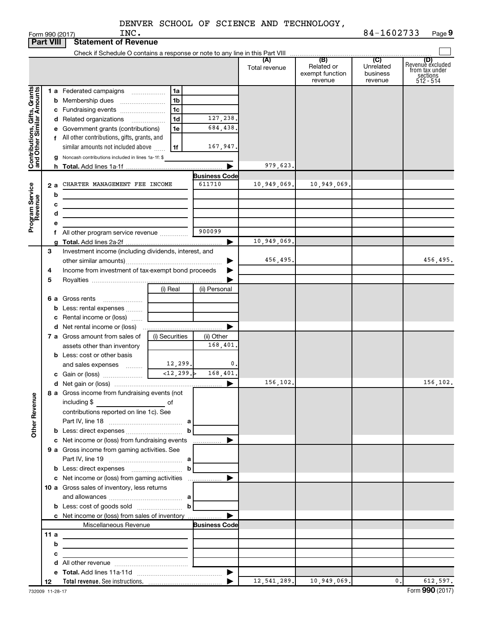|                                                           | <b>Part VIII</b> | <b>Statement of Revenue</b>                                                                                           |                      |                       |                      |                                                 |                                         |                                                                    |
|-----------------------------------------------------------|------------------|-----------------------------------------------------------------------------------------------------------------------|----------------------|-----------------------|----------------------|-------------------------------------------------|-----------------------------------------|--------------------------------------------------------------------|
|                                                           |                  |                                                                                                                       |                      |                       |                      |                                                 |                                         |                                                                    |
|                                                           |                  |                                                                                                                       |                      |                       | (A)<br>Total revenue | (B)<br>Related or<br>exempt function<br>revenue | (C)<br>Unrelated<br>business<br>revenue | (D)<br>Revenue excluded<br>from tax under<br>sections<br>512 - 514 |
|                                                           |                  | <b>1 a</b> Federated campaigns                                                                                        | 1a                   |                       |                      |                                                 |                                         |                                                                    |
|                                                           |                  | <b>b</b> Membership dues                                                                                              | 1b                   |                       |                      |                                                 |                                         |                                                                    |
|                                                           |                  | c Fundraising events                                                                                                  | 1c                   |                       |                      |                                                 |                                         |                                                                    |
|                                                           |                  | d Related organizations<br>.                                                                                          | 1d                   | 127,238.              |                      |                                                 |                                         |                                                                    |
|                                                           |                  | e Government grants (contributions)                                                                                   | 1е                   | 684,438.              |                      |                                                 |                                         |                                                                    |
| Contributions, Gifts, Grants<br>and Other Similar Amounts |                  | f All other contributions, gifts, grants, and                                                                         |                      |                       |                      |                                                 |                                         |                                                                    |
|                                                           |                  | similar amounts not included above                                                                                    | 1f                   | 167,947.              |                      |                                                 |                                         |                                                                    |
|                                                           |                  | g Noncash contributions included in lines 1a-1f: \$                                                                   |                      |                       |                      |                                                 |                                         |                                                                    |
|                                                           |                  |                                                                                                                       |                      |                       | 979,623.             |                                                 |                                         |                                                                    |
|                                                           |                  |                                                                                                                       |                      | <b>Business Code</b>  |                      |                                                 |                                         |                                                                    |
|                                                           | 2 a              | CHARTER MANAGEMENT FEE INCOME                                                                                         |                      | 611710                | 10,949,069.          | 10,949,069                                      |                                         |                                                                    |
| Program Service<br>Revenue                                | b                |                                                                                                                       |                      |                       |                      |                                                 |                                         |                                                                    |
|                                                           | с<br>d           |                                                                                                                       |                      |                       |                      |                                                 |                                         |                                                                    |
|                                                           |                  |                                                                                                                       |                      |                       |                      |                                                 |                                         |                                                                    |
|                                                           |                  | f All other program service revenue                                                                                   |                      | 900099                |                      |                                                 |                                         |                                                                    |
|                                                           |                  |                                                                                                                       |                      |                       | 10,949,069           |                                                 |                                         |                                                                    |
|                                                           | 3                | Investment income (including dividends, interest, and                                                                 |                      |                       |                      |                                                 |                                         |                                                                    |
|                                                           |                  |                                                                                                                       |                      |                       | 456,495.             |                                                 |                                         | 456,495.                                                           |
|                                                           | 4                | Income from investment of tax-exempt bond proceeds                                                                    |                      |                       |                      |                                                 |                                         |                                                                    |
|                                                           | 5                |                                                                                                                       |                      |                       |                      |                                                 |                                         |                                                                    |
|                                                           |                  |                                                                                                                       | (i) Real             | (ii) Personal         |                      |                                                 |                                         |                                                                    |
|                                                           | 6а               | Gross rents                                                                                                           |                      |                       |                      |                                                 |                                         |                                                                    |
|                                                           | b                | Less: rental expenses                                                                                                 |                      |                       |                      |                                                 |                                         |                                                                    |
|                                                           |                  | c Rental income or (loss)                                                                                             |                      |                       |                      |                                                 |                                         |                                                                    |
|                                                           |                  |                                                                                                                       |                      |                       |                      |                                                 |                                         |                                                                    |
|                                                           |                  | 7 a Gross amount from sales of                                                                                        | (i) Securities       | (ii) Other<br>168,401 |                      |                                                 |                                         |                                                                    |
|                                                           |                  | assets other than inventory<br><b>b</b> Less: cost or other basis                                                     |                      |                       |                      |                                                 |                                         |                                                                    |
|                                                           |                  | and sales expenses                                                                                                    | 12,299.              | 0.                    |                      |                                                 |                                         |                                                                    |
|                                                           |                  |                                                                                                                       | $\overline{12,299.}$ | 168,401.              |                      |                                                 |                                         |                                                                    |
|                                                           |                  |                                                                                                                       |                      |                       | 156,102.             |                                                 |                                         | 156,102.                                                           |
|                                                           |                  | 8 a Gross income from fundraising events (not                                                                         |                      |                       |                      |                                                 |                                         |                                                                    |
| <b>Other Revenue</b>                                      |                  | including \$<br><u> 1990 - Johann Barbara, martin a</u>                                                               | of                   |                       |                      |                                                 |                                         |                                                                    |
|                                                           |                  | contributions reported on line 1c). See                                                                               |                      |                       |                      |                                                 |                                         |                                                                    |
|                                                           |                  |                                                                                                                       |                      |                       |                      |                                                 |                                         |                                                                    |
|                                                           |                  |                                                                                                                       |                      |                       |                      |                                                 |                                         |                                                                    |
|                                                           |                  |                                                                                                                       |                      |                       |                      |                                                 |                                         |                                                                    |
|                                                           |                  | 9 a Gross income from gaming activities. See                                                                          |                      |                       |                      |                                                 |                                         |                                                                    |
|                                                           |                  |                                                                                                                       |                      |                       |                      |                                                 |                                         |                                                                    |
|                                                           |                  |                                                                                                                       |                      |                       |                      |                                                 |                                         |                                                                    |
|                                                           |                  | 10 a Gross sales of inventory, less returns                                                                           |                      |                       |                      |                                                 |                                         |                                                                    |
|                                                           |                  |                                                                                                                       |                      |                       |                      |                                                 |                                         |                                                                    |
|                                                           |                  | <b>b</b> Less: cost of goods sold $\ldots$ <b>b</b>                                                                   |                      |                       |                      |                                                 |                                         |                                                                    |
|                                                           |                  | c Net income or (loss) from sales of inventory                                                                        |                      |                       |                      |                                                 |                                         |                                                                    |
|                                                           |                  | Miscellaneous Revenue                                                                                                 |                      | <b>Business Code</b>  |                      |                                                 |                                         |                                                                    |
|                                                           | 11 a             |                                                                                                                       |                      |                       |                      |                                                 |                                         |                                                                    |
|                                                           | b                | <u> 1989 - Johann Barbara, martin amerikan basar dan berasal dalam basar dalam basar dalam basar dalam basar dala</u> |                      |                       |                      |                                                 |                                         |                                                                    |
|                                                           | с                | <u> 1989 - Johann Barbara, martin a</u>                                                                               |                      |                       |                      |                                                 |                                         |                                                                    |
|                                                           |                  |                                                                                                                       |                      |                       |                      |                                                 |                                         |                                                                    |
|                                                           |                  |                                                                                                                       |                      | $\blacktriangleright$ |                      |                                                 |                                         |                                                                    |
|                                                           | 12               |                                                                                                                       |                      |                       | 12,541,289.          | 10,949,069.                                     | 0.                                      | 612,597.                                                           |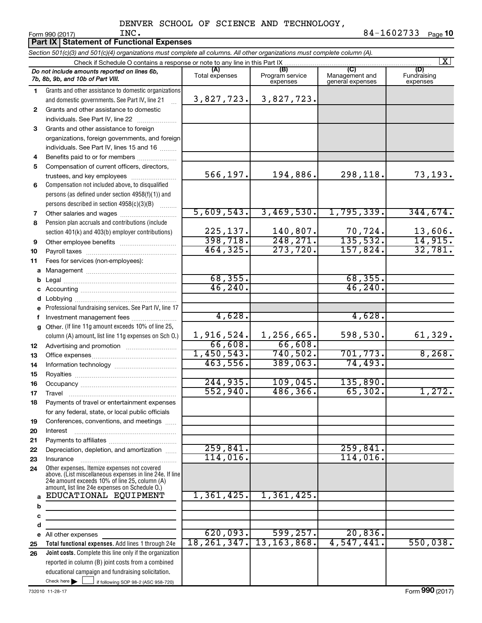|          | <b>Part IX Statement of Functional Expenses</b>                                                                            |                       |                                    |                                           |                                |
|----------|----------------------------------------------------------------------------------------------------------------------------|-----------------------|------------------------------------|-------------------------------------------|--------------------------------|
|          | Section 501(c)(3) and 501(c)(4) organizations must complete all columns. All other organizations must complete column (A). |                       |                                    |                                           |                                |
|          | Check if Schedule O contains a response or note to any line in this Part IX                                                |                       |                                    |                                           | $\mathbf{X}$                   |
|          | Do not include amounts reported on lines 6b,<br>7b, 8b, 9b, and 10b of Part VIII.                                          | (A)<br>Total expenses | (B)<br>Program service<br>expenses | (C)<br>Management and<br>general expenses | (D)<br>Fundraising<br>expenses |
| 1        | Grants and other assistance to domestic organizations                                                                      |                       |                                    |                                           |                                |
|          | and domestic governments. See Part IV, line 21                                                                             | 3,827,723.            | 3,827,723.                         |                                           |                                |
| 2        | Grants and other assistance to domestic                                                                                    |                       |                                    |                                           |                                |
|          | individuals. See Part IV, line 22                                                                                          |                       |                                    |                                           |                                |
| 3        | Grants and other assistance to foreign                                                                                     |                       |                                    |                                           |                                |
|          | organizations, foreign governments, and foreign                                                                            |                       |                                    |                                           |                                |
|          | individuals. See Part IV, lines 15 and 16                                                                                  |                       |                                    |                                           |                                |
| 4        | Benefits paid to or for members                                                                                            |                       |                                    |                                           |                                |
| 5        | Compensation of current officers, directors,                                                                               |                       |                                    |                                           |                                |
|          | trustees, and key employees                                                                                                | 566,197.              | 194,886.                           | 298,118.                                  | 73,193.                        |
| 6        | Compensation not included above, to disqualified                                                                           |                       |                                    |                                           |                                |
|          | persons (as defined under section 4958(f)(1)) and                                                                          |                       |                                    |                                           |                                |
|          | persons described in section 4958(c)(3)(B)<br>$\sim$                                                                       | 5,609,543.            | 3,469,530.                         | 1,795,339.                                | 344,674.                       |
| 7<br>8   | Other salaries and wages<br>Pension plan accruals and contributions (include                                               |                       |                                    |                                           |                                |
|          | section 401(k) and 403(b) employer contributions)                                                                          | 225, 137.             | 140,807.                           | 70,724.                                   | 13,606.                        |
| 9        | Other employee benefits                                                                                                    | 398,718.              | 248, 271.                          | 135,532.                                  | 14,915.                        |
| 10       |                                                                                                                            | 464, 325.             | 273,720.                           | 157,824.                                  | 32,781.                        |
| 11       | Fees for services (non-employees):                                                                                         |                       |                                    |                                           |                                |
| а        |                                                                                                                            |                       |                                    |                                           |                                |
| b        |                                                                                                                            | 68, 355.              |                                    | 68, 355.                                  |                                |
|          |                                                                                                                            | 46, 240.              |                                    | 46, 240.                                  |                                |
| d        |                                                                                                                            |                       |                                    |                                           |                                |
| е        | Professional fundraising services. See Part IV, line 17                                                                    |                       |                                    |                                           |                                |
| f        | Investment management fees                                                                                                 | 4,628.                |                                    | 4,628.                                    |                                |
| g        | Other. (If line 11g amount exceeds 10% of line 25,                                                                         |                       |                                    |                                           |                                |
|          | column (A) amount, list line 11g expenses on Sch O.)                                                                       | 1,916,524.            | 1,256,665.                         | 598,530.                                  | 61,329.                        |
| 12       |                                                                                                                            | 66,608.               | 66,608.                            |                                           |                                |
| 13       |                                                                                                                            | 1,450,543.            | 740,502.                           | 701, 773.                                 | 8,268.                         |
| 14       |                                                                                                                            | 463,556.              | 389,063.                           | 74,493.                                   |                                |
| 15       |                                                                                                                            |                       |                                    |                                           |                                |
| 16       |                                                                                                                            | 244,935.              | 109,045.                           | 135,890.                                  |                                |
| 17       | Travel                                                                                                                     | 552,940.              | 486, 366.                          | 65,302.                                   | 1,272.                         |
| 18       | Payments of travel or entertainment expenses                                                                               |                       |                                    |                                           |                                |
|          | for any federal, state, or local public officials                                                                          |                       |                                    |                                           |                                |
| 19       | Conferences, conventions, and meetings                                                                                     |                       |                                    |                                           |                                |
| 20<br>21 | Interest                                                                                                                   |                       |                                    |                                           |                                |
| 22       | Depreciation, depletion, and amortization                                                                                  | 259,841.              |                                    | 259,841.                                  |                                |
| 23       | Insurance                                                                                                                  | 114,016.              |                                    | 114,016.                                  |                                |
| 24       | Other expenses. Itemize expenses not covered<br>above. (List miscellaneous expenses in line 24e. If line                   |                       |                                    |                                           |                                |
|          | 24e amount exceeds 10% of line 25, column (A)<br>amount, list line 24e expenses on Schedule O.)                            |                       |                                    |                                           |                                |
| a        | EDUCATIONAL EQUIPMENT                                                                                                      | 1,361,425.            | 1,361,425.                         |                                           |                                |
| b        |                                                                                                                            |                       |                                    |                                           |                                |
| c        | the control of the control of the control of the control of                                                                |                       |                                    |                                           |                                |
| d        |                                                                                                                            |                       |                                    |                                           |                                |
|          | e All other expenses                                                                                                       | 620,093.              | 599, 257.                          | 20,836.                                   |                                |
| 25       | Total functional expenses. Add lines 1 through 24e                                                                         | 18, 261, 347.         | 13, 163, 868.                      | 4,547,441.                                | 550,038.                       |
| 26       | Joint costs. Complete this line only if the organization                                                                   |                       |                                    |                                           |                                |
|          | reported in column (B) joint costs from a combined                                                                         |                       |                                    |                                           |                                |
|          | educational campaign and fundraising solicitation.                                                                         |                       |                                    |                                           |                                |
|          | Check here $\blacktriangleright$<br>if following SOP 98-2 (ASC 958-720)                                                    |                       |                                    |                                           |                                |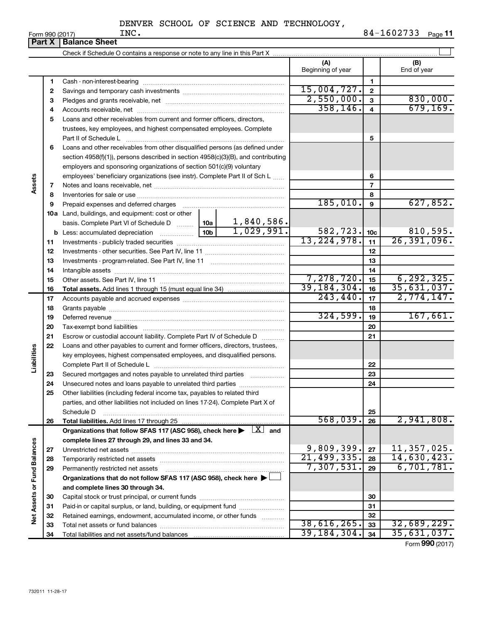**Part 390 (2017)** 

|                   | Part X   | ∣ Baiance Sneet                                                                                                                                                                                                                |                   |                 |                            |
|-------------------|----------|--------------------------------------------------------------------------------------------------------------------------------------------------------------------------------------------------------------------------------|-------------------|-----------------|----------------------------|
|                   |          |                                                                                                                                                                                                                                |                   |                 |                            |
|                   |          |                                                                                                                                                                                                                                | (A)               |                 | (B)                        |
|                   |          |                                                                                                                                                                                                                                | Beginning of year |                 | End of year                |
|                   | 1        |                                                                                                                                                                                                                                |                   | 1               |                            |
|                   | 2        |                                                                                                                                                                                                                                | 15,004,727.       | $\overline{2}$  |                            |
|                   | З        |                                                                                                                                                                                                                                | 2,550,000.        | 3               | 830,000.                   |
|                   | 4        |                                                                                                                                                                                                                                | 358, 146.         | $\overline{4}$  | 679, 169.                  |
|                   | 5        | Loans and other receivables from current and former officers, directors,                                                                                                                                                       |                   |                 |                            |
|                   |          | trustees, key employees, and highest compensated employees. Complete                                                                                                                                                           |                   |                 |                            |
|                   |          | Part II of Schedule L                                                                                                                                                                                                          |                   | 5               |                            |
|                   | 6        | Loans and other receivables from other disqualified persons (as defined under                                                                                                                                                  |                   |                 |                            |
|                   |          | section 4958(f)(1)), persons described in section 4958(c)(3)(B), and contributing                                                                                                                                              |                   |                 |                            |
|                   |          | employers and sponsoring organizations of section 501(c)(9) voluntary                                                                                                                                                          |                   |                 |                            |
|                   |          | employees' beneficiary organizations (see instr). Complete Part II of Sch L                                                                                                                                                    |                   | 6               |                            |
| Assets            | 7        |                                                                                                                                                                                                                                |                   | $\overline{7}$  |                            |
|                   | 8        |                                                                                                                                                                                                                                | 185,010.          | 8               |                            |
|                   | 9        | Prepaid expenses and deferred charges [11] matter contracts and contracts and deferred charges [11] matter contracts and contracts and contracts and contracts and contracts and contracts and contracts and contracts and con |                   | 9               | 627,852.                   |
|                   |          | 10a Land, buildings, and equipment: cost or other<br>1,840,586.                                                                                                                                                                |                   |                 |                            |
|                   |          | basis. Complete Part VI of Schedule D  [10a]<br>$\mathbb{R}^n$<br>1,029,991.                                                                                                                                                   | 582,723.          |                 | 810,595.                   |
|                   |          |                                                                                                                                                                                                                                | 13, 224, 978.     | 10 <sub>c</sub> | 26, 391, 096.              |
|                   | 11       |                                                                                                                                                                                                                                |                   | 11              |                            |
|                   | 12       |                                                                                                                                                                                                                                |                   | 12<br>13        |                            |
|                   | 13<br>14 |                                                                                                                                                                                                                                |                   | 14              |                            |
|                   | 15       |                                                                                                                                                                                                                                | 7,278,720.        | 15              | 6, 292, 325.               |
|                   | 16       |                                                                                                                                                                                                                                | 39, 184, 304.     | 16              | 35,631,037.                |
|                   | 17       |                                                                                                                                                                                                                                | 243,440.          | 17              | 2,774,147.                 |
|                   | 18       |                                                                                                                                                                                                                                |                   | 18              |                            |
|                   | 19       |                                                                                                                                                                                                                                | 324,599.          | 19              | 167,661.                   |
|                   | 20       |                                                                                                                                                                                                                                |                   | 20              |                            |
|                   | 21       | Escrow or custodial account liability. Complete Part IV of Schedule D                                                                                                                                                          |                   | 21              |                            |
|                   | 22       | Loans and other payables to current and former officers, directors, trustees,                                                                                                                                                  |                   |                 |                            |
| Liabilities       |          | key employees, highest compensated employees, and disqualified persons.                                                                                                                                                        |                   |                 |                            |
|                   |          |                                                                                                                                                                                                                                |                   | 22              |                            |
|                   | 23       | Secured mortgages and notes payable to unrelated third parties                                                                                                                                                                 |                   | 23              |                            |
|                   | 24       |                                                                                                                                                                                                                                |                   | 24              |                            |
|                   | 25       | Other liabilities (including federal income tax, payables to related third                                                                                                                                                     |                   |                 |                            |
|                   |          | parties, and other liabilities not included on lines 17-24). Complete Part X of                                                                                                                                                |                   |                 |                            |
|                   |          | Schedule D                                                                                                                                                                                                                     |                   | 25              |                            |
|                   | 26       |                                                                                                                                                                                                                                | 568,039.          | 26              | 2,941,808.                 |
|                   |          | Organizations that follow SFAS 117 (ASC 958), check here $\blacktriangleright \begin{array}{c} \boxed{X} \\ \end{array}$ and                                                                                                   |                   |                 |                            |
|                   |          | complete lines 27 through 29, and lines 33 and 34.                                                                                                                                                                             |                   |                 |                            |
|                   | 27       |                                                                                                                                                                                                                                | 9,809,399.        | 27              | 11, 357, 025.              |
| or Fund Balances  | 28       |                                                                                                                                                                                                                                | 21,499,335.       | 28              | 14,630,423.                |
|                   | 29       | Permanently restricted net assets                                                                                                                                                                                              | 7,307,531.        | 29              | 6,701,781.                 |
|                   |          | Organizations that do not follow SFAS 117 (ASC 958), check here ▶                                                                                                                                                              |                   |                 |                            |
|                   |          | and complete lines 30 through 34.                                                                                                                                                                                              |                   |                 |                            |
|                   | 30       |                                                                                                                                                                                                                                |                   | 30              |                            |
|                   | 31       | Paid-in or capital surplus, or land, building, or equipment fund                                                                                                                                                               |                   | 31              |                            |
| <b>Net Assets</b> | 32       | Retained earnings, endowment, accumulated income, or other funds                                                                                                                                                               | 38,616,265.       | 32              |                            |
|                   | 33       |                                                                                                                                                                                                                                | 39, 184, 304.     | 33              | 32,689,229.<br>35,631,037. |
|                   | 34       |                                                                                                                                                                                                                                |                   | 34              | $000 \text{ hours}$        |

Form (2017) **990**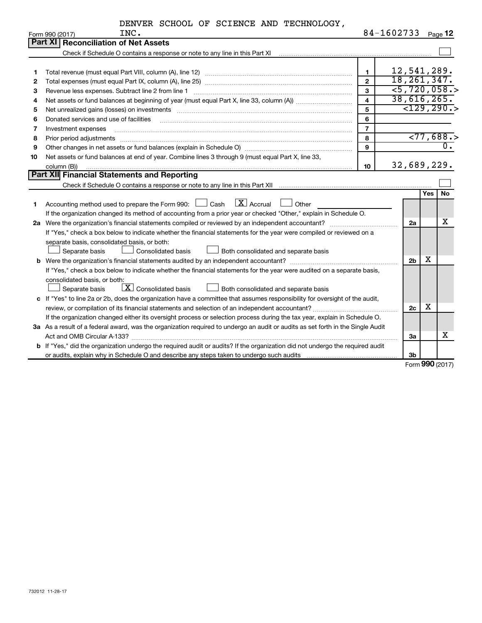|    | DENVER SCHOOL OF SCIENCE AND TECHNOLOGY,                                                                                        |                         |                |     |                        |
|----|---------------------------------------------------------------------------------------------------------------------------------|-------------------------|----------------|-----|------------------------|
|    | INC.<br>Form 990 (2017)                                                                                                         |                         | 84-1602733     |     | Page $12$              |
|    | Part XI<br><b>Reconciliation of Net Assets</b>                                                                                  |                         |                |     |                        |
|    |                                                                                                                                 |                         |                |     |                        |
|    |                                                                                                                                 |                         |                |     |                        |
| 1  |                                                                                                                                 | $\mathbf{1}$            | 12,541,289.    |     |                        |
| 2  |                                                                                                                                 | $\mathbf{2}$            | 18, 261, 347.  |     |                        |
| З  | Revenue less expenses. Subtract line 2 from line 1                                                                              | 3                       | 5,720,058.     |     |                        |
| 4  |                                                                                                                                 | $\overline{\mathbf{4}}$ | 38,616,265.    |     |                        |
| 5  |                                                                                                                                 | 5                       |                |     | $\overline{$ 129,290.} |
| 6  | Donated services and use of facilities                                                                                          | 6                       |                |     |                        |
| 7  | Investment expenses                                                                                                             | $\overline{7}$          |                |     |                        |
| 8  | Prior period adjustments                                                                                                        | 8                       |                |     | 277,688.               |
| 9  |                                                                                                                                 | $\mathbf{Q}$            |                |     |                        |
| 10 | Net assets or fund balances at end of year. Combine lines 3 through 9 (must equal Part X, line 33,                              |                         |                |     |                        |
|    | column (B))                                                                                                                     | 10                      | 32,689,229.    |     |                        |
|    | <b>Part XII Financial Statements and Reporting</b>                                                                              |                         |                |     |                        |
|    |                                                                                                                                 |                         |                |     |                        |
|    |                                                                                                                                 |                         |                | Yes | <b>No</b>              |
| 1. | $\boxed{\text{X}}$ Accrual<br>Accounting method used to prepare the Form 990: $\Box$ Cash<br>Other                              |                         |                |     |                        |
|    | If the organization changed its method of accounting from a prior year or checked "Other," explain in Schedule O.               |                         |                |     |                        |
|    | 2a Were the organization's financial statements compiled or reviewed by an independent accountant?                              |                         | 2a             |     | х                      |
|    | If "Yes," check a box below to indicate whether the financial statements for the year were compiled or reviewed on a            |                         |                |     |                        |
|    | separate basis, consolidated basis, or both:                                                                                    |                         |                |     |                        |
|    | Consolidated basis<br>Separate basis<br>Both consolidated and separate basis                                                    |                         |                |     |                        |
| b  |                                                                                                                                 |                         | 2 <sub>b</sub> | X   |                        |
|    | If "Yes," check a box below to indicate whether the financial statements for the year were audited on a separate basis,         |                         |                |     |                        |
|    | consolidated basis, or both:                                                                                                    |                         |                |     |                        |
|    | $\boxed{\textbf{X}}$ Consolidated basis<br>Both consolidated and separate basis<br>Separate basis                               |                         |                |     |                        |
|    | c If "Yes" to line 2a or 2b, does the organization have a committee that assumes responsibility for oversight of the audit,     |                         |                |     |                        |
|    |                                                                                                                                 |                         | 2c             | х   |                        |
|    | If the organization changed either its oversight process or selection process during the tax year, explain in Schedule O.       |                         |                |     |                        |
|    | 3a As a result of a federal award, was the organization required to undergo an audit or audits as set forth in the Single Audit |                         |                |     |                        |
|    |                                                                                                                                 |                         | 3a             |     | x                      |
|    | b If "Yes," did the organization undergo the required audit or audits? If the organization did not undergo the required audit   |                         |                |     |                        |
|    |                                                                                                                                 |                         | 3 <sub>b</sub> |     |                        |

Form (2017) **990**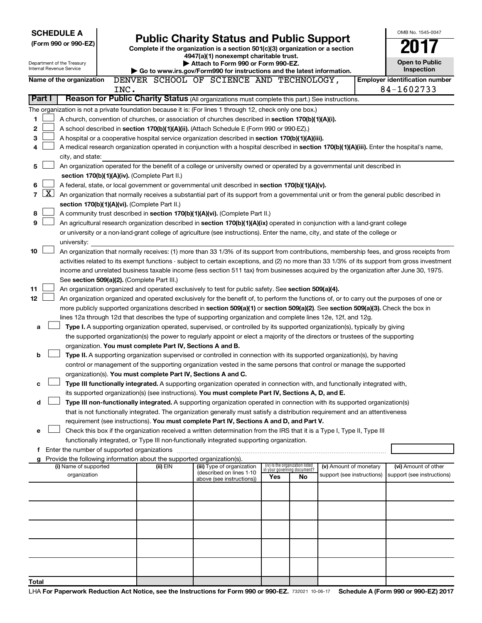| <b>SCHEDULE A</b><br>(Form 990 or 990-EZ)<br>Department of the Treasury<br>Internal Revenue Service                                                            |                                                                                                                                                                                               |                                                        | OMB No. 1545-0047<br><b>Public Charity Status and Public Support</b><br>Complete if the organization is a section 501(c)(3) organization or a section<br>4947(a)(1) nonexempt charitable trust.<br><b>Open to Public</b><br>Attach to Form 990 or Form 990-EZ.<br>Inspection<br>Go to www.irs.gov/Form990 for instructions and the latest information. |    |                            |  |                                       |  |
|----------------------------------------------------------------------------------------------------------------------------------------------------------------|-----------------------------------------------------------------------------------------------------------------------------------------------------------------------------------------------|--------------------------------------------------------|--------------------------------------------------------------------------------------------------------------------------------------------------------------------------------------------------------------------------------------------------------------------------------------------------------------------------------------------------------|----|----------------------------|--|---------------------------------------|--|
| Name of the organization                                                                                                                                       |                                                                                                                                                                                               | DENVER SCHOOL OF SCIENCE AND TECHNOLOGY,               |                                                                                                                                                                                                                                                                                                                                                        |    |                            |  | <b>Employer identification number</b> |  |
| INC.                                                                                                                                                           |                                                                                                                                                                                               |                                                        |                                                                                                                                                                                                                                                                                                                                                        |    |                            |  | 84-1602733                            |  |
| Reason for Public Charity Status (All organizations must complete this part.) See instructions.<br>Part I                                                      |                                                                                                                                                                                               |                                                        |                                                                                                                                                                                                                                                                                                                                                        |    |                            |  |                                       |  |
| The organization is not a private foundation because it is: (For lines 1 through 12, check only one box.)                                                      |                                                                                                                                                                                               |                                                        |                                                                                                                                                                                                                                                                                                                                                        |    |                            |  |                                       |  |
| A church, convention of churches, or association of churches described in section 170(b)(1)(A)(i).<br>1                                                        |                                                                                                                                                                                               |                                                        |                                                                                                                                                                                                                                                                                                                                                        |    |                            |  |                                       |  |
| 2<br>A school described in section 170(b)(1)(A)(ii). (Attach Schedule E (Form 990 or 990-EZ).)                                                                 |                                                                                                                                                                                               |                                                        |                                                                                                                                                                                                                                                                                                                                                        |    |                            |  |                                       |  |
| 3<br>A hospital or a cooperative hospital service organization described in section 170(b)(1)(A)(iii).                                                         |                                                                                                                                                                                               |                                                        |                                                                                                                                                                                                                                                                                                                                                        |    |                            |  |                                       |  |
| A medical research organization operated in conjunction with a hospital described in section 170(b)(1)(A)(iii). Enter the hospital's name,<br>4                |                                                                                                                                                                                               |                                                        |                                                                                                                                                                                                                                                                                                                                                        |    |                            |  |                                       |  |
| city, and state:                                                                                                                                               |                                                                                                                                                                                               |                                                        |                                                                                                                                                                                                                                                                                                                                                        |    |                            |  |                                       |  |
| 5<br>An organization operated for the benefit of a college or university owned or operated by a governmental unit described in                                 |                                                                                                                                                                                               |                                                        |                                                                                                                                                                                                                                                                                                                                                        |    |                            |  |                                       |  |
| section 170(b)(1)(A)(iv). (Complete Part II.)                                                                                                                  |                                                                                                                                                                                               |                                                        |                                                                                                                                                                                                                                                                                                                                                        |    |                            |  |                                       |  |
| 6                                                                                                                                                              | A federal, state, or local government or governmental unit described in section 170(b)(1)(A)(v).                                                                                              |                                                        |                                                                                                                                                                                                                                                                                                                                                        |    |                            |  |                                       |  |
| $\mathbf{X}$<br>7<br>An organization that normally receives a substantial part of its support from a governmental unit or from the general public described in |                                                                                                                                                                                               |                                                        |                                                                                                                                                                                                                                                                                                                                                        |    |                            |  |                                       |  |
| section 170(b)(1)(A)(vi). (Complete Part II.)                                                                                                                  |                                                                                                                                                                                               |                                                        |                                                                                                                                                                                                                                                                                                                                                        |    |                            |  |                                       |  |
| 8<br>A community trust described in section 170(b)(1)(A)(vi). (Complete Part II.)                                                                              |                                                                                                                                                                                               |                                                        |                                                                                                                                                                                                                                                                                                                                                        |    |                            |  |                                       |  |
| 9<br>An agricultural research organization described in section 170(b)(1)(A)(ix) operated in conjunction with a land-grant college                             |                                                                                                                                                                                               |                                                        |                                                                                                                                                                                                                                                                                                                                                        |    |                            |  |                                       |  |
| or university or a non-land-grant college of agriculture (see instructions). Enter the name, city, and state of the college or                                 |                                                                                                                                                                                               |                                                        |                                                                                                                                                                                                                                                                                                                                                        |    |                            |  |                                       |  |
| university:                                                                                                                                                    |                                                                                                                                                                                               |                                                        |                                                                                                                                                                                                                                                                                                                                                        |    |                            |  |                                       |  |
| 10<br>An organization that normally receives: (1) more than 33 1/3% of its support from contributions, membership fees, and gross receipts from                |                                                                                                                                                                                               |                                                        |                                                                                                                                                                                                                                                                                                                                                        |    |                            |  |                                       |  |
| activities related to its exempt functions - subject to certain exceptions, and (2) no more than 33 1/3% of its support from gross investment                  |                                                                                                                                                                                               |                                                        |                                                                                                                                                                                                                                                                                                                                                        |    |                            |  |                                       |  |
| income and unrelated business taxable income (less section 511 tax) from businesses acquired by the organization after June 30, 1975.                          |                                                                                                                                                                                               |                                                        |                                                                                                                                                                                                                                                                                                                                                        |    |                            |  |                                       |  |
| See section 509(a)(2). (Complete Part III.)                                                                                                                    |                                                                                                                                                                                               |                                                        |                                                                                                                                                                                                                                                                                                                                                        |    |                            |  |                                       |  |
| 11<br>An organization organized and operated exclusively to test for public safety. See section 509(a)(4).                                                     |                                                                                                                                                                                               |                                                        |                                                                                                                                                                                                                                                                                                                                                        |    |                            |  |                                       |  |
| 12<br>An organization organized and operated exclusively for the benefit of, to perform the functions of, or to carry out the purposes of one or               |                                                                                                                                                                                               |                                                        |                                                                                                                                                                                                                                                                                                                                                        |    |                            |  |                                       |  |
| more publicly supported organizations described in section 509(a)(1) or section 509(a)(2). See section 509(a)(3). Check the box in                             |                                                                                                                                                                                               |                                                        |                                                                                                                                                                                                                                                                                                                                                        |    |                            |  |                                       |  |
| lines 12a through 12d that describes the type of supporting organization and complete lines 12e, 12f, and 12g.                                                 |                                                                                                                                                                                               |                                                        |                                                                                                                                                                                                                                                                                                                                                        |    |                            |  |                                       |  |
| а                                                                                                                                                              | Type I. A supporting organization operated, supervised, or controlled by its supported organization(s), typically by giving                                                                   |                                                        |                                                                                                                                                                                                                                                                                                                                                        |    |                            |  |                                       |  |
|                                                                                                                                                                | the supported organization(s) the power to regularly appoint or elect a majority of the directors or trustees of the supporting<br>organization. You must complete Part IV, Sections A and B. |                                                        |                                                                                                                                                                                                                                                                                                                                                        |    |                            |  |                                       |  |
|                                                                                                                                                                |                                                                                                                                                                                               |                                                        |                                                                                                                                                                                                                                                                                                                                                        |    |                            |  |                                       |  |
| Type II. A supporting organization supervised or controlled in connection with its supported organization(s), by having<br>b                                   |                                                                                                                                                                                               |                                                        |                                                                                                                                                                                                                                                                                                                                                        |    |                            |  |                                       |  |
|                                                                                                                                                                | control or management of the supporting organization vested in the same persons that control or manage the supported<br>organization(s). You must complete Part IV, Sections A and C.         |                                                        |                                                                                                                                                                                                                                                                                                                                                        |    |                            |  |                                       |  |
| c                                                                                                                                                              | Type III functionally integrated. A supporting organization operated in connection with, and functionally integrated with,                                                                    |                                                        |                                                                                                                                                                                                                                                                                                                                                        |    |                            |  |                                       |  |
| its supported organization(s) (see instructions). You must complete Part IV, Sections A, D, and E.                                                             |                                                                                                                                                                                               |                                                        |                                                                                                                                                                                                                                                                                                                                                        |    |                            |  |                                       |  |
| Type III non-functionally integrated. A supporting organization operated in connection with its supported organization(s)<br>d                                 |                                                                                                                                                                                               |                                                        |                                                                                                                                                                                                                                                                                                                                                        |    |                            |  |                                       |  |
| that is not functionally integrated. The organization generally must satisfy a distribution requirement and an attentiveness                                   |                                                                                                                                                                                               |                                                        |                                                                                                                                                                                                                                                                                                                                                        |    |                            |  |                                       |  |
| requirement (see instructions). You must complete Part IV, Sections A and D, and Part V.                                                                       |                                                                                                                                                                                               |                                                        |                                                                                                                                                                                                                                                                                                                                                        |    |                            |  |                                       |  |
| Check this box if the organization received a written determination from the IRS that it is a Type I, Type II, Type III<br>е                                   |                                                                                                                                                                                               |                                                        |                                                                                                                                                                                                                                                                                                                                                        |    |                            |  |                                       |  |
| functionally integrated, or Type III non-functionally integrated supporting organization.                                                                      |                                                                                                                                                                                               |                                                        |                                                                                                                                                                                                                                                                                                                                                        |    |                            |  |                                       |  |
| f Enter the number of supported organizations                                                                                                                  |                                                                                                                                                                                               |                                                        |                                                                                                                                                                                                                                                                                                                                                        |    |                            |  |                                       |  |
| g Provide the following information about the supported organization(s).                                                                                       |                                                                                                                                                                                               |                                                        |                                                                                                                                                                                                                                                                                                                                                        |    |                            |  |                                       |  |
| (i) Name of supported                                                                                                                                          | (ii) EIN                                                                                                                                                                                      | (iii) Type of organization<br>(described on lines 1-10 | (iv) Is the organization listed<br>in your governing document?                                                                                                                                                                                                                                                                                         |    | (v) Amount of monetary     |  | (vi) Amount of other                  |  |
| organization                                                                                                                                                   |                                                                                                                                                                                               | above (see instructions))                              | Yes                                                                                                                                                                                                                                                                                                                                                    | No | support (see instructions) |  | support (see instructions)            |  |
|                                                                                                                                                                |                                                                                                                                                                                               |                                                        |                                                                                                                                                                                                                                                                                                                                                        |    |                            |  |                                       |  |
|                                                                                                                                                                |                                                                                                                                                                                               |                                                        |                                                                                                                                                                                                                                                                                                                                                        |    |                            |  |                                       |  |
|                                                                                                                                                                |                                                                                                                                                                                               |                                                        |                                                                                                                                                                                                                                                                                                                                                        |    |                            |  |                                       |  |
|                                                                                                                                                                |                                                                                                                                                                                               |                                                        |                                                                                                                                                                                                                                                                                                                                                        |    |                            |  |                                       |  |
|                                                                                                                                                                |                                                                                                                                                                                               |                                                        |                                                                                                                                                                                                                                                                                                                                                        |    |                            |  |                                       |  |
|                                                                                                                                                                |                                                                                                                                                                                               |                                                        |                                                                                                                                                                                                                                                                                                                                                        |    |                            |  |                                       |  |
|                                                                                                                                                                |                                                                                                                                                                                               |                                                        |                                                                                                                                                                                                                                                                                                                                                        |    |                            |  |                                       |  |
|                                                                                                                                                                |                                                                                                                                                                                               |                                                        |                                                                                                                                                                                                                                                                                                                                                        |    |                            |  |                                       |  |
|                                                                                                                                                                |                                                                                                                                                                                               |                                                        |                                                                                                                                                                                                                                                                                                                                                        |    |                            |  |                                       |  |
| Total                                                                                                                                                          |                                                                                                                                                                                               |                                                        |                                                                                                                                                                                                                                                                                                                                                        |    |                            |  |                                       |  |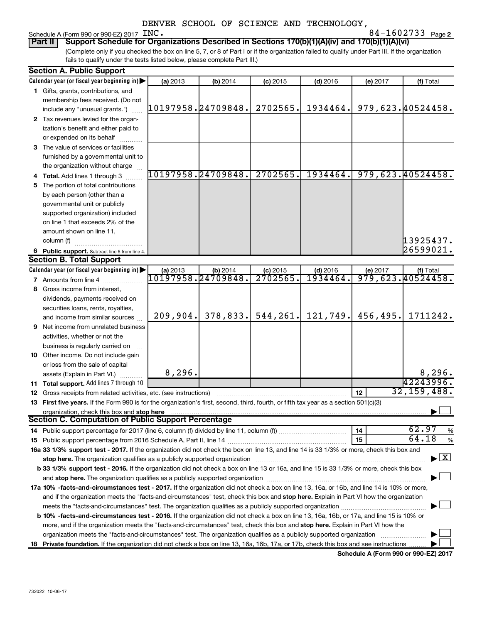## Schedule A (Form 990 or 990-EZ) 2017 INC.<br>**Part II** Support Schedule for Orga

**2** INC. 84-1602733

(Complete only if you checked the box on line 5, 7, or 8 of Part I or if the organization failed to qualify under Part III. If the organization fails to qualify under the tests listed below, please complete Part III.) **Support Schedule for Organizations Described in Sections 170(b)(1)(A)(iv) and 170(b)(1)(A)(vi)** 

| <b>Section A. Public Support</b>                                                                                                           |                    |          |            |            |          |                                          |
|--------------------------------------------------------------------------------------------------------------------------------------------|--------------------|----------|------------|------------|----------|------------------------------------------|
| Calendar year (or fiscal year beginning in)                                                                                                | (a) 2013           | (b) 2014 | $(c)$ 2015 | $(d)$ 2016 | (e) 2017 | (f) Total                                |
| 1 Gifts, grants, contributions, and                                                                                                        |                    |          |            |            |          |                                          |
| membership fees received. (Do not                                                                                                          |                    |          |            |            |          |                                          |
| include any "unusual grants.")                                                                                                             | 10197958.24709848. |          | 2702565.   | 1934464.   |          | 979,623.40524458.                        |
| 2 Tax revenues levied for the organ-                                                                                                       |                    |          |            |            |          |                                          |
| ization's benefit and either paid to                                                                                                       |                    |          |            |            |          |                                          |
| or expended on its behalf                                                                                                                  |                    |          |            |            |          |                                          |
| 3 The value of services or facilities                                                                                                      |                    |          |            |            |          |                                          |
| furnished by a governmental unit to                                                                                                        |                    |          |            |            |          |                                          |
| the organization without charge                                                                                                            |                    |          |            |            |          |                                          |
| 4 Total. Add lines 1 through 3                                                                                                             | 10197958.24709848. |          | 2702565.   | 1934464.   |          | 979,623.40524458.                        |
| 5 The portion of total contributions                                                                                                       |                    |          |            |            |          |                                          |
| by each person (other than a                                                                                                               |                    |          |            |            |          |                                          |
| governmental unit or publicly                                                                                                              |                    |          |            |            |          |                                          |
| supported organization) included                                                                                                           |                    |          |            |            |          |                                          |
| on line 1 that exceeds 2% of the                                                                                                           |                    |          |            |            |          |                                          |
| amount shown on line 11,                                                                                                                   |                    |          |            |            |          |                                          |
| column (f)                                                                                                                                 |                    |          |            |            |          | 13925437.                                |
| 6 Public support. Subtract line 5 from line 4.                                                                                             |                    |          |            |            |          | 26599021.                                |
| <b>Section B. Total Support</b>                                                                                                            |                    |          |            |            |          |                                          |
| Calendar year (or fiscal year beginning in)                                                                                                | (a) 2013           | (b) 2014 | $(c)$ 2015 | $(d)$ 2016 | (e) 2017 | (f) Total                                |
| <b>7</b> Amounts from line 4                                                                                                               | 10197958.24709848. |          | 2702565.   | 1934464.   |          | 979,623.40524458.                        |
| 8 Gross income from interest,                                                                                                              |                    |          |            |            |          |                                          |
| dividends, payments received on                                                                                                            |                    |          |            |            |          |                                          |
| securities loans, rents, royalties,                                                                                                        |                    |          |            |            |          |                                          |
| and income from similar sources                                                                                                            | 209,904.           | 378,833. | 544, 261.  | 121, 749.  | 456,495. | 1711242.                                 |
| <b>9</b> Net income from unrelated business                                                                                                |                    |          |            |            |          |                                          |
| activities, whether or not the                                                                                                             |                    |          |            |            |          |                                          |
| business is regularly carried on                                                                                                           |                    |          |            |            |          |                                          |
| 10 Other income. Do not include gain                                                                                                       |                    |          |            |            |          |                                          |
| or loss from the sale of capital                                                                                                           |                    |          |            |            |          |                                          |
| assets (Explain in Part VI.)                                                                                                               | 8, 296.            |          |            |            |          | 8,296.                                   |
| 11 Total support. Add lines 7 through 10                                                                                                   |                    |          |            |            |          | 42243996.                                |
| 12 Gross receipts from related activities, etc. (see instructions)                                                                         |                    |          |            |            | 12       | 32, 159, 488.                            |
| 13 First five years. If the Form 990 is for the organization's first, second, third, fourth, or fifth tax year as a section 501(c)(3)      |                    |          |            |            |          |                                          |
| organization, check this box and stop here                                                                                                 |                    |          |            |            |          |                                          |
| <b>Section C. Computation of Public Support Percentage</b>                                                                                 |                    |          |            |            |          |                                          |
|                                                                                                                                            |                    |          |            |            | 14       | 62.97<br>%                               |
|                                                                                                                                            |                    |          |            |            | 15       | 64.18<br>$\%$                            |
| 16a 33 1/3% support test - 2017. If the organization did not check the box on line 13, and line 14 is 33 1/3% or more, check this box and  |                    |          |            |            |          |                                          |
|                                                                                                                                            |                    |          |            |            |          | $\blacktriangleright$ $\boxed{\text{X}}$ |
| b 33 1/3% support test - 2016. If the organization did not check a box on line 13 or 16a, and line 15 is 33 1/3% or more, check this box   |                    |          |            |            |          |                                          |
|                                                                                                                                            |                    |          |            |            |          |                                          |
| 17a 10% -facts-and-circumstances test - 2017. If the organization did not check a box on line 13, 16a, or 16b, and line 14 is 10% or more, |                    |          |            |            |          |                                          |
| and if the organization meets the "facts-and-circumstances" test, check this box and stop here. Explain in Part VI how the organization    |                    |          |            |            |          |                                          |
|                                                                                                                                            |                    |          |            |            |          |                                          |
| b 10% -facts-and-circumstances test - 2016. If the organization did not check a box on line 13, 16a, 16b, or 17a, and line 15 is 10% or    |                    |          |            |            |          |                                          |
| more, and if the organization meets the "facts-and-circumstances" test, check this box and stop here. Explain in Part VI how the           |                    |          |            |            |          |                                          |
| organization meets the "facts-and-circumstances" test. The organization qualifies as a publicly supported organization                     |                    |          |            |            |          |                                          |
| 18 Private foundation. If the organization did not check a box on line 13, 16a, 16b, 17a, or 17b, check this box and see instructions      |                    |          |            |            |          |                                          |
|                                                                                                                                            |                    |          |            |            |          |                                          |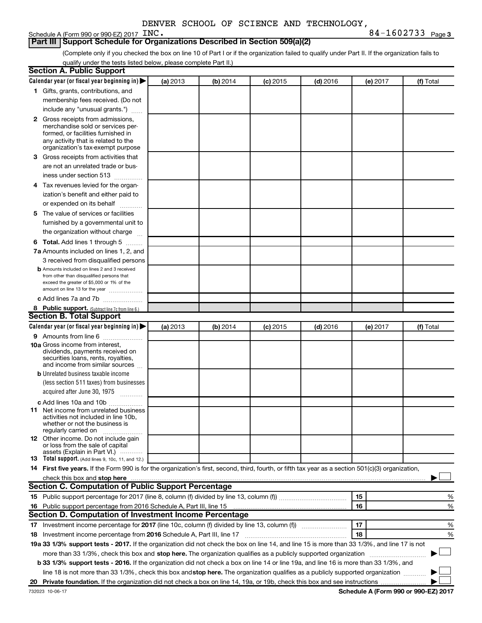## Schedule A (Form 990 or 990-EZ)  $2017$   $\overline{INC}$ .

**INC.** 84-1602733 Page 3

## **Part III Support Schedule for Organizations Described in Section 509(a)(2)**

(Complete only if you checked the box on line 10 of Part I or if the organization failed to qualify under Part II. If the organization fails to qualify under the tests listed below, please complete Part II.)

| <b>Section A. Public Support</b>                                                                                                                    |          |          |            |            |          |           |
|-----------------------------------------------------------------------------------------------------------------------------------------------------|----------|----------|------------|------------|----------|-----------|
| Calendar year (or fiscal year beginning in)                                                                                                         | (a) 2013 | (b) 2014 | $(c)$ 2015 | $(d)$ 2016 | (e) 2017 | (f) Total |
| 1 Gifts, grants, contributions, and                                                                                                                 |          |          |            |            |          |           |
| membership fees received. (Do not                                                                                                                   |          |          |            |            |          |           |
| include any "unusual grants.")                                                                                                                      |          |          |            |            |          |           |
| 2 Gross receipts from admissions,                                                                                                                   |          |          |            |            |          |           |
| merchandise sold or services per-                                                                                                                   |          |          |            |            |          |           |
| formed, or facilities furnished in                                                                                                                  |          |          |            |            |          |           |
| any activity that is related to the<br>organization's tax-exempt purpose                                                                            |          |          |            |            |          |           |
| 3 Gross receipts from activities that                                                                                                               |          |          |            |            |          |           |
| are not an unrelated trade or bus-                                                                                                                  |          |          |            |            |          |           |
| iness under section 513                                                                                                                             |          |          |            |            |          |           |
| 4 Tax revenues levied for the organ-                                                                                                                |          |          |            |            |          |           |
| ization's benefit and either paid to                                                                                                                |          |          |            |            |          |           |
| or expended on its behalf                                                                                                                           |          |          |            |            |          |           |
| 5 The value of services or facilities                                                                                                               |          |          |            |            |          |           |
| furnished by a governmental unit to                                                                                                                 |          |          |            |            |          |           |
| the organization without charge                                                                                                                     |          |          |            |            |          |           |
| <b>6 Total.</b> Add lines 1 through 5                                                                                                               |          |          |            |            |          |           |
| 7a Amounts included on lines 1, 2, and                                                                                                              |          |          |            |            |          |           |
| 3 received from disqualified persons                                                                                                                |          |          |            |            |          |           |
| <b>b</b> Amounts included on lines 2 and 3 received                                                                                                 |          |          |            |            |          |           |
| from other than disqualified persons that                                                                                                           |          |          |            |            |          |           |
| exceed the greater of \$5,000 or 1% of the<br>amount on line 13 for the year                                                                        |          |          |            |            |          |           |
| c Add lines 7a and 7b                                                                                                                               |          |          |            |            |          |           |
| 8 Public support. (Subtract line 7c from line 6.)                                                                                                   |          |          |            |            |          |           |
| <b>Section B. Total Support</b>                                                                                                                     |          |          |            |            |          |           |
| Calendar year (or fiscal year beginning in)                                                                                                         | (a) 2013 | (b) 2014 | (c) 2015   | $(d)$ 2016 | (e) 2017 | (f) Total |
| <b>9</b> Amounts from line 6                                                                                                                        |          |          |            |            |          |           |
| <b>10a</b> Gross income from interest,                                                                                                              |          |          |            |            |          |           |
| dividends, payments received on                                                                                                                     |          |          |            |            |          |           |
| securities loans, rents, royalties,<br>and income from similar sources                                                                              |          |          |            |            |          |           |
| <b>b</b> Unrelated business taxable income                                                                                                          |          |          |            |            |          |           |
| (less section 511 taxes) from businesses                                                                                                            |          |          |            |            |          |           |
| acquired after June 30, 1975                                                                                                                        |          |          |            |            |          |           |
| $\frac{1}{2}$<br>c Add lines 10a and 10b                                                                                                            |          |          |            |            |          |           |
| 11 Net income from unrelated business                                                                                                               |          |          |            |            |          |           |
| activities not included in line 10b.                                                                                                                |          |          |            |            |          |           |
| whether or not the business is                                                                                                                      |          |          |            |            |          |           |
| regularly carried on<br><b>12</b> Other income. Do not include gain                                                                                 |          |          |            |            |          |           |
| or loss from the sale of capital                                                                                                                    |          |          |            |            |          |           |
| assets (Explain in Part VI.)                                                                                                                        |          |          |            |            |          |           |
| <b>13</b> Total support. (Add lines 9, 10c, 11, and 12.)                                                                                            |          |          |            |            |          |           |
| 14 First five years. If the Form 990 is for the organization's first, second, third, fourth, or fifth tax year as a section 501(c)(3) organization, |          |          |            |            |          |           |
|                                                                                                                                                     |          |          |            |            |          |           |
| Section C. Computation of Public Support Percentage                                                                                                 |          |          |            |            |          |           |
|                                                                                                                                                     |          |          |            |            | 15       | %         |
| 16 Public support percentage from 2016 Schedule A, Part III, line 15                                                                                |          |          |            |            | 16       | %         |
| Section D. Computation of Investment Income Percentage                                                                                              |          |          |            |            |          |           |
| 17 Investment income percentage for 2017 (line 10c, column (f) divided by line 13, column (f))                                                      |          |          |            |            | 17       | %         |
| 18 Investment income percentage from 2016 Schedule A, Part III, line 17                                                                             |          |          |            |            | 18       | %         |
| 19a 33 1/3% support tests - 2017. If the organization did not check the box on line 14, and line 15 is more than 33 1/3%, and line 17 is not        |          |          |            |            |          |           |
| more than 33 1/3%, check this box and stop here. The organization qualifies as a publicly supported organization                                    |          |          |            |            |          |           |
| b 33 1/3% support tests - 2016. If the organization did not check a box on line 14 or line 19a, and line 16 is more than 33 1/3%, and               |          |          |            |            |          |           |
| line 18 is not more than 33 1/3%, check this box and stop here. The organization qualifies as a publicly supported organization                     |          |          |            |            |          |           |
|                                                                                                                                                     |          |          |            |            |          |           |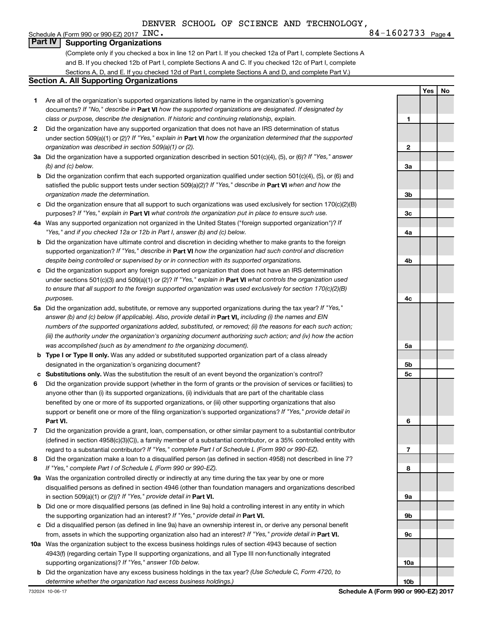**INC.** 84-1602733 Page 4

#### Schedule A (Form 990 or 990-EZ) 2017  $\text{INC.}$ **Part IV Supporting Organizations**

(Complete only if you checked a box in line 12 on Part I. If you checked 12a of Part I, complete Sections A and B. If you checked 12b of Part I, complete Sections A and C. If you checked 12c of Part I, complete Sections A, D, and E. If you checked 12d of Part I, complete Sections A and D, and complete Part V.)

#### **Section A. All Supporting Organizations**

- **1** Are all of the organization's supported organizations listed by name in the organization's governing documents? If "No," describe in Part VI how the supported organizations are designated. If designated by *class or purpose, describe the designation. If historic and continuing relationship, explain.*
- **2** Did the organization have any supported organization that does not have an IRS determination of status under section 509(a)(1) or (2)? If "Yes," explain in Part **VI** how the organization determined that the supported *organization was described in section 509(a)(1) or (2).*
- **3a** Did the organization have a supported organization described in section 501(c)(4), (5), or (6)? If "Yes," answer *(b) and (c) below.*
- **b** Did the organization confirm that each supported organization qualified under section 501(c)(4), (5), or (6) and satisfied the public support tests under section 509(a)(2)? If "Yes," describe in Part VI when and how the *organization made the determination.*
- **c** Did the organization ensure that all support to such organizations was used exclusively for section 170(c)(2)(B) purposes? If "Yes," explain in Part VI what controls the organization put in place to ensure such use.
- **4 a** *If* Was any supported organization not organized in the United States ("foreign supported organization")? *"Yes," and if you checked 12a or 12b in Part I, answer (b) and (c) below.*
- **b** Did the organization have ultimate control and discretion in deciding whether to make grants to the foreign supported organization? If "Yes," describe in Part VI how the organization had such control and discretion *despite being controlled or supervised by or in connection with its supported organizations.*
- **c** Did the organization support any foreign supported organization that does not have an IRS determination under sections 501(c)(3) and 509(a)(1) or (2)? If "Yes," explain in Part VI what controls the organization used *to ensure that all support to the foreign supported organization was used exclusively for section 170(c)(2)(B) purposes.*
- **5a** Did the organization add, substitute, or remove any supported organizations during the tax year? If "Yes," answer (b) and (c) below (if applicable). Also, provide detail in **Part VI,** including (i) the names and EIN *numbers of the supported organizations added, substituted, or removed; (ii) the reasons for each such action; (iii) the authority under the organization's organizing document authorizing such action; and (iv) how the action was accomplished (such as by amendment to the organizing document).*
- **b Type I or Type II only.** Was any added or substituted supported organization part of a class already designated in the organization's organizing document?
- **c Substitutions only.**  Was the substitution the result of an event beyond the organization's control?
- **6** Did the organization provide support (whether in the form of grants or the provision of services or facilities) to **Part VI.** support or benefit one or more of the filing organization's supported organizations? If "Yes," provide detail in anyone other than (i) its supported organizations, (ii) individuals that are part of the charitable class benefited by one or more of its supported organizations, or (iii) other supporting organizations that also
- **7** Did the organization provide a grant, loan, compensation, or other similar payment to a substantial contributor regard to a substantial contributor? If "Yes," complete Part I of Schedule L (Form 990 or 990-EZ). (defined in section 4958(c)(3)(C)), a family member of a substantial contributor, or a 35% controlled entity with
- **8** Did the organization make a loan to a disqualified person (as defined in section 4958) not described in line 7? *If "Yes," complete Part I of Schedule L (Form 990 or 990-EZ).*
- **9 a** Was the organization controlled directly or indirectly at any time during the tax year by one or more in section 509(a)(1) or (2))? If "Yes," provide detail in **Part VI.** disqualified persons as defined in section 4946 (other than foundation managers and organizations described
- **b** Did one or more disqualified persons (as defined in line 9a) hold a controlling interest in any entity in which the supporting organization had an interest? If "Yes," provide detail in Part VI.
- **c** Did a disqualified person (as defined in line 9a) have an ownership interest in, or derive any personal benefit from, assets in which the supporting organization also had an interest? If "Yes," provide detail in Part VI.
- **10 a** Was the organization subject to the excess business holdings rules of section 4943 because of section supporting organizations)? If "Yes," answer 10b below. 4943(f) (regarding certain Type II supporting organizations, and all Type III non-functionally integrated
- **b** Did the organization have any excess business holdings in the tax year? (Use Schedule C, Form 4720, to *determine whether the organization had excess business holdings.)*

**Yes No 1 2 3a 3b 3c 4a 4b 4c 5a 5b 5c 6 7 8 9a 9b 9c 10a 10b**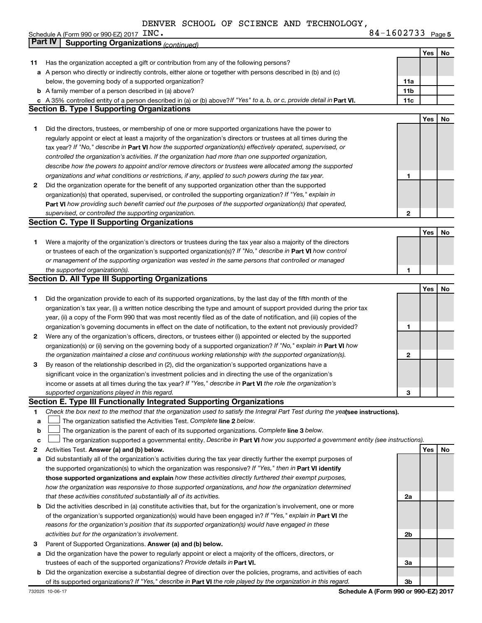Schedule A (Form 990 or 990-EZ) 2017 INC.

|    | Part IV<br><b>Supporting Organizations (continued)</b>                                                                          |                 |     |    |
|----|---------------------------------------------------------------------------------------------------------------------------------|-----------------|-----|----|
|    |                                                                                                                                 |                 | Yes | No |
| 11 | Has the organization accepted a gift or contribution from any of the following persons?                                         |                 |     |    |
|    | a A person who directly or indirectly controls, either alone or together with persons described in (b) and (c)                  |                 |     |    |
|    | below, the governing body of a supported organization?                                                                          | 11a             |     |    |
|    | <b>b</b> A family member of a person described in (a) above?                                                                    | 11 <sub>b</sub> |     |    |
|    | c A 35% controlled entity of a person described in (a) or (b) above? If "Yes" to a, b, or c, provide detail in Part VI.         | 11c             |     |    |
|    | <b>Section B. Type I Supporting Organizations</b>                                                                               |                 |     |    |
|    |                                                                                                                                 |                 | Yes | No |
| 1  | Did the directors, trustees, or membership of one or more supported organizations have the power to                             |                 |     |    |
|    | regularly appoint or elect at least a majority of the organization's directors or trustees at all times during the              |                 |     |    |
|    |                                                                                                                                 |                 |     |    |
|    | tax year? If "No," describe in Part VI how the supported organization(s) effectively operated, supervised, or                   |                 |     |    |
|    | controlled the organization's activities. If the organization had more than one supported organization,                         |                 |     |    |
|    | describe how the powers to appoint and/or remove directors or trustees were allocated among the supported                       |                 |     |    |
|    | organizations and what conditions or restrictions, if any, applied to such powers during the tax year.                          | 1               |     |    |
| 2  | Did the organization operate for the benefit of any supported organization other than the supported                             |                 |     |    |
|    | organization(s) that operated, supervised, or controlled the supporting organization? If "Yes," explain in                      |                 |     |    |
|    | Part VI how providing such benefit carried out the purposes of the supported organization(s) that operated,                     |                 |     |    |
|    | supervised, or controlled the supporting organization.                                                                          | 2               |     |    |
|    | <b>Section C. Type II Supporting Organizations</b>                                                                              |                 |     |    |
|    |                                                                                                                                 |                 | Yes | No |
| 1. | Were a majority of the organization's directors or trustees during the tax year also a majority of the directors                |                 |     |    |
|    | or trustees of each of the organization's supported organization(s)? If "No," describe in Part VI how control                   |                 |     |    |
|    | or management of the supporting organization was vested in the same persons that controlled or managed                          |                 |     |    |
|    | the supported organization(s).                                                                                                  | 1               |     |    |
|    | <b>Section D. All Type III Supporting Organizations</b>                                                                         |                 |     |    |
|    |                                                                                                                                 |                 | Yes | No |
| 1  | Did the organization provide to each of its supported organizations, by the last day of the fifth month of the                  |                 |     |    |
|    | organization's tax year, (i) a written notice describing the type and amount of support provided during the prior tax           |                 |     |    |
|    | year, (ii) a copy of the Form 990 that was most recently filed as of the date of notification, and (iii) copies of the          |                 |     |    |
|    | organization's governing documents in effect on the date of notification, to the extent not previously provided?                | 1               |     |    |
| 2  | Were any of the organization's officers, directors, or trustees either (i) appointed or elected by the supported                |                 |     |    |
|    | organization(s) or (ii) serving on the governing body of a supported organization? If "No," explain in Part VI how              |                 |     |    |
|    | the organization maintained a close and continuous working relationship with the supported organization(s).                     | 2               |     |    |
| 3  | By reason of the relationship described in (2), did the organization's supported organizations have a                           |                 |     |    |
|    | significant voice in the organization's investment policies and in directing the use of the organization's                      |                 |     |    |
|    | income or assets at all times during the tax year? If "Yes," describe in Part VI the role the organization's                    |                 |     |    |
|    | supported organizations played in this regard.                                                                                  | 3               |     |    |
|    | Section E. Type III Functionally Integrated Supporting Organizations                                                            |                 |     |    |
| 1  | Check the box next to the method that the organization used to satisfy the Integral Part Test during the yealsee instructions). |                 |     |    |
| а  | The organization satisfied the Activities Test. Complete line 2 below.                                                          |                 |     |    |
| b  | The organization is the parent of each of its supported organizations. Complete line 3 below.                                   |                 |     |    |
| с  | The organization supported a governmental entity. Describe in Part VI how you supported a government entity (see instructions). |                 |     |    |
| 2  | Activities Test. Answer (a) and (b) below.                                                                                      |                 | Yes | No |
| а  | Did substantially all of the organization's activities during the tax year directly further the exempt purposes of              |                 |     |    |
|    | the supported organization(s) to which the organization was responsive? If "Yes," then in Part VI identify                      |                 |     |    |
|    | those supported organizations and explain how these activities directly furthered their exempt purposes,                        |                 |     |    |
|    | how the organization was responsive to those supported organizations, and how the organization determined                       |                 |     |    |
|    | that these activities constituted substantially all of its activities.                                                          | 2a              |     |    |
| b  | Did the activities described in (a) constitute activities that, but for the organization's involvement, one or more             |                 |     |    |
|    | of the organization's supported organization(s) would have been engaged in? If "Yes," explain in Part VI the                    |                 |     |    |
|    | reasons for the organization's position that its supported organization(s) would have engaged in these                          |                 |     |    |
|    | activities but for the organization's involvement.                                                                              | 2b              |     |    |
| 3  | Parent of Supported Organizations. Answer (a) and (b) below.                                                                    |                 |     |    |
| а  | Did the organization have the power to regularly appoint or elect a majority of the officers, directors, or                     |                 |     |    |
|    | trustees of each of the supported organizations? Provide details in Part VI.                                                    | За              |     |    |
|    | <b>b</b> Did the organization exercise a substantial degree of direction over the policies, programs, and activities of each    |                 |     |    |
|    | of its supported organizations? If "Yes," describe in Part VI the role played by the organization in this regard.               | 3b              |     |    |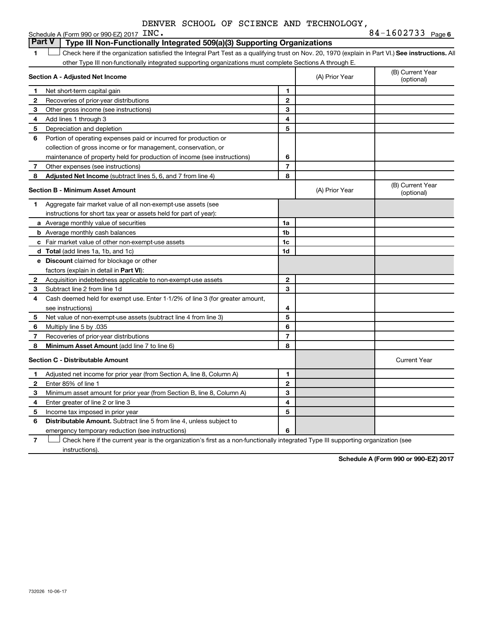| DENVER SCHOOL OF SCIENCE AND TECHNOLOGY, |  |  |  |  |  |  |
|------------------------------------------|--|--|--|--|--|--|
|------------------------------------------|--|--|--|--|--|--|

|              | Schedule A (Form 990 or 990-EZ) 2017 INC.                                                                                                          |                |                | 84-1602733 Page 6              |
|--------------|----------------------------------------------------------------------------------------------------------------------------------------------------|----------------|----------------|--------------------------------|
|              | <b>Part V</b><br>Type III Non-Functionally Integrated 509(a)(3) Supporting Organizations                                                           |                |                |                                |
| 1            | Check here if the organization satisfied the Integral Part Test as a qualifying trust on Nov. 20, 1970 (explain in Part VI.) See instructions. All |                |                |                                |
|              | other Type III non-functionally integrated supporting organizations must complete Sections A through E.                                            |                |                |                                |
|              | Section A - Adjusted Net Income                                                                                                                    |                | (A) Prior Year | (B) Current Year<br>(optional) |
| 1            | Net short-term capital gain                                                                                                                        | 1              |                |                                |
| 2            | Recoveries of prior-year distributions                                                                                                             | $\mathbf{2}$   |                |                                |
| З            | Other gross income (see instructions)                                                                                                              | 3              |                |                                |
| 4            | Add lines 1 through 3                                                                                                                              | 4              |                |                                |
| 5            | Depreciation and depletion                                                                                                                         | 5              |                |                                |
| 6            | Portion of operating expenses paid or incurred for production or                                                                                   |                |                |                                |
|              | collection of gross income or for management, conservation, or                                                                                     |                |                |                                |
|              | maintenance of property held for production of income (see instructions)                                                                           | 6              |                |                                |
| 7            | Other expenses (see instructions)                                                                                                                  | $\overline{7}$ |                |                                |
| 8            | Adjusted Net Income (subtract lines 5, 6, and 7 from line 4)                                                                                       | 8              |                |                                |
|              | Section B - Minimum Asset Amount                                                                                                                   |                | (A) Prior Year | (B) Current Year<br>(optional) |
| 1            | Aggregate fair market value of all non-exempt-use assets (see                                                                                      |                |                |                                |
|              | instructions for short tax year or assets held for part of year):                                                                                  |                |                |                                |
|              | a Average monthly value of securities                                                                                                              | 1a             |                |                                |
|              | <b>b</b> Average monthly cash balances                                                                                                             | 1 <sub>b</sub> |                |                                |
|              | c Fair market value of other non-exempt-use assets                                                                                                 | 1c             |                |                                |
|              | <b>d</b> Total (add lines 1a, 1b, and 1c)                                                                                                          | 1d             |                |                                |
|              | e Discount claimed for blockage or other                                                                                                           |                |                |                                |
|              | factors (explain in detail in Part VI):                                                                                                            |                |                |                                |
| 2            | Acquisition indebtedness applicable to non-exempt-use assets                                                                                       | $\mathbf{2}$   |                |                                |
| 3            | Subtract line 2 from line 1d                                                                                                                       | 3              |                |                                |
| 4            | Cash deemed held for exempt use. Enter 1-1/2% of line 3 (for greater amount,                                                                       |                |                |                                |
|              | see instructions)                                                                                                                                  | 4              |                |                                |
| 5            | Net value of non-exempt-use assets (subtract line 4 from line 3)                                                                                   | 5              |                |                                |
| 6            | Multiply line 5 by .035                                                                                                                            | 6              |                |                                |
| 7            | Recoveries of prior-year distributions                                                                                                             | $\overline{7}$ |                |                                |
| 8            | Minimum Asset Amount (add line 7 to line 6)                                                                                                        | 8              |                |                                |
|              | <b>Section C - Distributable Amount</b>                                                                                                            |                |                | <b>Current Year</b>            |
| 1            | Adjusted net income for prior year (from Section A, line 8, Column A)                                                                              | 1              |                |                                |
| $\mathbf{2}$ | Enter 85% of line 1                                                                                                                                | $\mathbf{2}$   |                |                                |
| З            | Minimum asset amount for prior year (from Section B, line 8, Column A)                                                                             | 3              |                |                                |
| 4            | Enter greater of line 2 or line 3                                                                                                                  | 4              |                |                                |
| 5            | Income tax imposed in prior year                                                                                                                   | 5              |                |                                |
| 6            | <b>Distributable Amount.</b> Subtract line 5 from line 4, unless subject to                                                                        |                |                |                                |
|              | emergency temporary reduction (see instructions)                                                                                                   | 6              |                |                                |

**7** Let Check here if the current year is the organization's first as a non-functionally integrated Type III supporting organization (see instructions).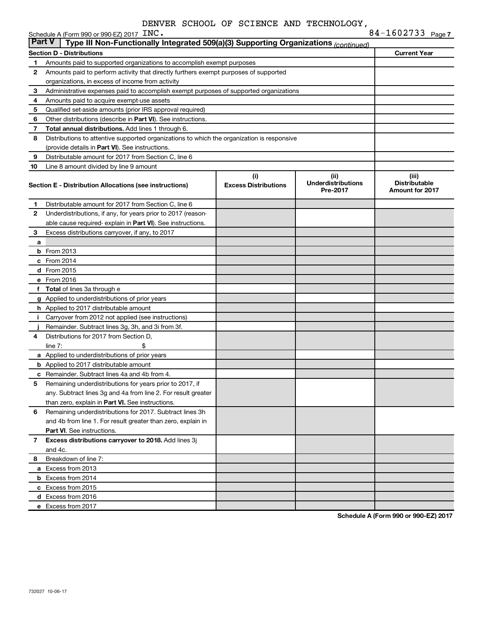|               | Schedule A (Form 990 or 990-EZ) 2017 INC.                                                  |                                    |                                               | 84-1602733 Page 7                                       |
|---------------|--------------------------------------------------------------------------------------------|------------------------------------|-----------------------------------------------|---------------------------------------------------------|
| <b>Part V</b> | Type III Non-Functionally Integrated 509(a)(3) Supporting Organizations (continued)        |                                    |                                               |                                                         |
|               | <b>Section D - Distributions</b>                                                           |                                    |                                               | <b>Current Year</b>                                     |
| 1             | Amounts paid to supported organizations to accomplish exempt purposes                      |                                    |                                               |                                                         |
| 2             | Amounts paid to perform activity that directly furthers exempt purposes of supported       |                                    |                                               |                                                         |
|               | organizations, in excess of income from activity                                           |                                    |                                               |                                                         |
| 3             | Administrative expenses paid to accomplish exempt purposes of supported organizations      |                                    |                                               |                                                         |
| 4             | Amounts paid to acquire exempt-use assets                                                  |                                    |                                               |                                                         |
| 5             | Qualified set-aside amounts (prior IRS approval required)                                  |                                    |                                               |                                                         |
| 6             | Other distributions (describe in <b>Part VI</b> ). See instructions.                       |                                    |                                               |                                                         |
| 7             | Total annual distributions. Add lines 1 through 6.                                         |                                    |                                               |                                                         |
| 8             | Distributions to attentive supported organizations to which the organization is responsive |                                    |                                               |                                                         |
|               | (provide details in <b>Part VI</b> ). See instructions.                                    |                                    |                                               |                                                         |
| 9             | Distributable amount for 2017 from Section C, line 6                                       |                                    |                                               |                                                         |
| 10            | Line 8 amount divided by line 9 amount                                                     |                                    |                                               |                                                         |
|               | Section E - Distribution Allocations (see instructions)                                    | (i)<br><b>Excess Distributions</b> | (ii)<br><b>Underdistributions</b><br>Pre-2017 | (iii)<br><b>Distributable</b><br><b>Amount for 2017</b> |
|               |                                                                                            |                                    |                                               |                                                         |
| 1             | Distributable amount for 2017 from Section C, line 6                                       |                                    |                                               |                                                         |
| 2             | Underdistributions, if any, for years prior to 2017 (reason-                               |                                    |                                               |                                                         |
|               | able cause required- explain in Part VI). See instructions.                                |                                    |                                               |                                                         |
| 3             | Excess distributions carryover, if any, to 2017                                            |                                    |                                               |                                                         |
| a             |                                                                                            |                                    |                                               |                                                         |
|               | <b>b</b> From 2013                                                                         |                                    |                                               |                                                         |
|               | $c$ From 2014                                                                              |                                    |                                               |                                                         |
|               | d From 2015                                                                                |                                    |                                               |                                                         |
|               | e From 2016                                                                                |                                    |                                               |                                                         |
|               | f Total of lines 3a through e                                                              |                                    |                                               |                                                         |
|               | g Applied to underdistributions of prior years                                             |                                    |                                               |                                                         |
|               | <b>h</b> Applied to 2017 distributable amount                                              |                                    |                                               |                                                         |
| Ť.            | Carryover from 2012 not applied (see instructions)                                         |                                    |                                               |                                                         |
|               | Remainder. Subtract lines 3g, 3h, and 3i from 3f.                                          |                                    |                                               |                                                         |
| 4             | Distributions for 2017 from Section D,                                                     |                                    |                                               |                                                         |
|               | line $7:$                                                                                  |                                    |                                               |                                                         |
|               | a Applied to underdistributions of prior years                                             |                                    |                                               |                                                         |
|               | <b>b</b> Applied to 2017 distributable amount                                              |                                    |                                               |                                                         |
|               | <b>c</b> Remainder. Subtract lines 4a and 4b from 4.                                       |                                    |                                               |                                                         |
|               | 5 Remaining underdistributions for years prior to 2017, if                                 |                                    |                                               |                                                         |
|               | any. Subtract lines 3g and 4a from line 2. For result greater                              |                                    |                                               |                                                         |
|               | than zero, explain in Part VI. See instructions.                                           |                                    |                                               |                                                         |
| 6             | Remaining underdistributions for 2017. Subtract lines 3h                                   |                                    |                                               |                                                         |
|               | and 4b from line 1. For result greater than zero, explain in                               |                                    |                                               |                                                         |
|               | <b>Part VI.</b> See instructions.                                                          |                                    |                                               |                                                         |
| 7             | Excess distributions carryover to 2018. Add lines 3j                                       |                                    |                                               |                                                         |
|               | and 4c.                                                                                    |                                    |                                               |                                                         |
| 8             | Breakdown of line 7:                                                                       |                                    |                                               |                                                         |
|               | a Excess from 2013                                                                         |                                    |                                               |                                                         |
|               | <b>b</b> Excess from 2014                                                                  |                                    |                                               |                                                         |
|               | c Excess from 2015                                                                         |                                    |                                               |                                                         |
|               | d Excess from 2016                                                                         |                                    |                                               |                                                         |
|               | e Excess from 2017                                                                         |                                    |                                               |                                                         |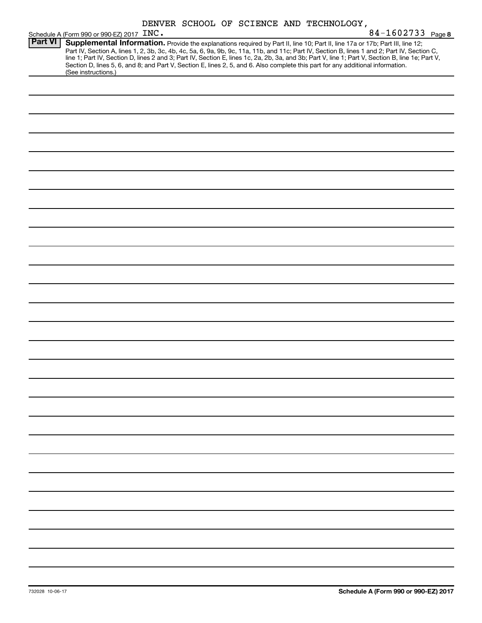|                | Schedule A (Form 990 or 990-EZ) 2017 INC. |  |  | DENVER SCHOOL OF SCIENCE AND TECHNOLOGY,<br>84-1602733 Page 8                                                                                                                                                                                                                                                                                                                                                                                                                                                                                                        |
|----------------|-------------------------------------------|--|--|----------------------------------------------------------------------------------------------------------------------------------------------------------------------------------------------------------------------------------------------------------------------------------------------------------------------------------------------------------------------------------------------------------------------------------------------------------------------------------------------------------------------------------------------------------------------|
| <b>Part VI</b> | (See instructions.)                       |  |  | Supplemental Information. Provide the explanations required by Part II, line 10; Part II, line 17a or 17b; Part III, line 12;<br>Part IV, Section A, lines 1, 2, 3b, 3c, 4b, 4c, 5a, 6, 9a, 9b, 9c, 11a, 11b, and 11c; Part IV, Section B, lines 1 and 2; Part IV, Section C,<br>line 1; Part IV, Section D, lines 2 and 3; Part IV, Section E, lines 1c, 2a, 2b, 3a, and 3b; Part V, line 1; Part V, Section B, line 1e; Part V,<br>Section D, lines 5, 6, and 8; and Part V, Section E, lines 2, 5, and 6. Also complete this part for any additional information. |
|                |                                           |  |  |                                                                                                                                                                                                                                                                                                                                                                                                                                                                                                                                                                      |
|                |                                           |  |  |                                                                                                                                                                                                                                                                                                                                                                                                                                                                                                                                                                      |
|                |                                           |  |  |                                                                                                                                                                                                                                                                                                                                                                                                                                                                                                                                                                      |
|                |                                           |  |  |                                                                                                                                                                                                                                                                                                                                                                                                                                                                                                                                                                      |
|                |                                           |  |  |                                                                                                                                                                                                                                                                                                                                                                                                                                                                                                                                                                      |
|                |                                           |  |  |                                                                                                                                                                                                                                                                                                                                                                                                                                                                                                                                                                      |
|                |                                           |  |  |                                                                                                                                                                                                                                                                                                                                                                                                                                                                                                                                                                      |
|                |                                           |  |  |                                                                                                                                                                                                                                                                                                                                                                                                                                                                                                                                                                      |
|                |                                           |  |  |                                                                                                                                                                                                                                                                                                                                                                                                                                                                                                                                                                      |
|                |                                           |  |  |                                                                                                                                                                                                                                                                                                                                                                                                                                                                                                                                                                      |
|                |                                           |  |  |                                                                                                                                                                                                                                                                                                                                                                                                                                                                                                                                                                      |
|                |                                           |  |  |                                                                                                                                                                                                                                                                                                                                                                                                                                                                                                                                                                      |
|                |                                           |  |  |                                                                                                                                                                                                                                                                                                                                                                                                                                                                                                                                                                      |
|                |                                           |  |  |                                                                                                                                                                                                                                                                                                                                                                                                                                                                                                                                                                      |
|                |                                           |  |  |                                                                                                                                                                                                                                                                                                                                                                                                                                                                                                                                                                      |
|                |                                           |  |  |                                                                                                                                                                                                                                                                                                                                                                                                                                                                                                                                                                      |
|                |                                           |  |  |                                                                                                                                                                                                                                                                                                                                                                                                                                                                                                                                                                      |
|                |                                           |  |  |                                                                                                                                                                                                                                                                                                                                                                                                                                                                                                                                                                      |
|                |                                           |  |  |                                                                                                                                                                                                                                                                                                                                                                                                                                                                                                                                                                      |
|                |                                           |  |  |                                                                                                                                                                                                                                                                                                                                                                                                                                                                                                                                                                      |
|                |                                           |  |  |                                                                                                                                                                                                                                                                                                                                                                                                                                                                                                                                                                      |
|                |                                           |  |  |                                                                                                                                                                                                                                                                                                                                                                                                                                                                                                                                                                      |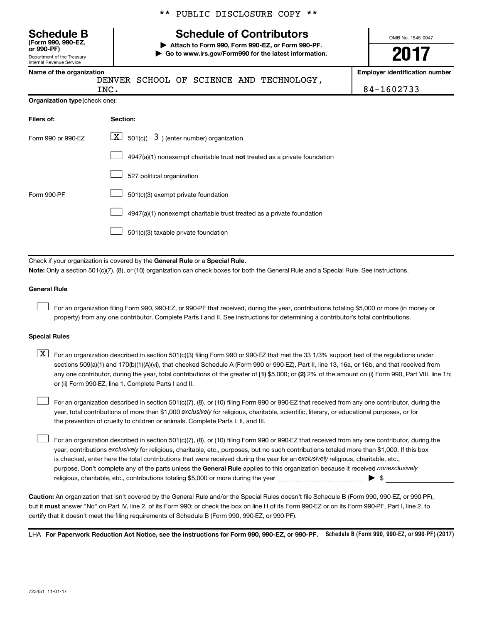**(Form 990, 990-EZ,**

| Department of the Treasury |
|----------------------------|
| Internal Revenue Service   |
|                            |

\*\* PUBLIC DISCLOSURE COPY \*\*

## **Schedule B Schedule of Contributors**

**or 990-PF) | Attach to Form 990, Form 990-EZ, or Form 990-PF. | Go to www.irs.gov/Form990 for the latest information.** OMB No. 1545-0047

## **2017**

**Name of the organization Employer identification number**

| ---- |
|------|
| INC  |

DENVER SCHOOL OF SCIENCE AND TECHNOLOGY,

**Organization type** (check one):

| INC. | 84-1602733 |
|------|------------|
|------|------------|

| Filers of:         | Section:                                                                           |  |  |  |  |  |
|--------------------|------------------------------------------------------------------------------------|--|--|--|--|--|
| Form 990 or 990-FZ | $\underline{X}$ 501(c)( 3) (enter number) organization                             |  |  |  |  |  |
|                    | $4947(a)(1)$ nonexempt charitable trust <b>not</b> treated as a private foundation |  |  |  |  |  |
|                    | 527 political organization                                                         |  |  |  |  |  |
| Form 990-PF        | 501(c)(3) exempt private foundation                                                |  |  |  |  |  |
|                    | 4947(a)(1) nonexempt charitable trust treated as a private foundation              |  |  |  |  |  |
|                    | 501(c)(3) taxable private foundation                                               |  |  |  |  |  |

Check if your organization is covered by the General Rule or a Special Rule.

**Note:**  Only a section 501(c)(7), (8), or (10) organization can check boxes for both the General Rule and a Special Rule. See instructions.

#### **General Rule**

 $\Box$ 

For an organization filing Form 990, 990-EZ, or 990-PF that received, during the year, contributions totaling \$5,000 or more (in money or property) from any one contributor. Complete Parts I and II. See instructions for determining a contributor's total contributions.

#### **Special Rules**

any one contributor, during the year, total contributions of the greater of (1) \$5,000; or (2) 2% of the amount on (i) Form 990, Part VIII, line 1h;  $\boxed{\text{X}}$  For an organization described in section 501(c)(3) filing Form 990 or 990-EZ that met the 33 1/3% support test of the regulations under sections 509(a)(1) and 170(b)(1)(A)(vi), that checked Schedule A (Form 990 or 990-EZ), Part II, line 13, 16a, or 16b, and that received from or (ii) Form 990-EZ, line 1. Complete Parts I and II.

year, total contributions of more than \$1,000 *exclusively* for religious, charitable, scientific, literary, or educational purposes, or for For an organization described in section 501(c)(7), (8), or (10) filing Form 990 or 990-EZ that received from any one contributor, during the the prevention of cruelty to children or animals. Complete Parts I, II, and III.  $\Box$ 

purpose. Don't complete any of the parts unless the General Rule applies to this organization because it received nonexclusively year, contributions exclusively for religious, charitable, etc., purposes, but no such contributions totaled more than \$1,000. If this box is checked, enter here the total contributions that were received during the year for an exclusively religious, charitable, etc., For an organization described in section 501(c)(7), (8), or (10) filing Form 990 or 990-EZ that received from any one contributor, during the religious, charitable, etc., contributions totaling \$5,000 or more during the year  $\ldots$  $\ldots$  $\ldots$  $\ldots$  $\ldots$  $\ldots$  $\Box$ 

**Caution:**  An organization that isn't covered by the General Rule and/or the Special Rules doesn't file Schedule B (Form 990, 990-EZ, or 990-PF),  **must** but it answer "No" on Part IV, line 2, of its Form 990; or check the box on line H of its Form 990-EZ or on its Form 990-PF, Part I, line 2, to certify that it doesn't meet the filing requirements of Schedule B (Form 990, 990-EZ, or 990-PF).

LHA For Paperwork Reduction Act Notice, see the instructions for Form 990, 990-EZ, or 990-PF. Schedule B (Form 990, 990-EZ, or 990-PF) (2017)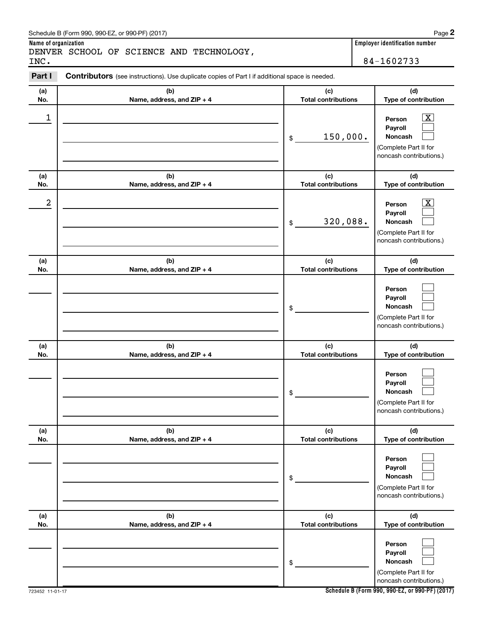| INC.       | DENVER SCHOOL OF SCIENCE AND TECHNOLOGY,                                                       |                                   | 84-1602733                                                                                       |
|------------|------------------------------------------------------------------------------------------------|-----------------------------------|--------------------------------------------------------------------------------------------------|
| Part I     | Contributors (see instructions). Use duplicate copies of Part I if additional space is needed. |                                   |                                                                                                  |
| (a)<br>No. | (b)<br>Name, address, and ZIP + 4                                                              | (c)<br><b>Total contributions</b> | (d)<br>Type of contribution                                                                      |
| 1          |                                                                                                | 150,000.<br>\$                    | $\mathbf{X}$<br>Person<br>Payroll<br>Noncash<br>(Complete Part II for<br>noncash contributions.) |
| (a)<br>No. | (b)<br>Name, address, and ZIP + 4                                                              | (c)<br><b>Total contributions</b> | (d)<br>Type of contribution                                                                      |
| 2          |                                                                                                | 320,088.<br>\$                    | <u>x</u><br>Person<br>Payroll<br>Noncash<br>(Complete Part II for<br>noncash contributions.)     |
| (a)<br>No. | (b)<br>Name, address, and ZIP + 4                                                              | (c)<br><b>Total contributions</b> | (d)<br>Type of contribution                                                                      |
|            |                                                                                                | \$                                | Person<br>Payroll<br>Noncash<br>(Complete Part II for<br>noncash contributions.)                 |
| (a)<br>No. | (b)<br>Name, address, and ZIP + 4                                                              | (c)<br><b>Total contributions</b> | (d)<br>Type of contribution                                                                      |
|            |                                                                                                | \$                                | Person<br>Payroll<br>Noncash<br>(Complete Part II for<br>noncash contributions.)                 |
| (a)<br>No. | (b)<br>Name, address, and ZIP + 4                                                              | (c)<br><b>Total contributions</b> | (d)<br>Type of contribution                                                                      |
|            |                                                                                                | \$                                | Person<br>Payroll<br>Noncash<br>(Complete Part II for<br>noncash contributions.)                 |
| (a)<br>No. | (b)<br>Name, address, and ZIP + 4                                                              | (c)<br><b>Total contributions</b> | (d)<br>Type of contribution                                                                      |
|            |                                                                                                | \$                                | Person<br>Payroll<br>Noncash<br>(Complete Part II for<br>noncash contributions.)                 |

**Name of organization Employer identification number**

**2**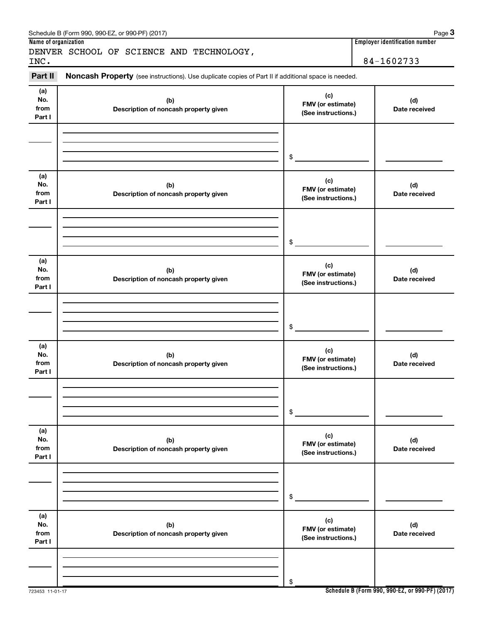|                              | Schedule B (Form 990, 990-EZ, or 990-PF) (2017)                                                     |                                                 | Page 3                                |
|------------------------------|-----------------------------------------------------------------------------------------------------|-------------------------------------------------|---------------------------------------|
| Name of organization         |                                                                                                     |                                                 | <b>Employer identification number</b> |
| INC.                         | DENVER SCHOOL OF SCIENCE AND TECHNOLOGY,                                                            |                                                 | 84-1602733                            |
| Part II                      | Noncash Property (see instructions). Use duplicate copies of Part II if additional space is needed. |                                                 |                                       |
| (a)<br>No.<br>from<br>Part I | (c)<br>(b)<br>FMV (or estimate)<br>Description of noncash property given<br>(See instructions.)     |                                                 | (d)<br>Date received                  |
|                              |                                                                                                     | \$                                              |                                       |
| (a)<br>No.<br>from<br>Part I | (b)<br>Description of noncash property given                                                        | (c)<br>FMV (or estimate)<br>(See instructions.) | (d)<br>Date received                  |
|                              |                                                                                                     | \$                                              |                                       |
| (a)<br>No.<br>from<br>Part I | (b)<br>Description of noncash property given                                                        | (c)<br>FMV (or estimate)<br>(See instructions.) | (d)<br>Date received                  |
|                              |                                                                                                     | \$                                              |                                       |
| (a)<br>No.<br>from<br>Part I | (b)<br>Description of noncash property given                                                        | (c)<br>FMV (or estimate)<br>(See instructions.) | (d)<br>Date received                  |
|                              |                                                                                                     | \$                                              |                                       |
| (a)<br>No.<br>from<br>Part I | (b)<br>Description of noncash property given                                                        | (c)<br>FMV (or estimate)<br>(See instructions.) | (d)<br>Date received                  |
|                              |                                                                                                     | \$                                              |                                       |
| (a)<br>No.<br>from<br>Part I | (b)<br>Description of noncash property given                                                        | (c)<br>FMV (or estimate)<br>(See instructions.) | (d)<br>Date received                  |
|                              |                                                                                                     | \$                                              |                                       |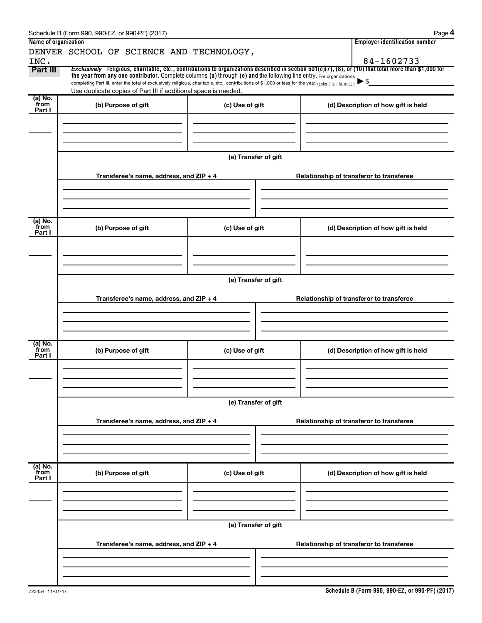|                           | Schedule B (Form 990, 990-EZ, or 990-PF) (2017)                                                                                                                                                                                                                                 |                      | Page 4                                                                                                                                                                               |  |  |  |  |
|---------------------------|---------------------------------------------------------------------------------------------------------------------------------------------------------------------------------------------------------------------------------------------------------------------------------|----------------------|--------------------------------------------------------------------------------------------------------------------------------------------------------------------------------------|--|--|--|--|
| Name of organization      | DENVER SCHOOL OF SCIENCE AND TECHNOLOGY,                                                                                                                                                                                                                                        |                      | <b>Employer identification number</b>                                                                                                                                                |  |  |  |  |
| INC.                      |                                                                                                                                                                                                                                                                                 |                      | 84-1602733                                                                                                                                                                           |  |  |  |  |
| Part III                  | the year from any one contributor. Complete columns (a) through (e) and the following line entry. For organizations<br>completing Part III, enter the total of exclusively religious, charitable, etc., contributions of \$1,000 or less for the year. (Enter this info. once.) |                      | Exclusively religious, charitable, etc., contributions to organizations described in section $501(c)(7)$ , (8), or (10) that total more than \$1,000 for<br>$\blacktriangleright$ \$ |  |  |  |  |
|                           | Use duplicate copies of Part III if additional space is needed.                                                                                                                                                                                                                 |                      |                                                                                                                                                                                      |  |  |  |  |
| (a) No.<br>from           | (b) Purpose of gift                                                                                                                                                                                                                                                             | (c) Use of gift      | (d) Description of how gift is held                                                                                                                                                  |  |  |  |  |
| Part I                    |                                                                                                                                                                                                                                                                                 |                      |                                                                                                                                                                                      |  |  |  |  |
|                           |                                                                                                                                                                                                                                                                                 |                      |                                                                                                                                                                                      |  |  |  |  |
|                           |                                                                                                                                                                                                                                                                                 |                      |                                                                                                                                                                                      |  |  |  |  |
|                           |                                                                                                                                                                                                                                                                                 |                      |                                                                                                                                                                                      |  |  |  |  |
|                           |                                                                                                                                                                                                                                                                                 | (e) Transfer of gift |                                                                                                                                                                                      |  |  |  |  |
|                           | Transferee's name, address, and ZIP + 4                                                                                                                                                                                                                                         |                      | Relationship of transferor to transferee                                                                                                                                             |  |  |  |  |
|                           |                                                                                                                                                                                                                                                                                 |                      |                                                                                                                                                                                      |  |  |  |  |
|                           |                                                                                                                                                                                                                                                                                 |                      |                                                                                                                                                                                      |  |  |  |  |
|                           |                                                                                                                                                                                                                                                                                 |                      |                                                                                                                                                                                      |  |  |  |  |
| (a) No.                   |                                                                                                                                                                                                                                                                                 |                      |                                                                                                                                                                                      |  |  |  |  |
| from<br>Part I            | (b) Purpose of gift                                                                                                                                                                                                                                                             | (c) Use of gift      | (d) Description of how gift is held                                                                                                                                                  |  |  |  |  |
|                           |                                                                                                                                                                                                                                                                                 |                      |                                                                                                                                                                                      |  |  |  |  |
|                           |                                                                                                                                                                                                                                                                                 |                      |                                                                                                                                                                                      |  |  |  |  |
|                           |                                                                                                                                                                                                                                                                                 |                      |                                                                                                                                                                                      |  |  |  |  |
|                           | (e) Transfer of gift                                                                                                                                                                                                                                                            |                      |                                                                                                                                                                                      |  |  |  |  |
|                           |                                                                                                                                                                                                                                                                                 |                      |                                                                                                                                                                                      |  |  |  |  |
|                           | Transferee's name, address, and ZIP + 4                                                                                                                                                                                                                                         |                      | Relationship of transferor to transferee                                                                                                                                             |  |  |  |  |
|                           |                                                                                                                                                                                                                                                                                 |                      |                                                                                                                                                                                      |  |  |  |  |
|                           |                                                                                                                                                                                                                                                                                 |                      |                                                                                                                                                                                      |  |  |  |  |
| (a) No.                   |                                                                                                                                                                                                                                                                                 |                      |                                                                                                                                                                                      |  |  |  |  |
| from<br>Part I            | (b) Purpose of gift                                                                                                                                                                                                                                                             | (c) Use of gift      | (d) Description of how gift is held                                                                                                                                                  |  |  |  |  |
|                           |                                                                                                                                                                                                                                                                                 |                      |                                                                                                                                                                                      |  |  |  |  |
|                           |                                                                                                                                                                                                                                                                                 |                      |                                                                                                                                                                                      |  |  |  |  |
|                           |                                                                                                                                                                                                                                                                                 |                      |                                                                                                                                                                                      |  |  |  |  |
|                           |                                                                                                                                                                                                                                                                                 | (e) Transfer of gift |                                                                                                                                                                                      |  |  |  |  |
|                           |                                                                                                                                                                                                                                                                                 |                      |                                                                                                                                                                                      |  |  |  |  |
|                           | Transferee's name, address, and ZIP + 4                                                                                                                                                                                                                                         |                      | Relationship of transferor to transferee                                                                                                                                             |  |  |  |  |
|                           |                                                                                                                                                                                                                                                                                 |                      |                                                                                                                                                                                      |  |  |  |  |
|                           |                                                                                                                                                                                                                                                                                 |                      |                                                                                                                                                                                      |  |  |  |  |
|                           |                                                                                                                                                                                                                                                                                 |                      |                                                                                                                                                                                      |  |  |  |  |
| (a) No.<br>from<br>Part I | (b) Purpose of gift                                                                                                                                                                                                                                                             | (c) Use of gift      | (d) Description of how gift is held                                                                                                                                                  |  |  |  |  |
|                           |                                                                                                                                                                                                                                                                                 |                      |                                                                                                                                                                                      |  |  |  |  |
|                           |                                                                                                                                                                                                                                                                                 |                      |                                                                                                                                                                                      |  |  |  |  |
|                           |                                                                                                                                                                                                                                                                                 |                      |                                                                                                                                                                                      |  |  |  |  |
|                           |                                                                                                                                                                                                                                                                                 | (e) Transfer of gift |                                                                                                                                                                                      |  |  |  |  |
|                           |                                                                                                                                                                                                                                                                                 |                      |                                                                                                                                                                                      |  |  |  |  |
|                           | Transferee's name, address, and ZIP + 4                                                                                                                                                                                                                                         |                      | Relationship of transferor to transferee                                                                                                                                             |  |  |  |  |
|                           |                                                                                                                                                                                                                                                                                 |                      |                                                                                                                                                                                      |  |  |  |  |
|                           |                                                                                                                                                                                                                                                                                 |                      |                                                                                                                                                                                      |  |  |  |  |
|                           |                                                                                                                                                                                                                                                                                 |                      |                                                                                                                                                                                      |  |  |  |  |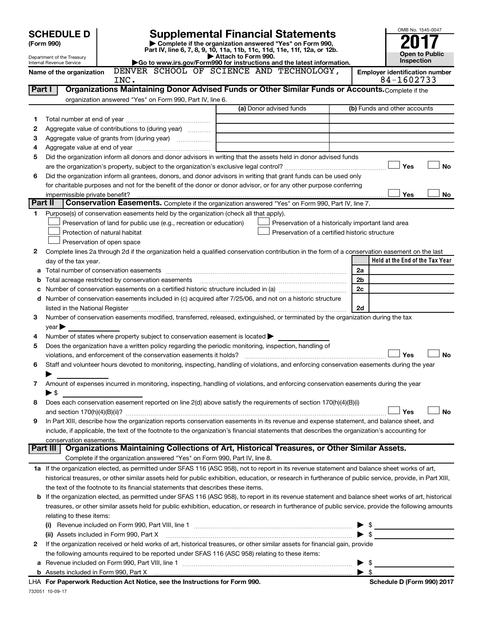|         | <b>SCHEDULE D</b><br>(Form 990)<br>Department of the Treasury | <b>Supplemental Financial Statements</b><br>Complete if the organization answered "Yes" on Form 990,<br>Part IV, line 6, 7, 8, 9, 10, 11a, 11b, 11c, 11d, 11e, 11f, 12a, or 12b.<br>Go to www.irs.gov/Form990 for instructions and the latest information. | OMB No. 1545-0047<br><b>Open to Public</b><br>Inspection |  |                                 |
|---------|---------------------------------------------------------------|------------------------------------------------------------------------------------------------------------------------------------------------------------------------------------------------------------------------------------------------------------|----------------------------------------------------------|--|---------------------------------|
|         | Internal Revenue Service<br>Name of the organization          | DENVER SCHOOL OF SCIENCE AND TECHNOLOGY,                                                                                                                                                                                                                   | <b>Employer identification number</b><br>84-1602733      |  |                                 |
| Part I  |                                                               | Organizations Maintaining Donor Advised Funds or Other Similar Funds or Accounts. Complete if the                                                                                                                                                          |                                                          |  |                                 |
|         |                                                               | organization answered "Yes" on Form 990, Part IV, line 6.                                                                                                                                                                                                  |                                                          |  |                                 |
|         |                                                               |                                                                                                                                                                                                                                                            | (a) Donor advised funds                                  |  | (b) Funds and other accounts    |
| 1       |                                                               |                                                                                                                                                                                                                                                            |                                                          |  |                                 |
| 2       |                                                               | Aggregate value of contributions to (during year)                                                                                                                                                                                                          |                                                          |  |                                 |
| 3       |                                                               | Aggregate value of grants from (during year)                                                                                                                                                                                                               |                                                          |  |                                 |
| 4       |                                                               |                                                                                                                                                                                                                                                            |                                                          |  |                                 |
| 5       |                                                               | Did the organization inform all donors and donor advisors in writing that the assets held in donor advised funds                                                                                                                                           |                                                          |  |                                 |
|         |                                                               |                                                                                                                                                                                                                                                            |                                                          |  | <b>No</b><br>Yes                |
| 6       |                                                               | Did the organization inform all grantees, donors, and donor advisors in writing that grant funds can be used only<br>for charitable purposes and not for the benefit of the donor or donor advisor, or for any other purpose conferring                    |                                                          |  |                                 |
|         |                                                               |                                                                                                                                                                                                                                                            |                                                          |  | Yes<br>No.                      |
| Part II |                                                               | Conservation Easements. Complete if the organization answered "Yes" on Form 990, Part IV, line 7.                                                                                                                                                          |                                                          |  |                                 |
| 1.      |                                                               | Purpose(s) of conservation easements held by the organization (check all that apply).                                                                                                                                                                      |                                                          |  |                                 |
|         |                                                               | Preservation of land for public use (e.g., recreation or education)                                                                                                                                                                                        | Preservation of a historically important land area       |  |                                 |
|         |                                                               | Protection of natural habitat                                                                                                                                                                                                                              | Preservation of a certified historic structure           |  |                                 |
|         |                                                               | Preservation of open space                                                                                                                                                                                                                                 |                                                          |  |                                 |
| 2       |                                                               | Complete lines 2a through 2d if the organization held a qualified conservation contribution in the form of a conservation easement on the last                                                                                                             |                                                          |  |                                 |
|         | day of the tax year.                                          |                                                                                                                                                                                                                                                            |                                                          |  | Held at the End of the Tax Year |
| a       |                                                               |                                                                                                                                                                                                                                                            |                                                          |  | 2a                              |
| b       |                                                               |                                                                                                                                                                                                                                                            |                                                          |  | 2b                              |
| с       |                                                               |                                                                                                                                                                                                                                                            |                                                          |  | 2c                              |
| d       |                                                               | Number of conservation easements included in (c) acquired after 7/25/06, and not on a historic structure                                                                                                                                                   |                                                          |  |                                 |
| 3       |                                                               | Number of conservation easements modified, transferred, released, extinguished, or terminated by the organization during the tax                                                                                                                           |                                                          |  | 2d                              |
|         | $year \blacktriangleright$                                    |                                                                                                                                                                                                                                                            |                                                          |  |                                 |
| 4       |                                                               | Number of states where property subject to conservation easement is located $\blacktriangleright$                                                                                                                                                          |                                                          |  |                                 |
| 5       |                                                               | Does the organization have a written policy regarding the periodic monitoring, inspection, handling of                                                                                                                                                     |                                                          |  |                                 |
|         |                                                               | violations, and enforcement of the conservation easements it holds?                                                                                                                                                                                        |                                                          |  | Yes<br><b>No</b>                |
| 6       |                                                               | Staff and volunteer hours devoted to monitoring, inspecting, handling of violations, and enforcing conservation easements during the year                                                                                                                  |                                                          |  |                                 |
|         |                                                               |                                                                                                                                                                                                                                                            |                                                          |  |                                 |
| 7       |                                                               | Amount of expenses incurred in monitoring, inspecting, handling of violations, and enforcing conservation easements during the year                                                                                                                        |                                                          |  |                                 |
|         | ▶ \$                                                          |                                                                                                                                                                                                                                                            |                                                          |  |                                 |
| 8       |                                                               | Does each conservation easement reported on line 2(d) above satisfy the requirements of section 170(h)(4)(B)(i)                                                                                                                                            |                                                          |  |                                 |
|         |                                                               |                                                                                                                                                                                                                                                            |                                                          |  | Yes<br>No                       |
| 9       |                                                               | In Part XIII, describe how the organization reports conservation easements in its revenue and expense statement, and balance sheet, and                                                                                                                    |                                                          |  |                                 |
|         |                                                               | include, if applicable, the text of the footnote to the organization's financial statements that describes the organization's accounting for                                                                                                               |                                                          |  |                                 |
|         | conservation easements.<br>Part III                           | Organizations Maintaining Collections of Art, Historical Treasures, or Other Similar Assets.                                                                                                                                                               |                                                          |  |                                 |
|         |                                                               | Complete if the organization answered "Yes" on Form 990, Part IV, line 8.                                                                                                                                                                                  |                                                          |  |                                 |
|         |                                                               | 1a If the organization elected, as permitted under SFAS 116 (ASC 958), not to report in its revenue statement and balance sheet works of art,                                                                                                              |                                                          |  |                                 |
|         |                                                               | historical treasures, or other similar assets held for public exhibition, education, or research in furtherance of public service, provide, in Part XIII,                                                                                                  |                                                          |  |                                 |
|         |                                                               | the text of the footnote to its financial statements that describes these items.                                                                                                                                                                           |                                                          |  |                                 |
| b       |                                                               | If the organization elected, as permitted under SFAS 116 (ASC 958), to report in its revenue statement and balance sheet works of art, historical                                                                                                          |                                                          |  |                                 |
|         |                                                               | treasures, or other similar assets held for public exhibition, education, or research in furtherance of public service, provide the following amounts                                                                                                      |                                                          |  |                                 |
|         | relating to these items:                                      |                                                                                                                                                                                                                                                            |                                                          |  |                                 |
|         |                                                               |                                                                                                                                                                                                                                                            |                                                          |  |                                 |
|         |                                                               | (ii) Assets included in Form 990, Part X                                                                                                                                                                                                                   |                                                          |  |                                 |
| 2       |                                                               | If the organization received or held works of art, historical treasures, or other similar assets for financial gain, provide                                                                                                                               |                                                          |  |                                 |
|         |                                                               | the following amounts required to be reported under SFAS 116 (ASC 958) relating to these items:                                                                                                                                                            |                                                          |  |                                 |
| a       |                                                               |                                                                                                                                                                                                                                                            |                                                          |  |                                 |
|         |                                                               |                                                                                                                                                                                                                                                            |                                                          |  |                                 |

| LHA For Paperwork Reduction Act Notice, see the Instructions for Form 990. |
|----------------------------------------------------------------------------|
| 732051 10-09-17                                                            |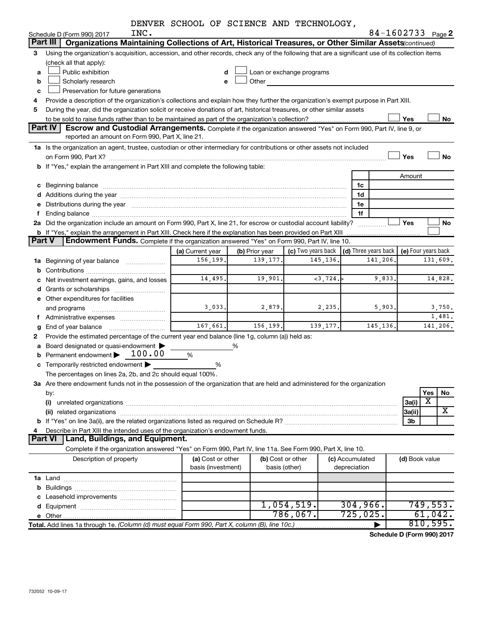|  |  | DENVER SCHOOL OF SCIENCE AND TECHNOLOGY, |
|--|--|------------------------------------------|
|  |  |                                          |

| 84-1602733<br>Schedule D (Form 990) 2017<br>Organizations Maintaining Collections of Art, Historical Treasures, or Other Similar Assets (continued)<br>Part III<br>Using the organization's acquisition, accession, and other records, check any of the following that are a significant use of its collection items<br>3<br>(check all that apply):<br>Public exhibition<br>Loan or exchange programs<br>a<br>d<br>Scholarly research<br>Other<br>b<br>e<br>Preservation for future generations<br>c<br>Provide a description of the organization's collections and explain how they further the organization's exempt purpose in Part XIII.<br>4<br>During the year, did the organization solicit or receive donations of art, historical treasures, or other similar assets<br>5<br>Yes<br>No<br>Part IV<br>Escrow and Custodial Arrangements. Complete if the organization answered "Yes" on Form 990, Part IV, line 9, or<br>reported an amount on Form 990, Part X, line 21.<br>1a Is the organization an agent, trustee, custodian or other intermediary for contributions or other assets not included<br>Yes<br><b>No</b><br>b If "Yes," explain the arrangement in Part XIII and complete the following table:<br>Amount<br>Beginning balance material contracts and contracts and contracts and contracts and contracts and contracts and<br>1c<br>c<br>1d<br>1e<br>Distributions during the year manufactured and continuum control of the year manufactured and the year manufactured and the year manufactured and the year manufactured and the year manufactured and the year manufactured an<br>е<br>1f<br>f.<br>2a Did the organization include an amount on Form 990, Part X, line 21, for escrow or custodial account liability?<br>Yes<br>No<br>b If "Yes," explain the arrangement in Part XIII. Check here if the explanation has been provided on Part XIII<br>Part V<br>Endowment Funds. Complete if the organization answered "Yes" on Form 990, Part IV, line 10.<br>(c) Two years back<br>(d) Three years back<br>(e) Four years back<br>(b) Prior year<br>(a) Current year<br>156,199.<br>139, 177.<br>131,609.<br>145,136.<br>141,206.<br>1a Beginning of year balance<br>b<br>14,495.<br>19,901.<br>$<$ 3,724. $b$<br>9,833.<br>14,828.<br>Net investment earnings, gains, and losses<br>с<br>d<br>e Other expenditures for facilities<br>3,033.<br>2,879.<br>2,235.<br>3,750.<br>5,903.<br>and programs<br>1,481.<br>f Administrative expenses<br>141,206.<br>167,661.<br>145, 136.<br>156, 199.<br>139, 177.<br>g<br>Provide the estimated percentage of the current year end balance (line 1g, column (a)) held as:<br>2<br>a Board designated or quasi-endowment ><br>%<br>100.00<br>Permanent endowment<br>%<br>b<br>Temporarily restricted endowment<br>%<br>С<br>The percentages on lines 2a, 2b, and 2c should equal 100%.<br>3a Are there endowment funds not in the possession of the organization that are held and administered for the organization<br>Yes<br>No<br>by:<br>х<br>3a(i)<br>(i)<br>x<br>3a(ii)<br>3 <sub>b</sub><br>Describe in Part XIII the intended uses of the organization's endowment funds.<br>4<br>Land, Buildings, and Equipment.<br><b>Part VI</b><br>Complete if the organization answered "Yes" on Form 990, Part IV, line 11a. See Form 990, Part X, line 10.<br>(a) Cost or other<br>(b) Cost or other<br>Description of property<br>(c) Accumulated<br>(d) Book value<br>basis (investment)<br>basis (other)<br>depreciation<br>с<br>304, 966.<br>1,054,519.<br>749,553.<br>725,025.<br>61,042.<br>786,067.<br>810,595.<br>Total. Add lines 1a through 1e. (Column (d) must equal Form 990, Part X, column (B), line 10c.) |      | DENVER SCHOOL OF SCIENCE AND TECHNOLOGY, |  |  |        |
|----------------------------------------------------------------------------------------------------------------------------------------------------------------------------------------------------------------------------------------------------------------------------------------------------------------------------------------------------------------------------------------------------------------------------------------------------------------------------------------------------------------------------------------------------------------------------------------------------------------------------------------------------------------------------------------------------------------------------------------------------------------------------------------------------------------------------------------------------------------------------------------------------------------------------------------------------------------------------------------------------------------------------------------------------------------------------------------------------------------------------------------------------------------------------------------------------------------------------------------------------------------------------------------------------------------------------------------------------------------------------------------------------------------------------------------------------------------------------------------------------------------------------------------------------------------------------------------------------------------------------------------------------------------------------------------------------------------------------------------------------------------------------------------------------------------------------------------------------------------------------------------------------------------------------------------------------------------------------------------------------------------------------------------------------------------------------------------------------------------------------------------------------------------------------------------------------------------------------------------------------------------------------------------------------------------------------------------------------------------------------------------------------------------------------------------------------------------------------------------------------------------------------------------------------------------------------------------------------------------------------------------------------------------------------------------------------------------------------------------------------------------------------------------------------------------------------------------------------------------------------------------------------------------------------------------------------------------------------------------------------------------------------------------------------------------------------------------------------------------------------------------------------------------------------------------------------------------------------------------------------------------------------------------------------------------------------------------------------------------------------------------------------------------------------------------------------------------------------------------------------------------------------------------------------------------------------------------------------------------------------------------------------------------------------------------------------|------|------------------------------------------|--|--|--------|
|                                                                                                                                                                                                                                                                                                                                                                                                                                                                                                                                                                                                                                                                                                                                                                                                                                                                                                                                                                                                                                                                                                                                                                                                                                                                                                                                                                                                                                                                                                                                                                                                                                                                                                                                                                                                                                                                                                                                                                                                                                                                                                                                                                                                                                                                                                                                                                                                                                                                                                                                                                                                                                                                                                                                                                                                                                                                                                                                                                                                                                                                                                                                                                                                                                                                                                                                                                                                                                                                                                                                                                                                                                                                                                    | INC. |                                          |  |  | Page 2 |
|                                                                                                                                                                                                                                                                                                                                                                                                                                                                                                                                                                                                                                                                                                                                                                                                                                                                                                                                                                                                                                                                                                                                                                                                                                                                                                                                                                                                                                                                                                                                                                                                                                                                                                                                                                                                                                                                                                                                                                                                                                                                                                                                                                                                                                                                                                                                                                                                                                                                                                                                                                                                                                                                                                                                                                                                                                                                                                                                                                                                                                                                                                                                                                                                                                                                                                                                                                                                                                                                                                                                                                                                                                                                                                    |      |                                          |  |  |        |
|                                                                                                                                                                                                                                                                                                                                                                                                                                                                                                                                                                                                                                                                                                                                                                                                                                                                                                                                                                                                                                                                                                                                                                                                                                                                                                                                                                                                                                                                                                                                                                                                                                                                                                                                                                                                                                                                                                                                                                                                                                                                                                                                                                                                                                                                                                                                                                                                                                                                                                                                                                                                                                                                                                                                                                                                                                                                                                                                                                                                                                                                                                                                                                                                                                                                                                                                                                                                                                                                                                                                                                                                                                                                                                    |      |                                          |  |  |        |
|                                                                                                                                                                                                                                                                                                                                                                                                                                                                                                                                                                                                                                                                                                                                                                                                                                                                                                                                                                                                                                                                                                                                                                                                                                                                                                                                                                                                                                                                                                                                                                                                                                                                                                                                                                                                                                                                                                                                                                                                                                                                                                                                                                                                                                                                                                                                                                                                                                                                                                                                                                                                                                                                                                                                                                                                                                                                                                                                                                                                                                                                                                                                                                                                                                                                                                                                                                                                                                                                                                                                                                                                                                                                                                    |      |                                          |  |  |        |
|                                                                                                                                                                                                                                                                                                                                                                                                                                                                                                                                                                                                                                                                                                                                                                                                                                                                                                                                                                                                                                                                                                                                                                                                                                                                                                                                                                                                                                                                                                                                                                                                                                                                                                                                                                                                                                                                                                                                                                                                                                                                                                                                                                                                                                                                                                                                                                                                                                                                                                                                                                                                                                                                                                                                                                                                                                                                                                                                                                                                                                                                                                                                                                                                                                                                                                                                                                                                                                                                                                                                                                                                                                                                                                    |      |                                          |  |  |        |
|                                                                                                                                                                                                                                                                                                                                                                                                                                                                                                                                                                                                                                                                                                                                                                                                                                                                                                                                                                                                                                                                                                                                                                                                                                                                                                                                                                                                                                                                                                                                                                                                                                                                                                                                                                                                                                                                                                                                                                                                                                                                                                                                                                                                                                                                                                                                                                                                                                                                                                                                                                                                                                                                                                                                                                                                                                                                                                                                                                                                                                                                                                                                                                                                                                                                                                                                                                                                                                                                                                                                                                                                                                                                                                    |      |                                          |  |  |        |
|                                                                                                                                                                                                                                                                                                                                                                                                                                                                                                                                                                                                                                                                                                                                                                                                                                                                                                                                                                                                                                                                                                                                                                                                                                                                                                                                                                                                                                                                                                                                                                                                                                                                                                                                                                                                                                                                                                                                                                                                                                                                                                                                                                                                                                                                                                                                                                                                                                                                                                                                                                                                                                                                                                                                                                                                                                                                                                                                                                                                                                                                                                                                                                                                                                                                                                                                                                                                                                                                                                                                                                                                                                                                                                    |      |                                          |  |  |        |
|                                                                                                                                                                                                                                                                                                                                                                                                                                                                                                                                                                                                                                                                                                                                                                                                                                                                                                                                                                                                                                                                                                                                                                                                                                                                                                                                                                                                                                                                                                                                                                                                                                                                                                                                                                                                                                                                                                                                                                                                                                                                                                                                                                                                                                                                                                                                                                                                                                                                                                                                                                                                                                                                                                                                                                                                                                                                                                                                                                                                                                                                                                                                                                                                                                                                                                                                                                                                                                                                                                                                                                                                                                                                                                    |      |                                          |  |  |        |
|                                                                                                                                                                                                                                                                                                                                                                                                                                                                                                                                                                                                                                                                                                                                                                                                                                                                                                                                                                                                                                                                                                                                                                                                                                                                                                                                                                                                                                                                                                                                                                                                                                                                                                                                                                                                                                                                                                                                                                                                                                                                                                                                                                                                                                                                                                                                                                                                                                                                                                                                                                                                                                                                                                                                                                                                                                                                                                                                                                                                                                                                                                                                                                                                                                                                                                                                                                                                                                                                                                                                                                                                                                                                                                    |      |                                          |  |  |        |
|                                                                                                                                                                                                                                                                                                                                                                                                                                                                                                                                                                                                                                                                                                                                                                                                                                                                                                                                                                                                                                                                                                                                                                                                                                                                                                                                                                                                                                                                                                                                                                                                                                                                                                                                                                                                                                                                                                                                                                                                                                                                                                                                                                                                                                                                                                                                                                                                                                                                                                                                                                                                                                                                                                                                                                                                                                                                                                                                                                                                                                                                                                                                                                                                                                                                                                                                                                                                                                                                                                                                                                                                                                                                                                    |      |                                          |  |  |        |
|                                                                                                                                                                                                                                                                                                                                                                                                                                                                                                                                                                                                                                                                                                                                                                                                                                                                                                                                                                                                                                                                                                                                                                                                                                                                                                                                                                                                                                                                                                                                                                                                                                                                                                                                                                                                                                                                                                                                                                                                                                                                                                                                                                                                                                                                                                                                                                                                                                                                                                                                                                                                                                                                                                                                                                                                                                                                                                                                                                                                                                                                                                                                                                                                                                                                                                                                                                                                                                                                                                                                                                                                                                                                                                    |      |                                          |  |  |        |
|                                                                                                                                                                                                                                                                                                                                                                                                                                                                                                                                                                                                                                                                                                                                                                                                                                                                                                                                                                                                                                                                                                                                                                                                                                                                                                                                                                                                                                                                                                                                                                                                                                                                                                                                                                                                                                                                                                                                                                                                                                                                                                                                                                                                                                                                                                                                                                                                                                                                                                                                                                                                                                                                                                                                                                                                                                                                                                                                                                                                                                                                                                                                                                                                                                                                                                                                                                                                                                                                                                                                                                                                                                                                                                    |      |                                          |  |  |        |
|                                                                                                                                                                                                                                                                                                                                                                                                                                                                                                                                                                                                                                                                                                                                                                                                                                                                                                                                                                                                                                                                                                                                                                                                                                                                                                                                                                                                                                                                                                                                                                                                                                                                                                                                                                                                                                                                                                                                                                                                                                                                                                                                                                                                                                                                                                                                                                                                                                                                                                                                                                                                                                                                                                                                                                                                                                                                                                                                                                                                                                                                                                                                                                                                                                                                                                                                                                                                                                                                                                                                                                                                                                                                                                    |      |                                          |  |  |        |
|                                                                                                                                                                                                                                                                                                                                                                                                                                                                                                                                                                                                                                                                                                                                                                                                                                                                                                                                                                                                                                                                                                                                                                                                                                                                                                                                                                                                                                                                                                                                                                                                                                                                                                                                                                                                                                                                                                                                                                                                                                                                                                                                                                                                                                                                                                                                                                                                                                                                                                                                                                                                                                                                                                                                                                                                                                                                                                                                                                                                                                                                                                                                                                                                                                                                                                                                                                                                                                                                                                                                                                                                                                                                                                    |      |                                          |  |  |        |
|                                                                                                                                                                                                                                                                                                                                                                                                                                                                                                                                                                                                                                                                                                                                                                                                                                                                                                                                                                                                                                                                                                                                                                                                                                                                                                                                                                                                                                                                                                                                                                                                                                                                                                                                                                                                                                                                                                                                                                                                                                                                                                                                                                                                                                                                                                                                                                                                                                                                                                                                                                                                                                                                                                                                                                                                                                                                                                                                                                                                                                                                                                                                                                                                                                                                                                                                                                                                                                                                                                                                                                                                                                                                                                    |      |                                          |  |  |        |
|                                                                                                                                                                                                                                                                                                                                                                                                                                                                                                                                                                                                                                                                                                                                                                                                                                                                                                                                                                                                                                                                                                                                                                                                                                                                                                                                                                                                                                                                                                                                                                                                                                                                                                                                                                                                                                                                                                                                                                                                                                                                                                                                                                                                                                                                                                                                                                                                                                                                                                                                                                                                                                                                                                                                                                                                                                                                                                                                                                                                                                                                                                                                                                                                                                                                                                                                                                                                                                                                                                                                                                                                                                                                                                    |      |                                          |  |  |        |
|                                                                                                                                                                                                                                                                                                                                                                                                                                                                                                                                                                                                                                                                                                                                                                                                                                                                                                                                                                                                                                                                                                                                                                                                                                                                                                                                                                                                                                                                                                                                                                                                                                                                                                                                                                                                                                                                                                                                                                                                                                                                                                                                                                                                                                                                                                                                                                                                                                                                                                                                                                                                                                                                                                                                                                                                                                                                                                                                                                                                                                                                                                                                                                                                                                                                                                                                                                                                                                                                                                                                                                                                                                                                                                    |      |                                          |  |  |        |
|                                                                                                                                                                                                                                                                                                                                                                                                                                                                                                                                                                                                                                                                                                                                                                                                                                                                                                                                                                                                                                                                                                                                                                                                                                                                                                                                                                                                                                                                                                                                                                                                                                                                                                                                                                                                                                                                                                                                                                                                                                                                                                                                                                                                                                                                                                                                                                                                                                                                                                                                                                                                                                                                                                                                                                                                                                                                                                                                                                                                                                                                                                                                                                                                                                                                                                                                                                                                                                                                                                                                                                                                                                                                                                    |      |                                          |  |  |        |
|                                                                                                                                                                                                                                                                                                                                                                                                                                                                                                                                                                                                                                                                                                                                                                                                                                                                                                                                                                                                                                                                                                                                                                                                                                                                                                                                                                                                                                                                                                                                                                                                                                                                                                                                                                                                                                                                                                                                                                                                                                                                                                                                                                                                                                                                                                                                                                                                                                                                                                                                                                                                                                                                                                                                                                                                                                                                                                                                                                                                                                                                                                                                                                                                                                                                                                                                                                                                                                                                                                                                                                                                                                                                                                    |      |                                          |  |  |        |
|                                                                                                                                                                                                                                                                                                                                                                                                                                                                                                                                                                                                                                                                                                                                                                                                                                                                                                                                                                                                                                                                                                                                                                                                                                                                                                                                                                                                                                                                                                                                                                                                                                                                                                                                                                                                                                                                                                                                                                                                                                                                                                                                                                                                                                                                                                                                                                                                                                                                                                                                                                                                                                                                                                                                                                                                                                                                                                                                                                                                                                                                                                                                                                                                                                                                                                                                                                                                                                                                                                                                                                                                                                                                                                    |      |                                          |  |  |        |
|                                                                                                                                                                                                                                                                                                                                                                                                                                                                                                                                                                                                                                                                                                                                                                                                                                                                                                                                                                                                                                                                                                                                                                                                                                                                                                                                                                                                                                                                                                                                                                                                                                                                                                                                                                                                                                                                                                                                                                                                                                                                                                                                                                                                                                                                                                                                                                                                                                                                                                                                                                                                                                                                                                                                                                                                                                                                                                                                                                                                                                                                                                                                                                                                                                                                                                                                                                                                                                                                                                                                                                                                                                                                                                    |      |                                          |  |  |        |
|                                                                                                                                                                                                                                                                                                                                                                                                                                                                                                                                                                                                                                                                                                                                                                                                                                                                                                                                                                                                                                                                                                                                                                                                                                                                                                                                                                                                                                                                                                                                                                                                                                                                                                                                                                                                                                                                                                                                                                                                                                                                                                                                                                                                                                                                                                                                                                                                                                                                                                                                                                                                                                                                                                                                                                                                                                                                                                                                                                                                                                                                                                                                                                                                                                                                                                                                                                                                                                                                                                                                                                                                                                                                                                    |      |                                          |  |  |        |
|                                                                                                                                                                                                                                                                                                                                                                                                                                                                                                                                                                                                                                                                                                                                                                                                                                                                                                                                                                                                                                                                                                                                                                                                                                                                                                                                                                                                                                                                                                                                                                                                                                                                                                                                                                                                                                                                                                                                                                                                                                                                                                                                                                                                                                                                                                                                                                                                                                                                                                                                                                                                                                                                                                                                                                                                                                                                                                                                                                                                                                                                                                                                                                                                                                                                                                                                                                                                                                                                                                                                                                                                                                                                                                    |      |                                          |  |  |        |
|                                                                                                                                                                                                                                                                                                                                                                                                                                                                                                                                                                                                                                                                                                                                                                                                                                                                                                                                                                                                                                                                                                                                                                                                                                                                                                                                                                                                                                                                                                                                                                                                                                                                                                                                                                                                                                                                                                                                                                                                                                                                                                                                                                                                                                                                                                                                                                                                                                                                                                                                                                                                                                                                                                                                                                                                                                                                                                                                                                                                                                                                                                                                                                                                                                                                                                                                                                                                                                                                                                                                                                                                                                                                                                    |      |                                          |  |  |        |
|                                                                                                                                                                                                                                                                                                                                                                                                                                                                                                                                                                                                                                                                                                                                                                                                                                                                                                                                                                                                                                                                                                                                                                                                                                                                                                                                                                                                                                                                                                                                                                                                                                                                                                                                                                                                                                                                                                                                                                                                                                                                                                                                                                                                                                                                                                                                                                                                                                                                                                                                                                                                                                                                                                                                                                                                                                                                                                                                                                                                                                                                                                                                                                                                                                                                                                                                                                                                                                                                                                                                                                                                                                                                                                    |      |                                          |  |  |        |
|                                                                                                                                                                                                                                                                                                                                                                                                                                                                                                                                                                                                                                                                                                                                                                                                                                                                                                                                                                                                                                                                                                                                                                                                                                                                                                                                                                                                                                                                                                                                                                                                                                                                                                                                                                                                                                                                                                                                                                                                                                                                                                                                                                                                                                                                                                                                                                                                                                                                                                                                                                                                                                                                                                                                                                                                                                                                                                                                                                                                                                                                                                                                                                                                                                                                                                                                                                                                                                                                                                                                                                                                                                                                                                    |      |                                          |  |  |        |
|                                                                                                                                                                                                                                                                                                                                                                                                                                                                                                                                                                                                                                                                                                                                                                                                                                                                                                                                                                                                                                                                                                                                                                                                                                                                                                                                                                                                                                                                                                                                                                                                                                                                                                                                                                                                                                                                                                                                                                                                                                                                                                                                                                                                                                                                                                                                                                                                                                                                                                                                                                                                                                                                                                                                                                                                                                                                                                                                                                                                                                                                                                                                                                                                                                                                                                                                                                                                                                                                                                                                                                                                                                                                                                    |      |                                          |  |  |        |
|                                                                                                                                                                                                                                                                                                                                                                                                                                                                                                                                                                                                                                                                                                                                                                                                                                                                                                                                                                                                                                                                                                                                                                                                                                                                                                                                                                                                                                                                                                                                                                                                                                                                                                                                                                                                                                                                                                                                                                                                                                                                                                                                                                                                                                                                                                                                                                                                                                                                                                                                                                                                                                                                                                                                                                                                                                                                                                                                                                                                                                                                                                                                                                                                                                                                                                                                                                                                                                                                                                                                                                                                                                                                                                    |      |                                          |  |  |        |
|                                                                                                                                                                                                                                                                                                                                                                                                                                                                                                                                                                                                                                                                                                                                                                                                                                                                                                                                                                                                                                                                                                                                                                                                                                                                                                                                                                                                                                                                                                                                                                                                                                                                                                                                                                                                                                                                                                                                                                                                                                                                                                                                                                                                                                                                                                                                                                                                                                                                                                                                                                                                                                                                                                                                                                                                                                                                                                                                                                                                                                                                                                                                                                                                                                                                                                                                                                                                                                                                                                                                                                                                                                                                                                    |      |                                          |  |  |        |
|                                                                                                                                                                                                                                                                                                                                                                                                                                                                                                                                                                                                                                                                                                                                                                                                                                                                                                                                                                                                                                                                                                                                                                                                                                                                                                                                                                                                                                                                                                                                                                                                                                                                                                                                                                                                                                                                                                                                                                                                                                                                                                                                                                                                                                                                                                                                                                                                                                                                                                                                                                                                                                                                                                                                                                                                                                                                                                                                                                                                                                                                                                                                                                                                                                                                                                                                                                                                                                                                                                                                                                                                                                                                                                    |      |                                          |  |  |        |
|                                                                                                                                                                                                                                                                                                                                                                                                                                                                                                                                                                                                                                                                                                                                                                                                                                                                                                                                                                                                                                                                                                                                                                                                                                                                                                                                                                                                                                                                                                                                                                                                                                                                                                                                                                                                                                                                                                                                                                                                                                                                                                                                                                                                                                                                                                                                                                                                                                                                                                                                                                                                                                                                                                                                                                                                                                                                                                                                                                                                                                                                                                                                                                                                                                                                                                                                                                                                                                                                                                                                                                                                                                                                                                    |      |                                          |  |  |        |
|                                                                                                                                                                                                                                                                                                                                                                                                                                                                                                                                                                                                                                                                                                                                                                                                                                                                                                                                                                                                                                                                                                                                                                                                                                                                                                                                                                                                                                                                                                                                                                                                                                                                                                                                                                                                                                                                                                                                                                                                                                                                                                                                                                                                                                                                                                                                                                                                                                                                                                                                                                                                                                                                                                                                                                                                                                                                                                                                                                                                                                                                                                                                                                                                                                                                                                                                                                                                                                                                                                                                                                                                                                                                                                    |      |                                          |  |  |        |
|                                                                                                                                                                                                                                                                                                                                                                                                                                                                                                                                                                                                                                                                                                                                                                                                                                                                                                                                                                                                                                                                                                                                                                                                                                                                                                                                                                                                                                                                                                                                                                                                                                                                                                                                                                                                                                                                                                                                                                                                                                                                                                                                                                                                                                                                                                                                                                                                                                                                                                                                                                                                                                                                                                                                                                                                                                                                                                                                                                                                                                                                                                                                                                                                                                                                                                                                                                                                                                                                                                                                                                                                                                                                                                    |      |                                          |  |  |        |
|                                                                                                                                                                                                                                                                                                                                                                                                                                                                                                                                                                                                                                                                                                                                                                                                                                                                                                                                                                                                                                                                                                                                                                                                                                                                                                                                                                                                                                                                                                                                                                                                                                                                                                                                                                                                                                                                                                                                                                                                                                                                                                                                                                                                                                                                                                                                                                                                                                                                                                                                                                                                                                                                                                                                                                                                                                                                                                                                                                                                                                                                                                                                                                                                                                                                                                                                                                                                                                                                                                                                                                                                                                                                                                    |      |                                          |  |  |        |
|                                                                                                                                                                                                                                                                                                                                                                                                                                                                                                                                                                                                                                                                                                                                                                                                                                                                                                                                                                                                                                                                                                                                                                                                                                                                                                                                                                                                                                                                                                                                                                                                                                                                                                                                                                                                                                                                                                                                                                                                                                                                                                                                                                                                                                                                                                                                                                                                                                                                                                                                                                                                                                                                                                                                                                                                                                                                                                                                                                                                                                                                                                                                                                                                                                                                                                                                                                                                                                                                                                                                                                                                                                                                                                    |      |                                          |  |  |        |
|                                                                                                                                                                                                                                                                                                                                                                                                                                                                                                                                                                                                                                                                                                                                                                                                                                                                                                                                                                                                                                                                                                                                                                                                                                                                                                                                                                                                                                                                                                                                                                                                                                                                                                                                                                                                                                                                                                                                                                                                                                                                                                                                                                                                                                                                                                                                                                                                                                                                                                                                                                                                                                                                                                                                                                                                                                                                                                                                                                                                                                                                                                                                                                                                                                                                                                                                                                                                                                                                                                                                                                                                                                                                                                    |      |                                          |  |  |        |
|                                                                                                                                                                                                                                                                                                                                                                                                                                                                                                                                                                                                                                                                                                                                                                                                                                                                                                                                                                                                                                                                                                                                                                                                                                                                                                                                                                                                                                                                                                                                                                                                                                                                                                                                                                                                                                                                                                                                                                                                                                                                                                                                                                                                                                                                                                                                                                                                                                                                                                                                                                                                                                                                                                                                                                                                                                                                                                                                                                                                                                                                                                                                                                                                                                                                                                                                                                                                                                                                                                                                                                                                                                                                                                    |      |                                          |  |  |        |
|                                                                                                                                                                                                                                                                                                                                                                                                                                                                                                                                                                                                                                                                                                                                                                                                                                                                                                                                                                                                                                                                                                                                                                                                                                                                                                                                                                                                                                                                                                                                                                                                                                                                                                                                                                                                                                                                                                                                                                                                                                                                                                                                                                                                                                                                                                                                                                                                                                                                                                                                                                                                                                                                                                                                                                                                                                                                                                                                                                                                                                                                                                                                                                                                                                                                                                                                                                                                                                                                                                                                                                                                                                                                                                    |      |                                          |  |  |        |
|                                                                                                                                                                                                                                                                                                                                                                                                                                                                                                                                                                                                                                                                                                                                                                                                                                                                                                                                                                                                                                                                                                                                                                                                                                                                                                                                                                                                                                                                                                                                                                                                                                                                                                                                                                                                                                                                                                                                                                                                                                                                                                                                                                                                                                                                                                                                                                                                                                                                                                                                                                                                                                                                                                                                                                                                                                                                                                                                                                                                                                                                                                                                                                                                                                                                                                                                                                                                                                                                                                                                                                                                                                                                                                    |      |                                          |  |  |        |
|                                                                                                                                                                                                                                                                                                                                                                                                                                                                                                                                                                                                                                                                                                                                                                                                                                                                                                                                                                                                                                                                                                                                                                                                                                                                                                                                                                                                                                                                                                                                                                                                                                                                                                                                                                                                                                                                                                                                                                                                                                                                                                                                                                                                                                                                                                                                                                                                                                                                                                                                                                                                                                                                                                                                                                                                                                                                                                                                                                                                                                                                                                                                                                                                                                                                                                                                                                                                                                                                                                                                                                                                                                                                                                    |      |                                          |  |  |        |
|                                                                                                                                                                                                                                                                                                                                                                                                                                                                                                                                                                                                                                                                                                                                                                                                                                                                                                                                                                                                                                                                                                                                                                                                                                                                                                                                                                                                                                                                                                                                                                                                                                                                                                                                                                                                                                                                                                                                                                                                                                                                                                                                                                                                                                                                                                                                                                                                                                                                                                                                                                                                                                                                                                                                                                                                                                                                                                                                                                                                                                                                                                                                                                                                                                                                                                                                                                                                                                                                                                                                                                                                                                                                                                    |      |                                          |  |  |        |
|                                                                                                                                                                                                                                                                                                                                                                                                                                                                                                                                                                                                                                                                                                                                                                                                                                                                                                                                                                                                                                                                                                                                                                                                                                                                                                                                                                                                                                                                                                                                                                                                                                                                                                                                                                                                                                                                                                                                                                                                                                                                                                                                                                                                                                                                                                                                                                                                                                                                                                                                                                                                                                                                                                                                                                                                                                                                                                                                                                                                                                                                                                                                                                                                                                                                                                                                                                                                                                                                                                                                                                                                                                                                                                    |      |                                          |  |  |        |
|                                                                                                                                                                                                                                                                                                                                                                                                                                                                                                                                                                                                                                                                                                                                                                                                                                                                                                                                                                                                                                                                                                                                                                                                                                                                                                                                                                                                                                                                                                                                                                                                                                                                                                                                                                                                                                                                                                                                                                                                                                                                                                                                                                                                                                                                                                                                                                                                                                                                                                                                                                                                                                                                                                                                                                                                                                                                                                                                                                                                                                                                                                                                                                                                                                                                                                                                                                                                                                                                                                                                                                                                                                                                                                    |      |                                          |  |  |        |
|                                                                                                                                                                                                                                                                                                                                                                                                                                                                                                                                                                                                                                                                                                                                                                                                                                                                                                                                                                                                                                                                                                                                                                                                                                                                                                                                                                                                                                                                                                                                                                                                                                                                                                                                                                                                                                                                                                                                                                                                                                                                                                                                                                                                                                                                                                                                                                                                                                                                                                                                                                                                                                                                                                                                                                                                                                                                                                                                                                                                                                                                                                                                                                                                                                                                                                                                                                                                                                                                                                                                                                                                                                                                                                    |      |                                          |  |  |        |
|                                                                                                                                                                                                                                                                                                                                                                                                                                                                                                                                                                                                                                                                                                                                                                                                                                                                                                                                                                                                                                                                                                                                                                                                                                                                                                                                                                                                                                                                                                                                                                                                                                                                                                                                                                                                                                                                                                                                                                                                                                                                                                                                                                                                                                                                                                                                                                                                                                                                                                                                                                                                                                                                                                                                                                                                                                                                                                                                                                                                                                                                                                                                                                                                                                                                                                                                                                                                                                                                                                                                                                                                                                                                                                    |      |                                          |  |  |        |
|                                                                                                                                                                                                                                                                                                                                                                                                                                                                                                                                                                                                                                                                                                                                                                                                                                                                                                                                                                                                                                                                                                                                                                                                                                                                                                                                                                                                                                                                                                                                                                                                                                                                                                                                                                                                                                                                                                                                                                                                                                                                                                                                                                                                                                                                                                                                                                                                                                                                                                                                                                                                                                                                                                                                                                                                                                                                                                                                                                                                                                                                                                                                                                                                                                                                                                                                                                                                                                                                                                                                                                                                                                                                                                    |      |                                          |  |  |        |
|                                                                                                                                                                                                                                                                                                                                                                                                                                                                                                                                                                                                                                                                                                                                                                                                                                                                                                                                                                                                                                                                                                                                                                                                                                                                                                                                                                                                                                                                                                                                                                                                                                                                                                                                                                                                                                                                                                                                                                                                                                                                                                                                                                                                                                                                                                                                                                                                                                                                                                                                                                                                                                                                                                                                                                                                                                                                                                                                                                                                                                                                                                                                                                                                                                                                                                                                                                                                                                                                                                                                                                                                                                                                                                    |      |                                          |  |  |        |
|                                                                                                                                                                                                                                                                                                                                                                                                                                                                                                                                                                                                                                                                                                                                                                                                                                                                                                                                                                                                                                                                                                                                                                                                                                                                                                                                                                                                                                                                                                                                                                                                                                                                                                                                                                                                                                                                                                                                                                                                                                                                                                                                                                                                                                                                                                                                                                                                                                                                                                                                                                                                                                                                                                                                                                                                                                                                                                                                                                                                                                                                                                                                                                                                                                                                                                                                                                                                                                                                                                                                                                                                                                                                                                    |      |                                          |  |  |        |
|                                                                                                                                                                                                                                                                                                                                                                                                                                                                                                                                                                                                                                                                                                                                                                                                                                                                                                                                                                                                                                                                                                                                                                                                                                                                                                                                                                                                                                                                                                                                                                                                                                                                                                                                                                                                                                                                                                                                                                                                                                                                                                                                                                                                                                                                                                                                                                                                                                                                                                                                                                                                                                                                                                                                                                                                                                                                                                                                                                                                                                                                                                                                                                                                                                                                                                                                                                                                                                                                                                                                                                                                                                                                                                    |      |                                          |  |  |        |
|                                                                                                                                                                                                                                                                                                                                                                                                                                                                                                                                                                                                                                                                                                                                                                                                                                                                                                                                                                                                                                                                                                                                                                                                                                                                                                                                                                                                                                                                                                                                                                                                                                                                                                                                                                                                                                                                                                                                                                                                                                                                                                                                                                                                                                                                                                                                                                                                                                                                                                                                                                                                                                                                                                                                                                                                                                                                                                                                                                                                                                                                                                                                                                                                                                                                                                                                                                                                                                                                                                                                                                                                                                                                                                    |      |                                          |  |  |        |
|                                                                                                                                                                                                                                                                                                                                                                                                                                                                                                                                                                                                                                                                                                                                                                                                                                                                                                                                                                                                                                                                                                                                                                                                                                                                                                                                                                                                                                                                                                                                                                                                                                                                                                                                                                                                                                                                                                                                                                                                                                                                                                                                                                                                                                                                                                                                                                                                                                                                                                                                                                                                                                                                                                                                                                                                                                                                                                                                                                                                                                                                                                                                                                                                                                                                                                                                                                                                                                                                                                                                                                                                                                                                                                    |      |                                          |  |  |        |
|                                                                                                                                                                                                                                                                                                                                                                                                                                                                                                                                                                                                                                                                                                                                                                                                                                                                                                                                                                                                                                                                                                                                                                                                                                                                                                                                                                                                                                                                                                                                                                                                                                                                                                                                                                                                                                                                                                                                                                                                                                                                                                                                                                                                                                                                                                                                                                                                                                                                                                                                                                                                                                                                                                                                                                                                                                                                                                                                                                                                                                                                                                                                                                                                                                                                                                                                                                                                                                                                                                                                                                                                                                                                                                    |      |                                          |  |  |        |
|                                                                                                                                                                                                                                                                                                                                                                                                                                                                                                                                                                                                                                                                                                                                                                                                                                                                                                                                                                                                                                                                                                                                                                                                                                                                                                                                                                                                                                                                                                                                                                                                                                                                                                                                                                                                                                                                                                                                                                                                                                                                                                                                                                                                                                                                                                                                                                                                                                                                                                                                                                                                                                                                                                                                                                                                                                                                                                                                                                                                                                                                                                                                                                                                                                                                                                                                                                                                                                                                                                                                                                                                                                                                                                    |      |                                          |  |  |        |

**Schedule D (Form 990) 2017**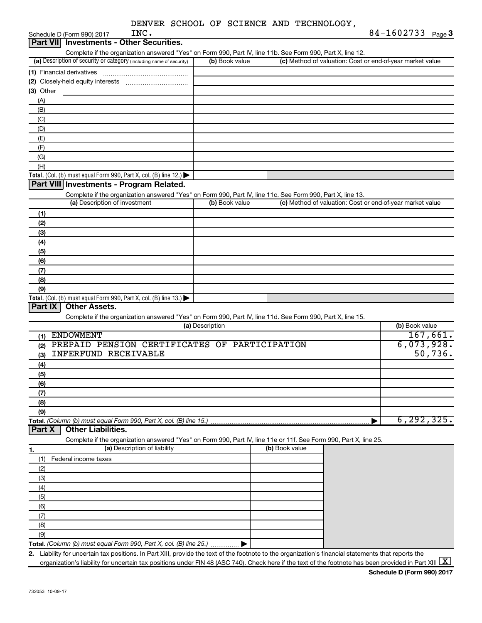| DENVER SCHOOL OF SCIENCE AND TECHNOLOGY, |  |
|------------------------------------------|--|
|------------------------------------------|--|

| INC.<br>Schedule D (Form 990) 2017                                                                                                                   |                 |                                                           | 84-1602733 $_{Page}$ 3 |
|------------------------------------------------------------------------------------------------------------------------------------------------------|-----------------|-----------------------------------------------------------|------------------------|
| Part VII Investments - Other Securities.                                                                                                             |                 |                                                           |                        |
| Complete if the organization answered "Yes" on Form 990, Part IV, line 11b. See Form 990, Part X, line 12.                                           |                 |                                                           |                        |
| (a) Description of security or category (including name of security)                                                                                 | (b) Book value  | (c) Method of valuation: Cost or end-of-year market value |                        |
|                                                                                                                                                      |                 |                                                           |                        |
|                                                                                                                                                      |                 |                                                           |                        |
| (3) Other                                                                                                                                            |                 |                                                           |                        |
| (A)                                                                                                                                                  |                 |                                                           |                        |
| (B)                                                                                                                                                  |                 |                                                           |                        |
| (C)                                                                                                                                                  |                 |                                                           |                        |
| (D)                                                                                                                                                  |                 |                                                           |                        |
|                                                                                                                                                      |                 |                                                           |                        |
| (E)                                                                                                                                                  |                 |                                                           |                        |
| (F)                                                                                                                                                  |                 |                                                           |                        |
| (G)                                                                                                                                                  |                 |                                                           |                        |
| (H)                                                                                                                                                  |                 |                                                           |                        |
| Total. (Col. (b) must equal Form 990, Part X, col. (B) line 12.) $\blacktriangleright$                                                               |                 |                                                           |                        |
| Part VIII Investments - Program Related.                                                                                                             |                 |                                                           |                        |
| Complete if the organization answered "Yes" on Form 990, Part IV, line 11c. See Form 990, Part X, line 13.                                           |                 |                                                           |                        |
| (a) Description of investment                                                                                                                        | (b) Book value  | (c) Method of valuation: Cost or end-of-year market value |                        |
| (1)                                                                                                                                                  |                 |                                                           |                        |
| (2)                                                                                                                                                  |                 |                                                           |                        |
| (3)                                                                                                                                                  |                 |                                                           |                        |
| (4)                                                                                                                                                  |                 |                                                           |                        |
| (5)                                                                                                                                                  |                 |                                                           |                        |
| (6)                                                                                                                                                  |                 |                                                           |                        |
| (7)                                                                                                                                                  |                 |                                                           |                        |
| (8)                                                                                                                                                  |                 |                                                           |                        |
| (9)                                                                                                                                                  |                 |                                                           |                        |
| Total. (Col. (b) must equal Form 990, Part X, col. (B) line 13.) $\blacktriangleright$                                                               |                 |                                                           |                        |
| <b>Other Assets.</b><br>Part IX                                                                                                                      |                 |                                                           |                        |
| Complete if the organization answered "Yes" on Form 990, Part IV, line 11d. See Form 990, Part X, line 15.                                           |                 |                                                           |                        |
|                                                                                                                                                      | (a) Description |                                                           | (b) Book value         |
| <b>ENDOWMENT</b><br>(1)                                                                                                                              |                 |                                                           | 167,661.               |
| PREPAID PENSION CERTIFICATES OF PARTICIPATION<br>(2)                                                                                                 |                 |                                                           | 6,073,928.             |
| <b>INFERFUND RECEIVABLE</b><br>(3)                                                                                                                   |                 |                                                           | 50,736.                |
| (4)                                                                                                                                                  |                 |                                                           |                        |
| (5)                                                                                                                                                  |                 |                                                           |                        |
| (6)                                                                                                                                                  |                 |                                                           |                        |
| (7)                                                                                                                                                  |                 |                                                           |                        |
|                                                                                                                                                      |                 |                                                           |                        |
| (8)                                                                                                                                                  |                 |                                                           |                        |
| (9)                                                                                                                                                  |                 |                                                           | 6, 292, 325.           |
| Total. (Column (b) must equal Form 990, Part X, col. (B) line 15.)<br><b>Other Liabilities.</b><br>Part X                                            |                 |                                                           |                        |
|                                                                                                                                                      |                 |                                                           |                        |
| Complete if the organization answered "Yes" on Form 990, Part IV, line 11e or 11f. See Form 990, Part X, line 25.<br>(a) Description of liability    |                 | (b) Book value                                            |                        |
| 1.                                                                                                                                                   |                 |                                                           |                        |
| Federal income taxes<br>(1)                                                                                                                          |                 |                                                           |                        |
| (2)                                                                                                                                                  |                 |                                                           |                        |
| (3)                                                                                                                                                  |                 |                                                           |                        |
| (4)                                                                                                                                                  |                 |                                                           |                        |
| (5)                                                                                                                                                  |                 |                                                           |                        |
| (6)                                                                                                                                                  |                 |                                                           |                        |
| (7)                                                                                                                                                  |                 |                                                           |                        |
| (8)                                                                                                                                                  |                 |                                                           |                        |
| (9)                                                                                                                                                  |                 |                                                           |                        |
| Total. (Column (b) must equal Form 990, Part X, col. (B) line 25.)                                                                                   |                 |                                                           |                        |
| 2. Liability for uncertain tax positions. In Part XIII, provide the text of the footnote to the organization's financial statements that reports the |                 |                                                           |                        |

organization's liability for uncertain tax positions under FIN 48 (ASC 740). Check here if the text of the footnote has been provided in Part XIII  $\boxed{\text{X}}$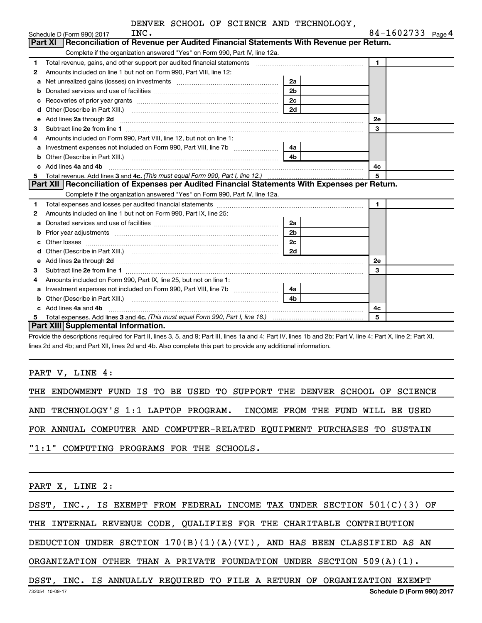|    | INC.<br>Schedule D (Form 990) 2017                                                                                                                                                                                                  |                | 84-1602733 $_{Page 4}$ |  |
|----|-------------------------------------------------------------------------------------------------------------------------------------------------------------------------------------------------------------------------------------|----------------|------------------------|--|
|    | Part XI   Reconciliation of Revenue per Audited Financial Statements With Revenue per Return.                                                                                                                                       |                |                        |  |
|    | Complete if the organization answered "Yes" on Form 990, Part IV, line 12a.                                                                                                                                                         |                |                        |  |
| 1. | Total revenue, gains, and other support per audited financial statements [111] [11] Total revenue, gains, and other support per audited financial statements                                                                        |                | $\mathbf 1$            |  |
| 2  | Amounts included on line 1 but not on Form 990, Part VIII, line 12:                                                                                                                                                                 |                |                        |  |
| a  |                                                                                                                                                                                                                                     | 2a             |                        |  |
| b  |                                                                                                                                                                                                                                     | 2 <sub>b</sub> |                        |  |
| C  |                                                                                                                                                                                                                                     | 2 <sub>c</sub> |                        |  |
| d  |                                                                                                                                                                                                                                     | 2d             |                        |  |
| e  | Add lines 2a through 2d <b>[10]</b> [20] <b>All and Primes 22</b> through 2d <b>[20] All and Primes 2</b> through 2d <b>[20] All and Primes 20 i</b>                                                                                |                | 2е                     |  |
| З  |                                                                                                                                                                                                                                     |                | 3                      |  |
| 4  | Amounts included on Form 990. Part VIII. line 12, but not on line 1:                                                                                                                                                                |                |                        |  |
| а  | Investment expenses not included on Form 990, Part VIII, line 7b [11, 111, 111, 111]                                                                                                                                                | 4a             |                        |  |
| b  |                                                                                                                                                                                                                                     | 4 <sub>b</sub> |                        |  |
| C. | Add lines 4a and 4b                                                                                                                                                                                                                 |                | 4c                     |  |
| 5  |                                                                                                                                                                                                                                     |                | 5                      |  |
|    | Part XII Reconciliation of Expenses per Audited Financial Statements With Expenses per Return.                                                                                                                                      |                |                        |  |
|    | Complete if the organization answered "Yes" on Form 990, Part IV, line 12a.                                                                                                                                                         |                |                        |  |
| 1. |                                                                                                                                                                                                                                     |                | $\mathbf{1}$           |  |
| 2  | Amounts included on line 1 but not on Form 990, Part IX, line 25:                                                                                                                                                                   |                |                        |  |
| a  |                                                                                                                                                                                                                                     | 2a             |                        |  |
| b  | Prior year adjustments www.communication.com/www.communication.com/www.com/                                                                                                                                                         | 2 <sub>b</sub> |                        |  |
| c  |                                                                                                                                                                                                                                     | 2 <sub>c</sub> |                        |  |
|    |                                                                                                                                                                                                                                     | 2d             |                        |  |
| e  | Add lines 2a through 2d <b>[10]</b> University of the state of the state of the state of the state of the state of the state of the state of the state of the state of the state of the state of the state of the state of the stat |                | <b>2e</b>              |  |
| 3  |                                                                                                                                                                                                                                     |                | 3                      |  |
| 4  | Amounts included on Form 990, Part IX, line 25, but not on line 1:                                                                                                                                                                  |                |                        |  |
| a  |                                                                                                                                                                                                                                     | 4a             |                        |  |
| b  |                                                                                                                                                                                                                                     | 4h             |                        |  |
|    | Add lines 4a and 4b                                                                                                                                                                                                                 |                | 4c                     |  |
| 5  |                                                                                                                                                                                                                                     |                | 5                      |  |
|    | <b>Part XIII</b> Supplemental Information.                                                                                                                                                                                          |                |                        |  |

Provide the descriptions required for Part II, lines 3, 5, and 9; Part III, lines 1a and 4; Part IV, lines 1b and 2b; Part V, line 4; Part X, line 2; Part XI, lines 2d and 4b; and Part XII, lines 2d and 4b. Also complete this part to provide any additional information.

PART V, LINE 4:

THE ENDOWMENT FUND IS TO BE USED TO SUPPORT THE DENVER SCHOOL OF SCIENCE

AND TECHNOLOGY'S 1:1 LAPTOP PROGRAM. INCOME FROM THE FUND WILL BE USED

FOR ANNUAL COMPUTER AND COMPUTER-RELATED EQUIPMENT PURCHASES TO SUSTAIN

"1:1" COMPUTING PROGRAMS FOR THE SCHOOLS.

PART X, LINE 2:

DSST, INC., IS EXEMPT FROM FEDERAL INCOME TAX UNDER SECTION 501(C)(3) OF

THE INTERNAL REVENUE CODE, QUALIFIES FOR THE CHARITABLE CONTRIBUTION

DEDUCTION UNDER SECTION 170(B)(1)(A)(VI), AND HAS BEEN CLASSIFIED AS AN

ORGANIZATION OTHER THAN A PRIVATE FOUNDATION UNDER SECTION 509(A)(1).

DSST, INC. IS ANNUALLY REQUIRED TO FILE A RETURN OF ORGANIZATION EXEMPT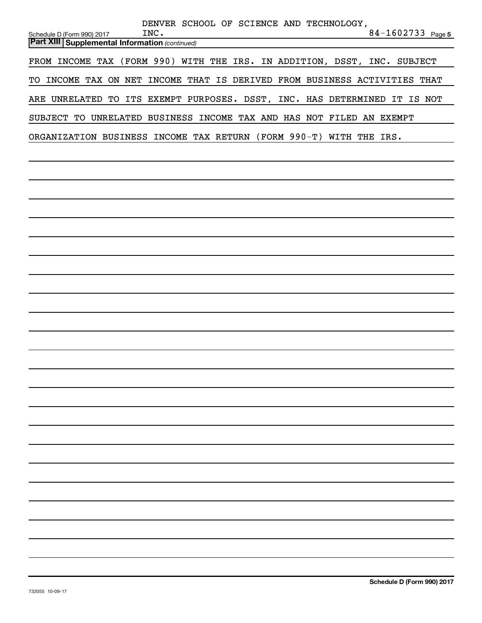| DENVER SCHOOL OF SCIENCE AND TECHNOLOGY,<br>84-1602733 Page 5<br>INC.<br>Schedule D (Form 990) 2017 |
|-----------------------------------------------------------------------------------------------------|
| <b>Part XIII Supplemental Information (continued)</b>                                               |
| FROM INCOME TAX (FORM 990) WITH THE IRS. IN ADDITION, DSST, INC. SUBJECT                            |
| TO INCOME TAX ON NET INCOME THAT IS DERIVED FROM BUSINESS ACTIVITIES THAT                           |
| ARE UNRELATED TO ITS EXEMPT PURPOSES. DSST, INC. HAS DETERMINED IT IS NOT                           |
| SUBJECT TO UNRELATED BUSINESS INCOME TAX AND HAS NOT FILED AN EXEMPT                                |
| ORGANIZATION BUSINESS INCOME TAX RETURN (FORM 990-T) WITH THE IRS.                                  |
|                                                                                                     |
|                                                                                                     |
|                                                                                                     |
|                                                                                                     |
|                                                                                                     |
|                                                                                                     |
|                                                                                                     |
|                                                                                                     |
|                                                                                                     |
|                                                                                                     |
|                                                                                                     |
|                                                                                                     |
|                                                                                                     |
|                                                                                                     |
|                                                                                                     |
|                                                                                                     |
|                                                                                                     |
|                                                                                                     |
|                                                                                                     |
|                                                                                                     |
|                                                                                                     |
|                                                                                                     |
|                                                                                                     |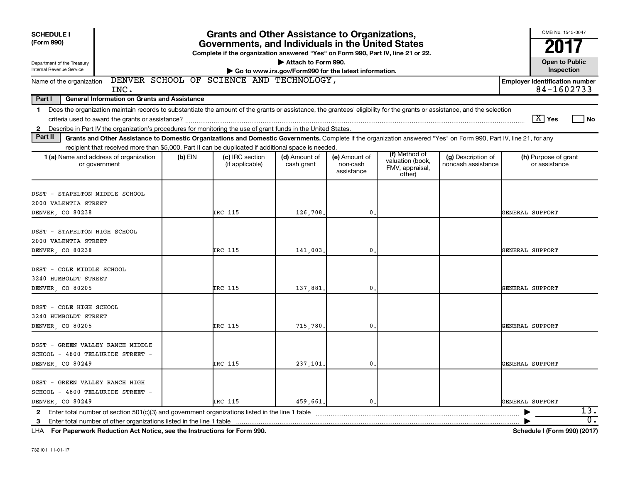| <b>SCHEDULE I</b><br>(Form 990)                                                        | <b>Grants and Other Assistance to Organizations,</b><br>Governments, and Individuals in the United States<br>Complete if the organization answered "Yes" on Form 990, Part IV, line 21 or 22. |           |                                          |                                                                              |                                         |                                                                |                                          |                 |                                                     |                         |  |
|----------------------------------------------------------------------------------------|-----------------------------------------------------------------------------------------------------------------------------------------------------------------------------------------------|-----------|------------------------------------------|------------------------------------------------------------------------------|-----------------------------------------|----------------------------------------------------------------|------------------------------------------|-----------------|-----------------------------------------------------|-------------------------|--|
| Department of the Treasury<br>Internal Revenue Service                                 |                                                                                                                                                                                               |           |                                          | Attach to Form 990.<br>Go to www.irs.gov/Form990 for the latest information. |                                         |                                                                |                                          |                 | <b>Open to Public</b><br>Inspection                 |                         |  |
| Name of the organization                                                               | INC.                                                                                                                                                                                          |           | DENVER SCHOOL OF SCIENCE AND TECHNOLOGY, |                                                                              |                                         |                                                                |                                          |                 | <b>Employer identification number</b><br>84-1602733 |                         |  |
| Part I                                                                                 | <b>General Information on Grants and Assistance</b>                                                                                                                                           |           |                                          |                                                                              |                                         |                                                                |                                          |                 |                                                     |                         |  |
| $\mathbf 1$                                                                            | Does the organization maintain records to substantiate the amount of the grants or assistance, the grantees' eligibility for the grants or assistance, and the selection                      |           |                                          |                                                                              |                                         |                                                                |                                          |                 |                                                     |                         |  |
| $\sqrt{X}$ Yes                                                                         |                                                                                                                                                                                               |           |                                          |                                                                              |                                         |                                                                |                                          |                 |                                                     |                         |  |
| $\mathbf{2}$<br>Part II                                                                | Describe in Part IV the organization's procedures for monitoring the use of grant funds in the United States.                                                                                 |           |                                          |                                                                              |                                         |                                                                |                                          |                 |                                                     |                         |  |
|                                                                                        | Grants and Other Assistance to Domestic Organizations and Domestic Governments. Complete if the organization answered "Yes" on Form 990, Part IV, line 21, for any                            |           |                                          |                                                                              |                                         |                                                                |                                          |                 |                                                     |                         |  |
|                                                                                        | recipient that received more than \$5,000. Part II can be duplicated if additional space is needed.<br><b>1 (a)</b> Name and address of organization<br>or government                         | $(b)$ EIN | (c) IRC section<br>(if applicable)       | (d) Amount of<br>cash grant                                                  | (e) Amount of<br>non-cash<br>assistance | (f) Method of<br>valuation (book,<br>FMV, appraisal,<br>other) | (g) Description of<br>noncash assistance |                 | (h) Purpose of grant<br>or assistance               |                         |  |
| DSST<br>2000 VALENTIA STREET<br>DENVER CO 80238                                        | - STAPELTON MIDDLE SCHOOL                                                                                                                                                                     |           | IRC 115                                  | 126,708.                                                                     | 0.                                      |                                                                |                                          | GENERAL SUPPORT |                                                     |                         |  |
| DSST - STAPELTON HIGH SCHOOL<br>2000 VALENTIA STREET<br>DENVER, CO 80238               |                                                                                                                                                                                               |           | IRC 115                                  | 141,003.                                                                     | $\mathbf 0$ .                           |                                                                |                                          | GENERAL SUPPORT |                                                     |                         |  |
| DSST - COLE MIDDLE SCHOOL<br>3240 HUMBOLDT STREET<br>DENVER CO 80205                   |                                                                                                                                                                                               |           | IRC 115                                  | 137,881.                                                                     | $\mathbf{0}$                            |                                                                |                                          | GENERAL SUPPORT |                                                     |                         |  |
| DSST - COLE HIGH SCHOOL<br>3240 HUMBOLDT STREET<br>DENVER, CO 80205                    |                                                                                                                                                                                               |           | IRC 115                                  | 715,780.                                                                     | $\mathbf{0}$                            |                                                                |                                          | GENERAL SUPPORT |                                                     |                         |  |
| DSST<br>SCHOOL - 4800 TELLURIDE STREET -<br>DENVER, CO 80249                           | - GREEN VALLEY RANCH MIDDLE                                                                                                                                                                   |           | IRC 115                                  | 237,101.                                                                     | $\mathbf{0}$                            |                                                                |                                          | GENERAL SUPPORT |                                                     |                         |  |
| DSST - GREEN VALLEY RANCH HIGH<br>SCHOOL - 4800 TELLURIDE STREET -<br>DENVER, CO 80249 |                                                                                                                                                                                               |           | IRC 115                                  | 459,661.                                                                     | 0.                                      |                                                                |                                          | GENERAL SUPPORT |                                                     |                         |  |
| 3                                                                                      | 2 Enter total number of section 501(c)(3) and government organizations listed in the line 1 table<br>Enter total number of other organizations listed in the line 1 table                     |           |                                          |                                                                              |                                         |                                                                |                                          |                 |                                                     | 13.<br>$\overline{0}$ . |  |
|                                                                                        |                                                                                                                                                                                               |           |                                          |                                                                              |                                         |                                                                |                                          |                 |                                                     |                         |  |

**For Paperwork Reduction Act Notice, see the Instructions for Form 990. Schedule I (Form 990) (2017)** LHA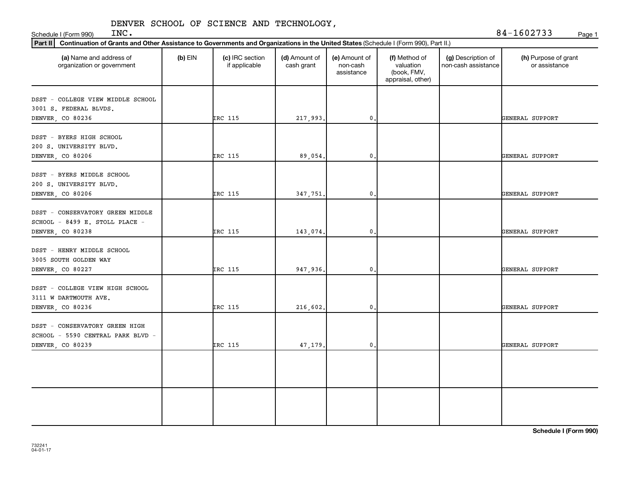| TNC .<br>Schedule I (Form 990) | $\sim$ $\sim$ $\sim$ $\sim$ $\sim$<br>84<br>OUZ.<br>ـ تـ تـ | Page |
|--------------------------------|-------------------------------------------------------------|------|
|--------------------------------|-------------------------------------------------------------|------|

| Part II                                                                                 | Continuation of Grants and Other Assistance to Governments and Organizations in the United States (Schedule I (Form 990), Part II.) |                                  |                             |                                         |                                                                |                                           |                                       |  |  |  |  |
|-----------------------------------------------------------------------------------------|-------------------------------------------------------------------------------------------------------------------------------------|----------------------------------|-----------------------------|-----------------------------------------|----------------------------------------------------------------|-------------------------------------------|---------------------------------------|--|--|--|--|
| (a) Name and address of<br>organization or government                                   | $(b)$ EIN                                                                                                                           | (c) IRC section<br>if applicable | (d) Amount of<br>cash grant | (e) Amount of<br>non-cash<br>assistance | (f) Method of<br>valuation<br>(book, FMV,<br>appraisal, other) | (g) Description of<br>non-cash assistance | (h) Purpose of grant<br>or assistance |  |  |  |  |
| DSST - COLLEGE VIEW MIDDLE SCHOOL<br>3001 S. FEDERAL BLVDS.<br>DENVER, CO 80236         |                                                                                                                                     | IRC 115                          | 217,993.                    | $\mathbf{0}$                            |                                                                |                                           | GENERAL SUPPORT                       |  |  |  |  |
| DSST - BYERS HIGH SCHOOL<br>200 S. UNIVERSITY BLVD.<br>DENVER, CO 80206                 |                                                                                                                                     | IRC 115                          | 89,054.                     | $\mathbf{0}$ .                          |                                                                |                                           | GENERAL SUPPORT                       |  |  |  |  |
| DSST - BYERS MIDDLE SCHOOL<br>200 S. UNIVERSITY BLVD.<br>DENVER, CO 80206               |                                                                                                                                     | IRC 115                          | 347,751.                    | 0                                       |                                                                |                                           | GENERAL SUPPORT                       |  |  |  |  |
| DSST - CONSERVATORY GREEN MIDDLE<br>SCHOOL - 8499 E. STOLL PLACE -<br>DENVER, CO 80238  |                                                                                                                                     | IRC 115                          | 143,074.                    | $\mathbf 0$ .                           |                                                                |                                           | GENERAL SUPPORT                       |  |  |  |  |
| DSST - HENRY MIDDLE SCHOOL<br>3005 SOUTH GOLDEN WAY<br>DENVER, CO 80227                 |                                                                                                                                     | IRC 115                          | 947,936.                    | $\mathbf{0}$                            |                                                                |                                           | GENERAL SUPPORT                       |  |  |  |  |
| DSST - COLLEGE VIEW HIGH SCHOOL<br>3111 W DARTMOUTH AVE.<br>DENVER, CO 80236            |                                                                                                                                     | IRC 115                          | 216,602.                    | $\mathbf{0}$                            |                                                                |                                           | GENERAL SUPPORT                       |  |  |  |  |
| DSST - CONSERVATORY GREEN HIGH<br>SCHOOL - 5590 CENTRAL PARK BLVD -<br>DENVER, CO 80239 |                                                                                                                                     | IRC 115                          | 47,179.                     | $\mathbf 0$ .                           |                                                                |                                           | GENERAL SUPPORT                       |  |  |  |  |
|                                                                                         |                                                                                                                                     |                                  |                             |                                         |                                                                |                                           |                                       |  |  |  |  |
|                                                                                         |                                                                                                                                     |                                  |                             |                                         |                                                                |                                           |                                       |  |  |  |  |

**Schedule I (Form 990)**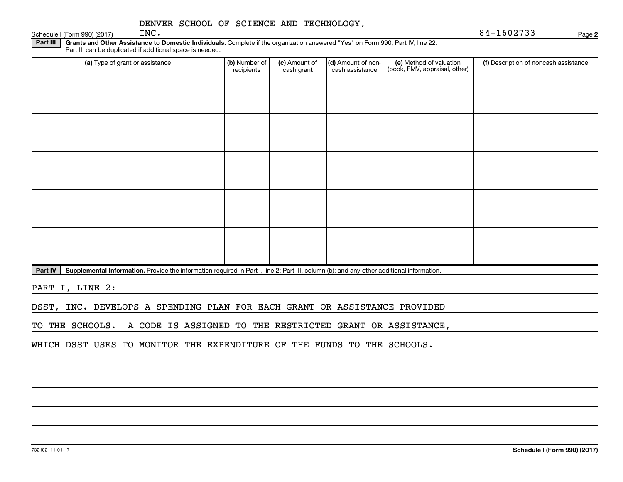#### Schedule I (Form 990) (2017)  $\text{INC.}$ DENVER SCHOOL OF SCIENCE AND TECHNOLOGY,

**2** INC. 84-1602733

Part III | Grants and Other Assistance to Domestic Individuals. Complete if the organization answered "Yes" on Form 990, Part IV, line 22. Part III can be duplicated if additional space is needed.

| (a) Type of grant or assistance | (b) Number of<br>recipients | (c) Amount of<br>cash grant | (d) Amount of non-<br>cash assistance | (e) Method of valuation<br>(book, FMV, appraisal, other) | (f) Description of noncash assistance |
|---------------------------------|-----------------------------|-----------------------------|---------------------------------------|----------------------------------------------------------|---------------------------------------|
|                                 |                             |                             |                                       |                                                          |                                       |
|                                 |                             |                             |                                       |                                                          |                                       |
|                                 |                             |                             |                                       |                                                          |                                       |
|                                 |                             |                             |                                       |                                                          |                                       |
|                                 |                             |                             |                                       |                                                          |                                       |
|                                 |                             |                             |                                       |                                                          |                                       |
|                                 |                             |                             |                                       |                                                          |                                       |
|                                 |                             |                             |                                       |                                                          |                                       |
|                                 |                             |                             |                                       |                                                          |                                       |
|                                 |                             |                             |                                       |                                                          |                                       |

Part IV | Supplemental Information. Provide the information required in Part I, line 2; Part III, column (b); and any other additional information.

PART I, LINE 2:

DSST, INC. DEVELOPS A SPENDING PLAN FOR EACH GRANT OR ASSISTANCE PROVIDED

TO THE SCHOOLS. A CODE IS ASSIGNED TO THE RESTRICTED GRANT OR ASSISTANCE,

WHICH DSST USES TO MONITOR THE EXPENDITURE OF THE FUNDS TO THE SCHOOLS.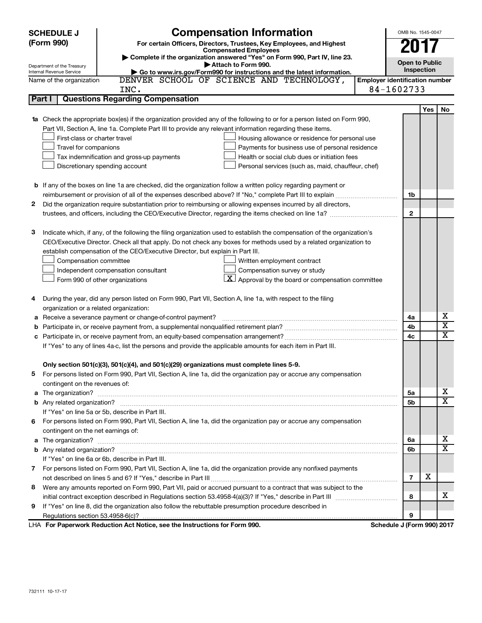|        | <b>Compensation Information</b><br><b>SCHEDULE J</b>                                                                                                                                                                                |                            |                       |                                       |                              |  |  |
|--------|-------------------------------------------------------------------------------------------------------------------------------------------------------------------------------------------------------------------------------------|----------------------------|-----------------------|---------------------------------------|------------------------------|--|--|
|        | (Form 990)<br>For certain Officers, Directors, Trustees, Key Employees, and Highest                                                                                                                                                 |                            |                       |                                       |                              |  |  |
|        | <b>Compensated Employees</b>                                                                                                                                                                                                        |                            |                       |                                       |                              |  |  |
|        | Complete if the organization answered "Yes" on Form 990, Part IV, line 23.<br>Attach to Form 990.                                                                                                                                   |                            | <b>Open to Public</b> |                                       |                              |  |  |
|        | Department of the Treasury<br>Internal Revenue Service<br>Go to www.irs.gov/Form990 for instructions and the latest information.                                                                                                    |                            | Inspection            |                                       |                              |  |  |
|        | DENVER SCHOOL OF SCIENCE AND TECHNOLOGY,<br>Name of the organization                                                                                                                                                                |                            |                       | <b>Employer identification number</b> |                              |  |  |
|        | INC.                                                                                                                                                                                                                                | 84-1602733                 |                       |                                       |                              |  |  |
| Part I | <b>Questions Regarding Compensation</b>                                                                                                                                                                                             |                            |                       |                                       |                              |  |  |
|        |                                                                                                                                                                                                                                     |                            |                       | Yes                                   | No                           |  |  |
| 1a     | Check the appropriate box(es) if the organization provided any of the following to or for a person listed on Form 990,                                                                                                              |                            |                       |                                       |                              |  |  |
|        | Part VII, Section A, line 1a. Complete Part III to provide any relevant information regarding these items.                                                                                                                          |                            |                       |                                       |                              |  |  |
|        | First-class or charter travel<br>Housing allowance or residence for personal use                                                                                                                                                    |                            |                       |                                       |                              |  |  |
|        | Travel for companions<br>Payments for business use of personal residence                                                                                                                                                            |                            |                       |                                       |                              |  |  |
|        | Tax indemnification and gross-up payments<br>Health or social club dues or initiation fees                                                                                                                                          |                            |                       |                                       |                              |  |  |
|        | Discretionary spending account<br>Personal services (such as, maid, chauffeur, chef)                                                                                                                                                |                            |                       |                                       |                              |  |  |
|        |                                                                                                                                                                                                                                     |                            |                       |                                       |                              |  |  |
|        | <b>b</b> If any of the boxes on line 1a are checked, did the organization follow a written policy regarding payment or                                                                                                              |                            |                       |                                       |                              |  |  |
|        | reimbursement or provision of all of the expenses described above? If "No," complete Part III to explain                                                                                                                            |                            | 1b                    |                                       |                              |  |  |
| 2      | Did the organization require substantiation prior to reimbursing or allowing expenses incurred by all directors,                                                                                                                    |                            |                       |                                       |                              |  |  |
|        |                                                                                                                                                                                                                                     |                            | $\mathbf{2}$          |                                       |                              |  |  |
|        |                                                                                                                                                                                                                                     |                            |                       |                                       |                              |  |  |
| 3      | Indicate which, if any, of the following the filing organization used to establish the compensation of the organization's                                                                                                           |                            |                       |                                       |                              |  |  |
|        | CEO/Executive Director. Check all that apply. Do not check any boxes for methods used by a related organization to                                                                                                                  |                            |                       |                                       |                              |  |  |
|        | establish compensation of the CEO/Executive Director, but explain in Part III.                                                                                                                                                      |                            |                       |                                       |                              |  |  |
|        | Compensation committee<br>Written employment contract                                                                                                                                                                               |                            |                       |                                       |                              |  |  |
|        | Compensation survey or study<br>Independent compensation consultant                                                                                                                                                                 |                            |                       |                                       |                              |  |  |
|        | $\mathbf{X}$ Approval by the board or compensation committee<br>Form 990 of other organizations                                                                                                                                     |                            |                       |                                       |                              |  |  |
|        |                                                                                                                                                                                                                                     |                            |                       |                                       |                              |  |  |
| 4      | During the year, did any person listed on Form 990, Part VII, Section A, line 1a, with respect to the filing                                                                                                                        |                            |                       |                                       |                              |  |  |
|        | organization or a related organization:                                                                                                                                                                                             |                            |                       |                                       |                              |  |  |
| а      | Receive a severance payment or change-of-control payment?                                                                                                                                                                           |                            | 4a                    |                                       | x<br>$\overline{\textbf{X}}$ |  |  |
| b      |                                                                                                                                                                                                                                     |                            | 4b<br>4c              |                                       | X                            |  |  |
|        | с                                                                                                                                                                                                                                   |                            |                       |                                       |                              |  |  |
|        | If "Yes" to any of lines 4a-c, list the persons and provide the applicable amounts for each item in Part III.                                                                                                                       |                            |                       |                                       |                              |  |  |
|        |                                                                                                                                                                                                                                     |                            |                       |                                       |                              |  |  |
|        | Only section 501(c)(3), 501(c)(4), and 501(c)(29) organizations must complete lines 5-9.                                                                                                                                            |                            |                       |                                       |                              |  |  |
|        | For persons listed on Form 990, Part VII, Section A, line 1a, did the organization pay or accrue any compensation                                                                                                                   |                            |                       |                                       |                              |  |  |
|        | contingent on the revenues of:                                                                                                                                                                                                      |                            | 5a                    |                                       | x                            |  |  |
|        | a The organization? <b>contracts</b> and contracts are contracted and contract and contract and contract and contract and contract and contract and contract and contract and contract and contract and contract and contract and c |                            | 5b                    |                                       | $\overline{\texttt{x}}$      |  |  |
|        | If "Yes" on line 5a or 5b, describe in Part III.                                                                                                                                                                                    |                            |                       |                                       |                              |  |  |
| 6.     | For persons listed on Form 990, Part VII, Section A, line 1a, did the organization pay or accrue any compensation                                                                                                                   |                            |                       |                                       |                              |  |  |
|        | contingent on the net earnings of:                                                                                                                                                                                                  |                            |                       |                                       |                              |  |  |
|        |                                                                                                                                                                                                                                     |                            | 6a                    |                                       | x                            |  |  |
|        |                                                                                                                                                                                                                                     |                            | 6b                    |                                       | $\overline{\texttt{x}}$      |  |  |
|        | If "Yes" on line 6a or 6b, describe in Part III.                                                                                                                                                                                    |                            |                       |                                       |                              |  |  |
|        | 7 For persons listed on Form 990, Part VII, Section A, line 1a, did the organization provide any nonfixed payments                                                                                                                  |                            |                       |                                       |                              |  |  |
|        |                                                                                                                                                                                                                                     |                            | $\overline{7}$        | X                                     |                              |  |  |
| 8      | Were any amounts reported on Form 990, Part VII, paid or accrued pursuant to a contract that was subject to the                                                                                                                     |                            |                       |                                       |                              |  |  |
|        |                                                                                                                                                                                                                                     |                            | 8                     |                                       | x                            |  |  |
| 9      | If "Yes" on line 8, did the organization also follow the rebuttable presumption procedure described in                                                                                                                              |                            |                       |                                       |                              |  |  |
|        |                                                                                                                                                                                                                                     |                            | 9                     |                                       |                              |  |  |
|        | LHA For Paperwork Reduction Act Notice, see the Instructions for Form 990.                                                                                                                                                          | Schedule J (Form 990) 2017 |                       |                                       |                              |  |  |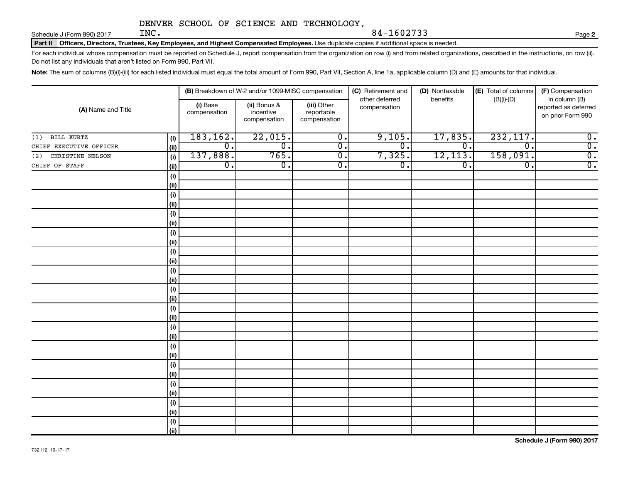Schedule J (Form 990) 2017  $\text{INC.}$ 

Part II | Officers, Directors, Trustees, Key Employees, and Highest Compensated Employees. Use duplicate copies if additional space is needed.

For each individual whose compensation must be reported on Schedule J, report compensation from the organization on row (i) and from related organizations, described in the instructions, on row (ii). Do not list any individuals that aren't listed on Form 990, Part VII.

Note: The sum of columns (B)(i)-(iii) for each listed individual must equal the total amount of Form 990, Part VII, Section A, line 1a, applicable column (D) and (E) amounts for that individual.

| (A) Name and Title       |              |                          | (B) Breakdown of W-2 and/or 1099-MISC compensation |                                           | (C) Retirement and             | (D) Nontaxable              | (E) Total of columns        | (F) Compensation                                           |  |
|--------------------------|--------------|--------------------------|----------------------------------------------------|-------------------------------------------|--------------------------------|-----------------------------|-----------------------------|------------------------------------------------------------|--|
|                          |              | (i) Base<br>compensation | (ii) Bonus &<br>incentive<br>compensation          | (iii) Other<br>reportable<br>compensation | other deferred<br>compensation | benefits                    | $(B)(i)-(D)$                | in column (B)<br>reported as deferred<br>on prior Form 990 |  |
| <b>BILL KURTZ</b><br>(1) | (i)          | 183, 162.                | 22,015.                                            | $\overline{\mathfrak{o}}$ .               | 9,105.                         | 17,835.                     | 232,117.                    | $\overline{0}$ .                                           |  |
| CHIEF EXECUTIVE OFFICER  | (ii)         | $\overline{0}$ .         | $\overline{0}$ .                                   | $\overline{0}$ .                          | $\overline{0}$ .               | $\overline{0}$ .            | σ.                          | $\overline{0}$ .                                           |  |
| CHRISTINE NELSON<br>(2)  | (i)          | 137,888.                 | 765.                                               | $\overline{0}$ .                          | 7,325.                         | 12, 113.                    | 158,091.                    | $\overline{0}$ .                                           |  |
| CHIEF OF STAFF           | (ii)         | $\overline{0}$ .         | $\overline{\mathfrak{o}}$ .                        | $\overline{0}$ .                          | $\overline{0}$ .               | $\overline{\mathfrak{o}}$ . | $\overline{\mathfrak{o}}$ . | $\overline{0}$ .                                           |  |
|                          | (i)          |                          |                                                    |                                           |                                |                             |                             |                                                            |  |
|                          | $\vert$ (ii) |                          |                                                    |                                           |                                |                             |                             |                                                            |  |
|                          | $(\sf{i})$   |                          |                                                    |                                           |                                |                             |                             |                                                            |  |
|                          | (ii)         |                          |                                                    |                                           |                                |                             |                             |                                                            |  |
|                          | $(\sf{i})$   |                          |                                                    |                                           |                                |                             |                             |                                                            |  |
|                          | $\vert$ (ii) |                          |                                                    |                                           |                                |                             |                             |                                                            |  |
|                          | $(\sf{i})$   |                          |                                                    |                                           |                                |                             |                             |                                                            |  |
|                          | $\vert$ (ii) |                          |                                                    |                                           |                                |                             |                             |                                                            |  |
|                          | $(\sf{i})$   |                          |                                                    |                                           |                                |                             |                             |                                                            |  |
|                          | (ii)         |                          |                                                    |                                           |                                |                             |                             |                                                            |  |
|                          | (i)          |                          |                                                    |                                           |                                |                             |                             |                                                            |  |
|                          | (ii)         |                          |                                                    |                                           |                                |                             |                             |                                                            |  |
|                          | (i)          |                          |                                                    |                                           |                                |                             |                             |                                                            |  |
|                          | (ii)         |                          |                                                    |                                           |                                |                             |                             |                                                            |  |
|                          | (i)          |                          |                                                    |                                           |                                |                             |                             |                                                            |  |
|                          | (ii)         |                          |                                                    |                                           |                                |                             |                             |                                                            |  |
|                          | (i)          |                          |                                                    |                                           |                                |                             |                             |                                                            |  |
|                          | (ii)         |                          |                                                    |                                           |                                |                             |                             |                                                            |  |
|                          | $(\sf{i})$   |                          |                                                    |                                           |                                |                             |                             |                                                            |  |
|                          | (ii)         |                          |                                                    |                                           |                                |                             |                             |                                                            |  |
|                          | $(\sf{i})$   |                          |                                                    |                                           |                                |                             |                             |                                                            |  |
|                          | (ii)         |                          |                                                    |                                           |                                |                             |                             |                                                            |  |
|                          | $(\sf{i})$   |                          |                                                    |                                           |                                |                             |                             |                                                            |  |
|                          | (ii)         |                          |                                                    |                                           |                                |                             |                             |                                                            |  |
|                          | $(\sf{i})$   |                          |                                                    |                                           |                                |                             |                             |                                                            |  |
|                          | (ii)         |                          |                                                    |                                           |                                |                             |                             |                                                            |  |
|                          | $(\sf{i})$   |                          |                                                    |                                           |                                |                             |                             |                                                            |  |
|                          | (ii)         |                          |                                                    |                                           |                                |                             |                             |                                                            |  |

**2**

INC. 84-1602733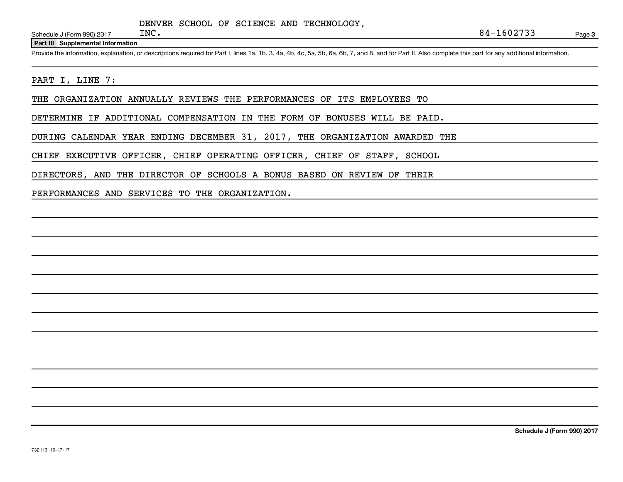Schedule J (Form 990) 2017  $INC$ .

#### **Part III Supplemental Information**

Provide the information, explanation, or descriptions required for Part I, lines 1a, 1b, 3, 4a, 4b, 4c, 5a, 5b, 6a, 6b, 7, and 8, and for Part II. Also complete this part for any additional information.

#### PART I, LINE 7:

THE ORGANIZATION ANNUALLY REVIEWS THE PERFORMANCES OF ITS EMPLOYEES TO

DETERMINE IF ADDITIONAL COMPENSATION IN THE FORM OF BONUSES WILL BE PAID.

DURING CALENDAR YEAR ENDING DECEMBER 31, 2017, THE ORGANIZATION AWARDED THE

CHIEF EXECUTIVE OFFICER, CHIEF OPERATING OFFICER, CHIEF OF STAFF, SCHOOL

DIRECTORS, AND THE DIRECTOR OF SCHOOLS A BONUS BASED ON REVIEW OF THEIR

PERFORMANCES AND SERVICES TO THE ORGANIZATION.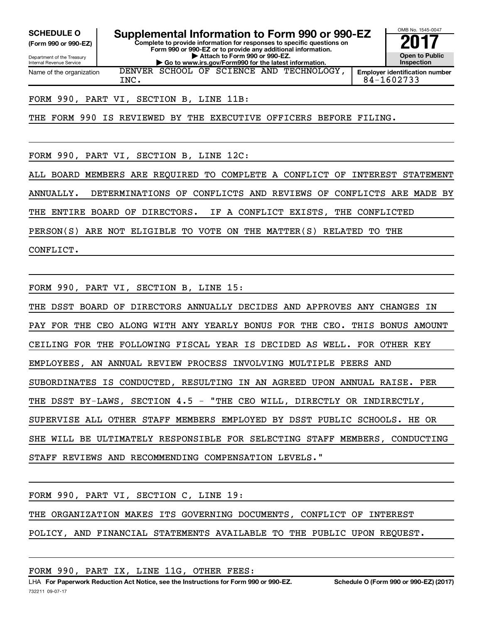**(Form 990 or 990-EZ)**

Department of the Treasury Internal Revenue Service Name of the organization

**Complete to provide information for responses to specific questions on Form 990 or 990-EZ or to provide any additional information. | Attach to Form 990 or 990-EZ. SCHEDULE O Supplemental Information to Form 990 or 990-EZ 2017**<br>(Form 990 or 990-EZ) Complete to provide information for responses to specific questions on

**| Go to www.irs.gov/Form990 for the latest information.**

DENVER SCHOOL OF SCIENCE AND TECHNOLOGY,



OMB No. 1545-0047

INC. 84-1602733

FORM 990, PART VI, SECTION B, LINE 11B:

THE FORM 990 IS REVIEWED BY THE EXECUTIVE OFFICERS BEFORE FILING.

FORM 990, PART VI, SECTION B, LINE 12C:

ALL BOARD MEMBERS ARE REQUIRED TO COMPLETE A CONFLICT OF INTEREST STATEMENT ANNUALLY. DETERMINATIONS OF CONFLICTS AND REVIEWS OF CONFLICTS ARE MADE BY THE ENTIRE BOARD OF DIRECTORS. IF A CONFLICT EXISTS, THE CONFLICTED PERSON(S) ARE NOT ELIGIBLE TO VOTE ON THE MATTER(S) RELATED TO THE

CONFLICT.

FORM 990, PART VI, SECTION B, LINE 15:

THE DSST BOARD OF DIRECTORS ANNUALLY DECIDES AND APPROVES ANY CHANGES IN PAY FOR THE CEO ALONG WITH ANY YEARLY BONUS FOR THE CEO. THIS BONUS AMOUNT CEILING FOR THE FOLLOWING FISCAL YEAR IS DECIDED AS WELL. FOR OTHER KEY EMPLOYEES, AN ANNUAL REVIEW PROCESS INVOLVING MULTIPLE PEERS AND SUBORDINATES IS CONDUCTED, RESULTING IN AN AGREED UPON ANNUAL RAISE. PER THE DSST BY-LAWS, SECTION 4.5 - "THE CEO WILL, DIRECTLY OR INDIRECTLY, SUPERVISE ALL OTHER STAFF MEMBERS EMPLOYED BY DSST PUBLIC SCHOOLS. HE OR SHE WILL BE ULTIMATELY RESPONSIBLE FOR SELECTING STAFF MEMBERS, CONDUCTING STAFF REVIEWS AND RECOMMENDING COMPENSATION LEVELS."

FORM 990, PART VI, SECTION C, LINE 19:

THE ORGANIZATION MAKES ITS GOVERNING DOCUMENTS, CONFLICT OF INTEREST

POLICY, AND FINANCIAL STATEMENTS AVAILABLE TO THE PUBLIC UPON REQUEST.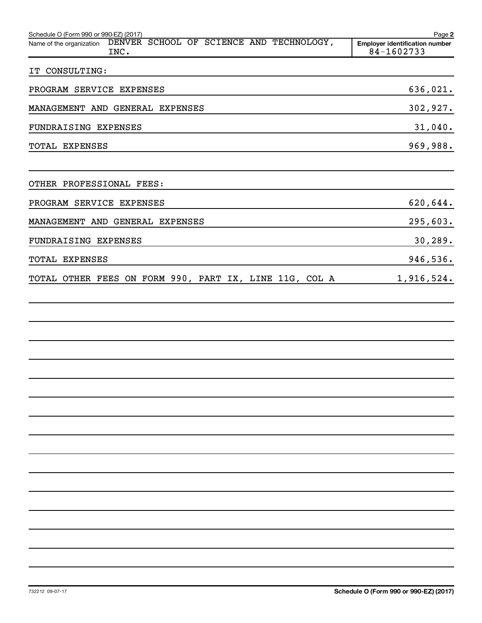| Schedule O (Form 990 or 990-EZ) (2017)<br>DENVER SCHOOL OF SCIENCE AND TECHNOLOGY,<br>Name of the organization<br>INC. | Page 2<br><b>Employer identification number</b><br>84-1602733 |
|------------------------------------------------------------------------------------------------------------------------|---------------------------------------------------------------|
| IT CONSULTING:                                                                                                         |                                                               |
| PROGRAM SERVICE EXPENSES                                                                                               | 636,021.                                                      |
| MANAGEMENT AND GENERAL EXPENSES                                                                                        | 302,927.                                                      |
| FUNDRAISING EXPENSES                                                                                                   | 31,040.                                                       |
| TOTAL EXPENSES                                                                                                         | 969,988.                                                      |
| OTHER PROFESSIONAL FEES:                                                                                               |                                                               |
| PROGRAM SERVICE EXPENSES                                                                                               | 620,644.                                                      |
| MANAGEMENT AND GENERAL EXPENSES                                                                                        | 295,603.                                                      |
| FUNDRAISING EXPENSES                                                                                                   | 30, 289.                                                      |
| TOTAL EXPENSES                                                                                                         | 946,536.                                                      |
| TOTAL OTHER FEES ON FORM 990, PART IX, LINE 11G, COL A                                                                 | 1,916,524.                                                    |
|                                                                                                                        |                                                               |
|                                                                                                                        |                                                               |
|                                                                                                                        |                                                               |
|                                                                                                                        |                                                               |
|                                                                                                                        |                                                               |
|                                                                                                                        |                                                               |
|                                                                                                                        |                                                               |
|                                                                                                                        |                                                               |
|                                                                                                                        |                                                               |
|                                                                                                                        |                                                               |